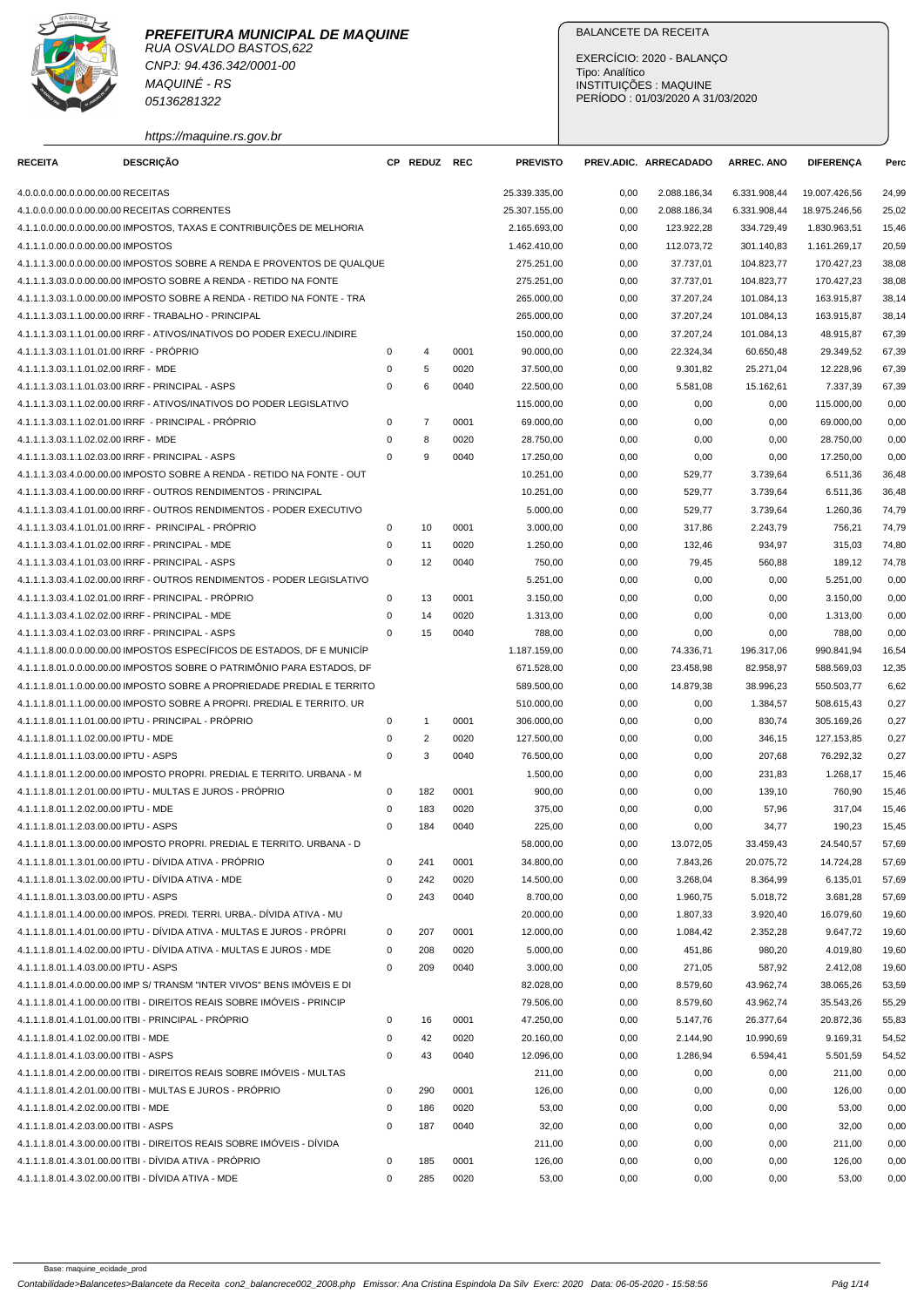

CNPJ: 94.436.342/0001-00 MAQUINÉ - RS 05136281322

https://maquine.rs.gov.br

## BALANCETE DA RECEITA

EXERCÍCIO: 2020 - BALANÇO Tipo: Analítico INSTITUIÇÕES : MAQUINE PERÍODO : 01/03/2020 A 31/03/2020

| <b>RECEITA</b>                           | <b>DESCRIÇÃO</b>                                                        |             | CP REDUZ REC   |      | <b>PREVISTO</b> |      | PREV.ADIC. ARRECADADO | <b>ARREC. ANO</b> | <b>DIFERENCA</b> | Perc  |
|------------------------------------------|-------------------------------------------------------------------------|-------------|----------------|------|-----------------|------|-----------------------|-------------------|------------------|-------|
| 4.0.0.0.0.00.0.0.00.00.00 RECEITAS       |                                                                         |             |                |      | 25.339.335,00   | 0,00 | 2.088.186,34          | 6.331.908,44      | 19.007.426,56    | 24,99 |
|                                          | 4.1.0.0.0.00.0.0.00.00.00 RECEITAS CORRENTES                            |             |                |      | 25.307.155,00   | 0,00 | 2.088.186,34          | 6.331.908,44      | 18.975.246,56    | 25,02 |
|                                          | 4.1.1.0.0.00.0.0.00.00.00 IMPOSTOS, TAXAS E CONTRIBUIÇÕES DE MELHORIA   |             |                |      | 2.165.693,00    | 0,00 | 123.922,28            | 334.729,49        | 1.830.963,51     | 15,46 |
| 4.1.1.1.0.00.0.0.00.00.00 IMPOSTOS       |                                                                         |             |                |      | 1.462.410,00    | 0,00 | 112.073,72            | 301.140,83        | 1.161.269,17     | 20,59 |
|                                          | 4.1.1.1.3.00.0.0.00.00.00 IMPOSTOS SOBRE A RENDA E PROVENTOS DE QUALQUE |             |                |      | 275.251,00      | 0,00 | 37.737,01             | 104.823,77        | 170.427,23       | 38,08 |
|                                          | 4.1.1.1.3.03.0.0.00.00.00 IMPOSTO SOBRE A RENDA - RETIDO NA FONTE       |             |                |      | 275.251,00      | 0,00 | 37.737,01             | 104.823,77        | 170.427,23       | 38,08 |
|                                          | 4.1.1.1.3.03.1.0.00.00.00 IMPOSTO SOBRE A RENDA - RETIDO NA FONTE - TRA |             |                |      | 265.000,00      | 0,00 | 37.207,24             | 101.084,13        | 163.915,87       | 38,14 |
|                                          | 4.1.1.1.3.03.1.1.00.00.00 IRRF - TRABALHO - PRINCIPAL                   |             |                |      | 265.000,00      | 0,00 | 37.207,24             | 101.084,13        | 163.915,87       | 38,14 |
|                                          | 4.1.1.1.3.03.1.1.01.00.00 IRRF - ATIVOS/INATIVOS DO PODER EXECU./INDIRE |             |                |      | 150.000,00      | 0,00 | 37.207,24             | 101.084,13        | 48.915,87        | 67,39 |
| 4.1.1.1.3.03.1.1.01.01.00 IRRF - PRÓPRIO |                                                                         | 0           | 4              | 0001 | 90.000,00       | 0,00 | 22.324,34             | 60.650,48         | 29.349,52        | 67,39 |
| 4.1.1.1.3.03.1.1.01.02.00 IRRF - MDE     |                                                                         | $\mathbf 0$ | 5              | 0020 | 37.500,00       | 0,00 | 9.301,82              | 25.271,04         | 12.228,96        | 67,39 |
|                                          | 4.1.1.1.3.03.1.1.01.03.00 IRRF - PRINCIPAL - ASPS                       | $\mathbf 0$ | 6              | 0040 | 22.500,00       | 0,00 | 5.581,08              | 15.162,61         | 7.337,39         | 67,39 |
|                                          | 4.1.1.1.3.03.1.1.02.00.00 IRRF - ATIVOS/INATIVOS DO PODER LEGISLATIVO   |             |                |      | 115.000,00      | 0,00 | 0,00                  | 0,00              | 115.000,00       | 0,00  |
|                                          | 4.1.1.1.3.03.1.1.02.01.00 IRRF - PRINCIPAL - PRÓPRIO                    | $\mathbf 0$ | $\overline{7}$ | 0001 | 69.000,00       | 0,00 | 0,00                  | 0,00              | 69.000,00        | 0,00  |
| 4.1.1.1.3.03.1.1.02.02.00 IRRF - MDE     |                                                                         | 0           | 8              | 0020 | 28.750,00       | 0,00 | 0,00                  | 0,00              | 28.750,00        | 0,00  |
|                                          | 4.1.1.1.3.03.1.1.02.03.00 IRRF - PRINCIPAL - ASPS                       | $\Omega$    | 9              | 0040 | 17.250,00       | 0,00 | 0,00                  | 0,00              | 17.250,00        | 0,00  |
|                                          | 4.1.1.1.3.03.4.0.00.00.00 IMPOSTO SOBRE A RENDA - RETIDO NA FONTE - OUT |             |                |      | 10.251,00       | 0,00 | 529,77                | 3.739,64          | 6.511,36         | 36,48 |
|                                          | 4.1.1.1.3.03.4.1.00.00.00 IRRF - OUTROS RENDIMENTOS - PRINCIPAL         |             |                |      | 10.251,00       | 0,00 | 529,77                | 3.739,64          | 6.511,36         | 36,48 |
|                                          | 4.1.1.1.3.03.4.1.01.00.00 IRRF - OUTROS RENDIMENTOS - PODER EXECUTIVO   |             |                |      | 5.000,00        | 0,00 | 529,77                | 3.739,64          | 1.260,36         | 74,79 |
|                                          | 4.1.1.1.3.03.4.1.01.01.00 IRRF - PRINCIPAL - PRÓPRIO                    | 0           | 10             | 0001 | 3.000,00        | 0,00 | 317,86                | 2.243,79          | 756,21           | 74,79 |
|                                          | 4.1.1.1.3.03.4.1.01.02.00 IRRF - PRINCIPAL - MDE                        | 0           | 11             | 0020 | 1.250,00        | 0,00 | 132,46                | 934,97            | 315,03           | 74,80 |
|                                          | 4.1.1.1.3.03.4.1.01.03.00 IRRF - PRINCIPAL - ASPS                       | $\mathbf 0$ | 12             | 0040 | 750,00          | 0,00 | 79,45                 | 560,88            | 189,12           | 74,78 |
|                                          | 4.1.1.1.3.03.4.1.02.00.00 IRRF - OUTROS RENDIMENTOS - PODER LEGISLATIVO |             |                |      | 5.251,00        | 0,00 | 0,00                  | 0,00              | 5.251,00         | 0,00  |
|                                          | 4.1.1.1.3.03.4.1.02.01.00 IRRF - PRINCIPAL - PRÓPRIO                    | $\mathbf 0$ | 13             | 0001 | 3.150,00        | 0,00 | 0,00                  | 0,00              | 3.150,00         | 0,00  |
|                                          | 4.1.1.1.3.03.4.1.02.02.00 IRRF - PRINCIPAL - MDE                        | 0           | 14             | 0020 | 1.313,00        | 0,00 | 0,00                  | 0,00              | 1.313,00         | 0,00  |
|                                          | 4.1.1.1.3.03.4.1.02.03.00 IRRF - PRINCIPAL - ASPS                       | 0           | 15             | 0040 | 788,00          | 0,00 | 0,00                  | 0,00              | 788,00           | 0,00  |
|                                          | 4.1.1.1.8.00.0.0.00.00.00 IMPOSTOS ESPECÍFICOS DE ESTADOS, DF E MUNICÍP |             |                |      | 1.187.159,00    | 0,00 | 74.336,71             | 196.317,06        | 990.841,94       | 16,54 |
|                                          | 4.1.1.1.8.01.0.0.00.00.00 IMPOSTOS SOBRE O PATRIMÔNIO PARA ESTADOS, DF  |             |                |      | 671.528,00      | 0,00 | 23.458,98             | 82.958,97         | 588.569,03       | 12,35 |
|                                          | 4.1.1.1.8.01.1.0.00.00.00 IMPOSTO SOBRE A PROPRIEDADE PREDIAL E TERRITO |             |                |      | 589.500,00      | 0,00 | 14.879,38             | 38.996,23         | 550.503,77       | 6,62  |
|                                          | 4.1.1.1.8.01.1.1.00.00.00 IMPOSTO SOBRE A PROPRI. PREDIAL E TERRITO. UR |             |                |      | 510.000,00      | 0,00 | 0,00                  | 1.384,57          | 508.615,43       | 0,27  |
|                                          | 4.1.1.1.8.01.1.1.01.00.00 IPTU - PRINCIPAL - PRÓPRIO                    | 0           | $\mathbf{1}$   | 0001 | 306.000,00      | 0,00 | 0,00                  | 830,74            | 305.169,26       | 0,27  |
| 4.1.1.1.8.01.1.1.02.00.00 IPTU - MDE     |                                                                         | $\mathbf 0$ | $\overline{c}$ | 0020 | 127.500,00      | 0,00 | 0,00                  | 346,15            | 127.153,85       | 0,27  |
| 4.1.1.1.8.01.1.1.03.00.00 IPTU - ASPS    |                                                                         | $\mathbf 0$ | 3              | 0040 | 76.500,00       | 0,00 | 0,00                  | 207,68            | 76.292,32        | 0,27  |
|                                          | 4.1.1.1.8.01.1.2.00.00.00 IMPOSTO PROPRI. PREDIAL E TERRITO. URBANA - M |             |                |      | 1.500,00        | 0,00 | 0,00                  | 231,83            | 1.268,17         | 15,46 |
|                                          | 4.1.1.1.8.01.1.2.01.00.00 IPTU - MULTAS E JUROS - PROPRIO               | 0           | 182            | 0001 | 900,00          | 0,00 | 0,00                  | 139,10            | 760,90           | 15,46 |
| 4.1.1.1.8.01.1.2.02.00.00 IPTU - MDE     |                                                                         | 0           | 183            | 0020 | 375,00          | 0,00 | 0,00                  | 57,96             | 317,04           | 15,46 |
| 4.1.1.1.8.01.1.2.03.00.00 IPTU - ASPS    |                                                                         | $\Omega$    | 184            | 0040 | 225,00          | 0,00 | 0,00                  | 34,77             | 190,23           | 15,45 |
|                                          | 4.1.1.1.8.01.1.3.00.00.00 IMPOSTO PROPRI. PREDIAL E TERRITO. URBANA - D |             |                |      | 58.000,00       | 0,00 | 13.072,05             | 33.459,43         | 24.540,57        | 57,69 |
|                                          | 4.1.1.1.8.01.1.3.01.00.00 IPTU - DÍVIDA ATIVA - PRÓPRIO                 | $\mathbf 0$ | 241            | 0001 | 34.800,00       | 0,00 | 7.843,26              | 20.075,72         | 14.724,28        | 57,69 |
|                                          | 4.1.1.1.8.01.1.3.02.00.00 IPTU - DÍVIDA ATIVA - MDE                     | 0           | 242            | 0020 | 14.500,00       | 0,00 | 3.268,04              | 8.364,99          | 6.135,01         | 57,69 |
| 4.1.1.1.8.01.1.3.03.00.00 IPTU - ASPS    |                                                                         | $\mathbf 0$ | 243            | 0040 | 8.700,00        | 0,00 | 1.960,75              | 5.018,72          | 3.681,28         | 57,69 |
|                                          | 4.1.1.1.8.01.1.4.00.00.00 IMPOS. PREDI. TERRI. URBA.- DÍVIDA ATIVA - MU |             |                |      | 20.000,00       | 0,00 | 1.807,33              | 3.920,40          | 16.079,60        | 19,60 |
|                                          | 4.1.1.1.8.01.1.4.01.00.00 IPTU - DÍVIDA ATIVA - MULTAS E JUROS - PRÓPRI | $\mathbf 0$ | 207            | 0001 | 12.000,00       | 0,00 | 1.084,42              | 2.352,28          | 9.647,72         | 19,60 |
|                                          | 4.1.1.1.8.01.1.4.02.00.00 IPTU - DÍVIDA ATIVA - MULTAS E JUROS - MDE    | 0           | 208            | 0020 | 5.000,00        | 0,00 | 451,86                | 980,20            | 4.019,80         | 19,60 |
| 4.1.1.1.8.01.1.4.03.00.00 IPTU - ASPS    |                                                                         | $\mathbf 0$ | 209            | 0040 | 3.000,00        | 0,00 | 271,05                | 587,92            | 2.412,08         | 19,60 |
|                                          | 4.1.1.1.8.01.4.0.00.00.00 IMP S/ TRANSM "INTER VIVOS" BENS IMÓVEIS E DI |             |                |      | 82.028,00       | 0,00 | 8.579,60              | 43.962,74         | 38.065,26        | 53,59 |
|                                          | 4.1.1.1.8.01.4.1.00.00.00 ITBI - DIREITOS REAIS SOBRE IMÓVEIS - PRINCIP |             |                |      | 79.506,00       | 0,00 | 8.579,60              | 43.962,74         | 35.543,26        | 55,29 |
|                                          | 4.1.1.1.8.01.4.1.01.00.00 ITBI - PRINCIPAL - PRÓPRIO                    | 0           | 16             | 0001 | 47.250,00       | 0,00 | 5.147,76              | 26.377,64         | 20.872,36        | 55,83 |
| 4.1.1.1.8.01.4.1.02.00.00 ITBI - MDE     |                                                                         | $\mathbf 0$ | 42             | 0020 | 20.160,00       | 0,00 | 2.144,90              | 10.990,69         | 9.169,31         | 54,52 |
| 4.1.1.1.8.01.4.1.03.00.00 ITBI - ASPS    |                                                                         | $\mathbf 0$ | 43             | 0040 | 12.096,00       | 0,00 | 1.286,94              | 6.594,41          | 5.501,59         | 54,52 |
|                                          | 4.1.1.1.8.01.4.2.00.00.00 ITBI - DIREITOS REAIS SOBRE IMÓVEIS - MULTAS  |             |                |      | 211,00          | 0,00 | 0,00                  | 0,00              | 211,00           | 0,00  |
|                                          | 4.1.1.1.8.01.4.2.01.00.00 ITBI - MULTAS E JUROS - PRÓPRIO               | $\mathbf 0$ | 290            | 0001 | 126,00          | 0,00 | 0,00                  | 0,00              | 126,00           | 0,00  |
| 4.1.1.1.8.01.4.2.02.00.00 ITBI - MDE     |                                                                         | 0           | 186            | 0020 | 53,00           | 0,00 | 0,00                  | 0,00              | 53,00            | 0,00  |
| 4.1.1.1.8.01.4.2.03.00.00 ITBI - ASPS    |                                                                         | $\mathbf 0$ | 187            | 0040 | 32,00           | 0,00 | 0,00                  | 0,00              | 32,00            | 0,00  |
|                                          | 4.1.1.1.8.01.4.3.00.00.00 ITBI - DIREITOS REAIS SOBRE IMÓVEIS - DÍVIDA  |             |                |      | 211,00          | 0,00 | 0,00                  | 0,00              | 211,00           | 0,00  |
|                                          | 4.1.1.1.8.01.4.3.01.00.00 ITBI - DÍVIDA ATIVA - PRÓPRIO                 | 0           | 185            | 0001 | 126,00          | 0,00 | 0,00                  | 0,00              | 126,00           | 0,00  |
|                                          | 4.1.1.1.8.01.4.3.02.00.00 ITBI - DÍVIDA ATIVA - MDE                     | $\mathbf 0$ | 285            | 0020 | 53,00           | 0,00 | 0,00                  | 0,00              | 53,00            | 0,00  |
|                                          |                                                                         |             |                |      |                 |      |                       |                   |                  |       |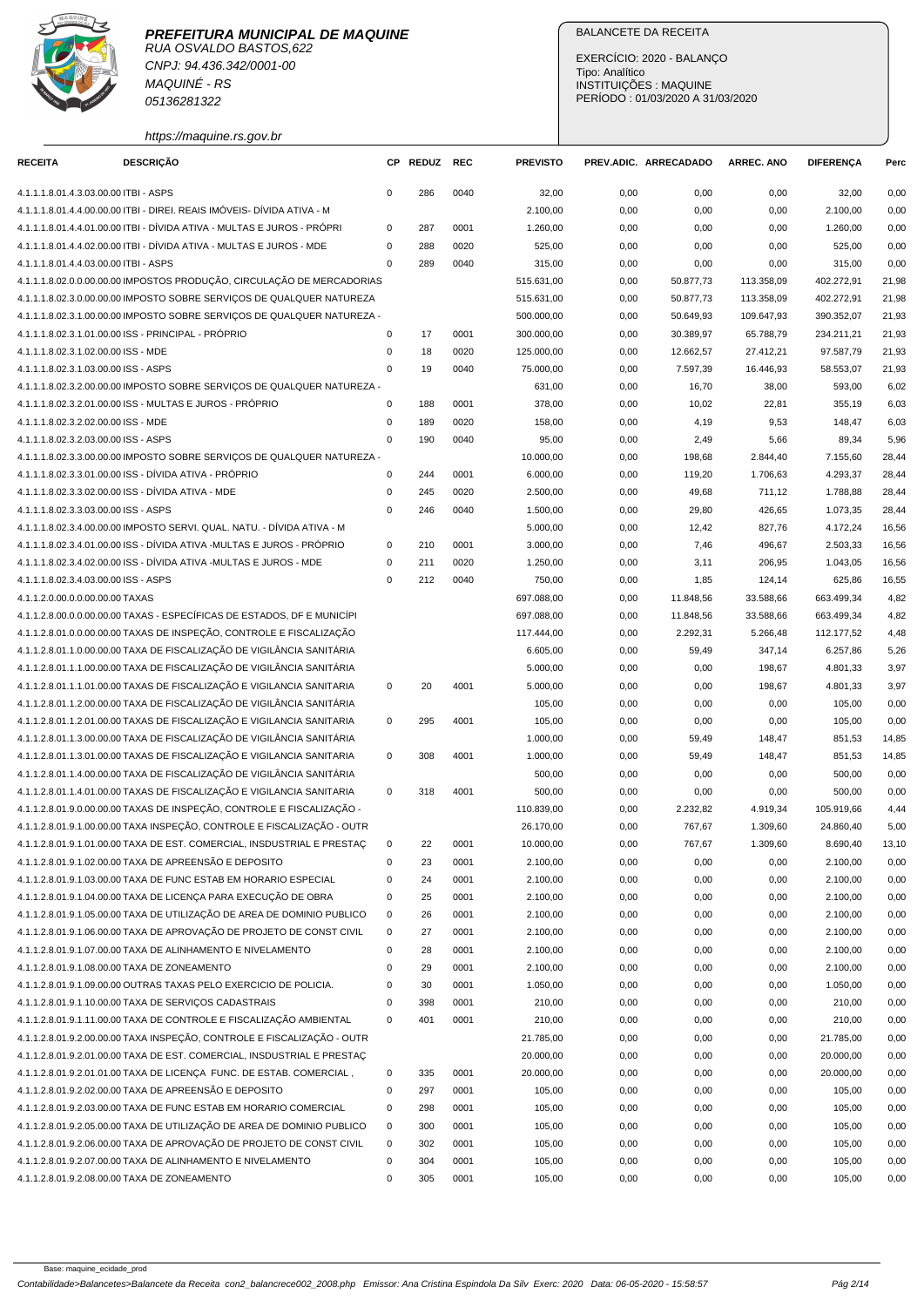# **PREFEITURA MUNICIPAL DE MAQUINE**



RUA OSVALDO BASTOS,622 CNPJ: 94.436.342/0001-00 MAQUINÉ - RS 05136281322

https://maquine.rs.gov.br

## BALANCETE DA RECEITA

EXERCÍCIO: 2020 - BALANÇO Tipo: Analítico INSTITUIÇÕES : MAQUINE PERÍODO : 01/03/2020 A 31/03/2020

| <b>RECEITA</b>                        | <b>DESCRIÇÃO</b>                                                        |             | CP REDUZ | <b>REC</b> | <b>PREVISTO</b>    |              | PREV.ADIC. ARRECADADO | <b>ARREC. ANO</b> | <b>DIFERENÇA</b>   | Perc         |
|---------------------------------------|-------------------------------------------------------------------------|-------------|----------|------------|--------------------|--------------|-----------------------|-------------------|--------------------|--------------|
| 4.1.1.1.8.01.4.3.03.00.00 ITBI - ASPS |                                                                         | $\mathbf 0$ | 286      | 0040       |                    |              | 0,00                  |                   |                    |              |
|                                       | 4.1.1.1.8.01.4.4.00.00.00 ITBI - DIREI. REAIS IMÓVEIS- DÍVIDA ATIVA - M |             |          |            | 32,00<br>2.100,00  | 0,00<br>0,00 | 0,00                  | 0,00              | 32,00<br>2.100,00  | 0,00<br>0,00 |
|                                       | 4.1.1.1.8.01.4.4.01.00.00 ITBI - DÍVIDA ATIVA - MULTAS E JUROS - PRÓPRI | 0           | 287      | 0001       |                    | 0,00         |                       | 0,00              |                    | 0,00         |
|                                       | 4.1.1.1.8.01.4.4.02.00.00 ITBI - DÍVIDA ATIVA - MULTAS E JUROS - MDE    | $\mathsf 0$ | 288      | 0020       | 1.260,00<br>525,00 | 0,00         | 0,00<br>0,00          | 0,00<br>0,00      | 1.260,00<br>525,00 | 0,00         |
| 4.1.1.1.8.01.4.4.03.00.00 ITBI - ASPS |                                                                         | $\mathbf 0$ | 289      | 0040       | 315,00             |              |                       | 0,00              | 315,00             | 0,00         |
|                                       | 4.1.1.1.8.02.0.0.00.00.00 IMPOSTOS PRODUÇÃO, CIRCULAÇÃO DE MERCADORIAS  |             |          |            | 515.631,00         | 0,00<br>0,00 | 0,00<br>50.877,73     | 113.358,09        | 402.272,91         | 21,98        |
|                                       | 4.1.1.1.8.02.3.0.00.00.00 IMPOSTO SOBRE SERVIÇOS DE QUALQUER NATUREZA   |             |          |            | 515.631,00         |              | 50.877,73             | 113.358,09        | 402.272,91         | 21,98        |
|                                       | 4.1.1.1.8.02.3.1.00.00.00 IMPOSTO SOBRE SERVIÇOS DE QUALQUER NATUREZA - |             |          |            | 500.000,00         | 0,00<br>0,00 | 50.649,93             | 109.647,93        | 390.352,07         | 21,93        |
|                                       |                                                                         |             |          |            |                    |              |                       |                   |                    |              |
|                                       | 4.1.1.1.8.02.3.1.01.00.00 ISS - PRINCIPAL - PRÓPRIO                     | $\mathsf 0$ | 17       | 0001       | 300.000,00         | 0,00         | 30.389,97             | 65.788,79         | 234.211,21         | 21,93        |
| 4.1.1.1.8.02.3.1.02.00.00 ISS - MDE   |                                                                         | 0           | 18       | 0020       | 125.000,00         | 0,00         | 12.662,57             | 27.412,21         | 97.587,79          | 21,93        |
| 4.1.1.1.8.02.3.1.03.00.00 ISS - ASPS  |                                                                         | $\mathbf 0$ | 19       | 0040       | 75.000,00          | 0,00         | 7.597,39              | 16.446,93         | 58.553,07          | 21,93        |
|                                       | 4.1.1.1.8.02.3.2.00.00.00 IMPOSTO SOBRE SERVIÇOS DE QUALQUER NATUREZA - |             |          |            | 631,00             | 0,00         | 16,70                 | 38,00             | 593,00             | 6,02         |
|                                       | 4.1.1.1.8.02.3.2.01.00.00 ISS - MULTAS E JUROS - PRÓPRIO                | 0           | 188      | 0001       | 378,00             | 0,00         | 10,02                 | 22,81             | 355,19             | 6,03         |
| 4.1.1.1.8.02.3.2.02.00.00 ISS - MDE   |                                                                         | $\mathbf 0$ | 189      | 0020       | 158,00             | 0,00         | 4,19                  | 9,53              | 148,47             | 6,03         |
| 4.1.1.1.8.02.3.2.03.00.00 ISS - ASPS  |                                                                         | $\mathbf 0$ | 190      | 0040       | 95,00              | 0,00         | 2,49                  | 5,66              | 89,34              | 5,96         |
|                                       | 4.1.1.1.8.02.3.3.00.00.00 IMPOSTO SOBRE SERVIÇOS DE QUALQUER NATUREZA - |             |          |            | 10.000,00          | 0,00         | 198,68                | 2.844,40          | 7.155,60           | 28,44        |
|                                       | 4.1.1.1.8.02.3.3.01.00.00 ISS - DÍVIDA ATIVA - PRÓPRIO                  | $\mathbf 0$ | 244      | 0001       | 6.000,00           | 0,00         | 119,20                | 1.706,63          | 4.293,37           | 28,44        |
|                                       | 4.1.1.1.8.02.3.3.02.00.00 ISS - DÍVIDA ATIVA - MDE                      | 0           | 245      | 0020       | 2.500,00           | 0,00         | 49,68                 | 711,12            | 1.788,88           | 28,44        |
| 4.1.1.1.8.02.3.3.03.00.00 ISS - ASPS  |                                                                         | $\mathbf 0$ | 246      | 0040       | 1.500,00           | 0,00         | 29,80                 | 426,65            | 1.073,35           | 28,44        |
|                                       | 4.1.1.1.8.02.3.4.00.00.00 IMPOSTO SERVI. QUAL. NATU. - DÍVIDA ATIVA - M |             |          |            | 5.000,00           | 0,00         | 12,42                 | 827,76            | 4.172,24           | 16,56        |
|                                       | 4.1.1.1.8.02.3.4.01.00.00 ISS - DÍVIDA ATIVA -MULTAS E JUROS - PRÓPRIO  | 0           | 210      | 0001       | 3.000,00           | 0,00         | 7,46                  | 496,67            | 2.503,33           | 16,56        |
|                                       | 4.1.1.1.8.02.3.4.02.00.00 ISS - DÍVIDA ATIVA -MULTAS E JUROS - MDE      | 0           | 211      | 0020       | 1.250,00           | 0,00         | 3,11                  | 206,95            | 1.043,05           | 16,56        |
| 4.1.1.1.8.02.3.4.03.00.00 ISS - ASPS  |                                                                         | $\mathbf 0$ | 212      | 0040       | 750,00             | 0,00         | 1,85                  | 124,14            | 625,86             | 16,55        |
| 4.1.1.2.0.00.0.0.00.00.00 TAXAS       |                                                                         |             |          |            | 697.088,00         | 0,00         | 11.848,56             | 33.588,66         | 663.499,34         | 4,82         |
|                                       | 4.1.1.2.8.00.0.0.00.00.00 TAXAS - ESPECÍFICAS DE ESTADOS, DF E MUNICÍPI |             |          |            | 697.088,00         | 0,00         | 11.848,56             | 33.588,66         | 663.499,34         | 4,82         |
|                                       | 4.1.1.2.8.01.0.0.00.00.00 TAXAS DE INSPEÇÃO, CONTROLE E FISCALIZAÇÃO    |             |          |            | 117.444,00         | 0,00         | 2.292,31              | 5.266,48          | 112.177,52         | 4,48         |
|                                       | 4.1.1.2.8.01.1.0.00.00.00 TAXA DE FISCALIZAÇÃO DE VIGILÂNCIA SANITÁRIA  |             |          |            | 6.605,00           | 0,00         | 59,49                 | 347,14            | 6.257,86           | 5,26         |
|                                       | 4.1.1.2.8.01.1.1.00.00.00 TAXA DE FISCALIZAÇÃO DE VIGILÂNCIA SANITÁRIA  |             |          |            | 5.000,00           | 0,00         | 0,00                  | 198,67            | 4.801,33           | 3,97         |
|                                       | 4.1.1.2.8.01.1.1.01.00.00 TAXAS DE FISCALIZAÇÃO E VIGILANCIA SANITARIA  | 0           | 20       | 4001       | 5.000,00           | 0,00         | 0,00                  | 198,67            | 4.801,33           | 3,97         |
|                                       | 4.1.1.2.8.01.1.2.00.00.00 TAXA DE FISCALIZAÇÃO DE VIGILÂNCIA SANITÁRIA  |             |          |            | 105,00             | 0,00         | 0,00                  | 0,00              | 105,00             | 0,00         |
|                                       | 4.1.1.2.8.01.1.2.01.00.00 TAXAS DE FISCALIZAÇÃO E VIGILANCIA SANITARIA  | 0           | 295      | 4001       | 105,00             | 0,00         | 0,00                  | 0,00              | 105,00             | 0,00         |
|                                       | 4.1.1.2.8.01.1.3.00.00.00 TAXA DE FISCALIZAÇÃO DE VIGILÂNCIA SANITÁRIA  |             |          |            | 1.000,00           | 0,00         | 59,49                 | 148,47            | 851,53             | 14,85        |
|                                       | 4.1.1.2.8.01.1.3.01.00.00 TAXAS DE FISCALIZAÇÃO E VIGILANCIA SANITARIA  | 0           | 308      | 4001       | 1.000,00           | 0,00         | 59,49                 | 148,47            | 851,53             | 14,85        |
|                                       | 4.1.1.2.8.01.1.4.00.00.00 TAXA DE FISCALIZAÇÃO DE VIGILÂNCIA SANITÁRIA  |             |          |            | 500,00             | 0,00         | 0,00                  | 0,00              | 500,00             | 0,00         |
|                                       | 4.1.1.2.8.01.1.4.01.00.00 TAXAS DE FISCALIZAÇÃO E VIGILANCIA SANITARIA  | 0           | 318      | 4001       | 500,00             | 0,00         | 0,00                  | 0,00              | 500,00             | 0,00         |
|                                       | 4.1.1.2.8.01.9.0.00.00.00 TAXAS DE INSPEÇÃO, CONTROLE E FISCALIZAÇÃO -  |             |          |            | 110.839,00         | 0,00         | 2.232,82              | 4.919,34          | 105.919,66         | 4,44         |
|                                       | 4.1.1.2.8.01.9.1.00.00.00 TAXA INSPECÃO, CONTROLE E FISCALIZAÇÃO - OUTR |             |          |            | 26.170,00          | 0,00         | 767,67                | 1.309,60          | 24.860,40          | 5,00         |
|                                       | 4.1.1.2.8.01.9.1.01.00.00 TAXA DE EST. COMERCIAL, INSDUSTRIAL E PRESTAC | $\mathbf 0$ | 22       | 0001       | 10.000,00          | 0,00         | 767,67                | 1.309,60          | 8.690,40           | 13,10        |
|                                       | 4.1.1.2.8.01.9.1.02.00.00 TAXA DE APREENSÃO E DEPOSITO                  | 0           | 23       | 0001       | 2.100,00           | 0,00         | 0,00                  | 0,00              | 2.100,00           | 0,00         |
|                                       | 4.1.1.2.8.01.9.1.03.00.00 TAXA DE FUNC ESTAB EM HORARIO ESPECIAL        | $\pmb{0}$   | 24       | 0001       | 2.100,00           | 0,00         | 0,00                  | 0,00              | 2.100,00           | 0,00         |
|                                       | 4.1.1.2.8.01.9.1.04.00.00 TAXA DE LICENÇA PARA EXECUÇÃO DE OBRA         | $\mathsf 0$ | 25       | 0001       | 2.100,00           | 0,00         | 0,00                  | 0,00              | 2.100,00           | 0,00         |
|                                       | 4.1.1.2.8.01.9.1.05.00.00 TAXA DE UTILIZAÇÃO DE AREA DE DOMINIO PUBLICO | 0           | 26       | 0001       | 2.100,00           | 0,00         | 0,00                  | 0,00              | 2.100,00           | 0,00         |
|                                       | 4.1.1.2.8.01.9.1.06.00.00 TAXA DE APROVAÇÃO DE PROJETO DE CONST CIVIL   | 0           | 27       | 0001       | 2.100,00           | 0,00         | 0,00                  | 0,00              | 2.100,00           | 0,00         |
|                                       | 4.1.1.2.8.01.9.1.07.00.00 TAXA DE ALINHAMENTO E NIVELAMENTO             | 0           | 28       | 0001       | 2.100,00           | 0,00         | 0,00                  | 0,00              | 2.100,00           | 0,00         |
|                                       | 4.1.1.2.8.01.9.1.08.00.00 TAXA DE ZONEAMENTO                            | 0           | 29       | 0001       | 2.100,00           | 0,00         | 0,00                  | 0,00              | 2.100,00           | 0,00         |
|                                       | 4.1.1.2.8.01.9.1.09.00.00 OUTRAS TAXAS PELO EXERCICIO DE POLICIA.       | 0           | 30       | 0001       | 1.050,00           | 0,00         | 0,00                  | 0,00              | 1.050,00           | 0,00         |
|                                       | 4.1.1.2.8.01.9.1.10.00.00 TAXA DE SERVIÇOS CADASTRAIS                   | $\mathsf 0$ | 398      | 0001       | 210,00             | 0,00         | 0,00                  | 0,00              | 210,00             | 0,00         |
|                                       | 4.1.1.2.8.01.9.1.11.00.00 TAXA DE CONTROLE E FISCALIZAÇÃO AMBIENTAL     | 0           | 401      | 0001       | 210,00             | 0,00         | 0,00                  | 0,00              | 210,00             | 0,00         |
|                                       | 4.1.1.2.8.01.9.2.00.00.00 TAXA INSPEÇÃO, CONTROLE E FISCALIZAÇÃO - OUTR |             |          |            | 21.785,00          | 0,00         | 0,00                  | 0,00              | 21.785,00          | 0,00         |
|                                       | 4.1.1.2.8.01.9.2.01.00.00 TAXA DE EST. COMERCIAL, INSDUSTRIAL E PRESTAÇ |             |          |            | 20.000,00          | 0,00         | 0,00                  | 0,00              | 20.000,00          | 0,00         |
|                                       | 4.1.1.2.8.01.9.2.01.01.00 TAXA DE LICENÇA FUNC. DE ESTAB. COMERCIAL,    | 0           | 335      | 0001       | 20.000,00          | 0,00         | 0,00                  | 0,00              | 20.000,00          | 0,00         |
|                                       | 4.1.1.2.8.01.9.2.02.00.00 TAXA DE APREENSÃO E DEPOSITO                  | $\mathsf 0$ | 297      | 0001       | 105,00             | 0,00         | 0,00                  | 0,00              | 105,00             | 0,00         |
|                                       | 4.1.1.2.8.01.9.2.03.00.00 TAXA DE FUNC ESTAB EM HORARIO COMERCIAL       | 0           | 298      | 0001       | 105,00             | 0,00         | 0,00                  | 0,00              | 105,00             | 0,00         |
|                                       | 4.1.1.2.8.01.9.2.05.00.00 TAXA DE UTILIZAÇÃO DE AREA DE DOMINIO PUBLICO | 0           | 300      | 0001       | 105,00             | 0,00         | 0,00                  | 0,00              | 105,00             | 0,00         |
|                                       | 4.1.1.2.8.01.9.2.06.00.00 TAXA DE APROVAÇÃO DE PROJETO DE CONST CIVIL   | 0           | 302      | 0001       | 105,00             | 0,00         | 0,00                  | 0,00              | 105,00             | 0,00         |
|                                       | 4.1.1.2.8.01.9.2.07.00.00 TAXA DE ALINHAMENTO E NIVELAMENTO             | 0           | 304      | 0001       | 105,00             | 0,00         | 0,00                  | 0,00              | 105,00             | 0,00         |
|                                       | 4.1.1.2.8.01.9.2.08.00.00 TAXA DE ZONEAMENTO                            | 0           | 305      | 0001       | 105,00             | 0,00         | 0,00                  | 0,00              | 105,00             | 0,00         |
|                                       |                                                                         |             |          |            |                    |              |                       |                   |                    |              |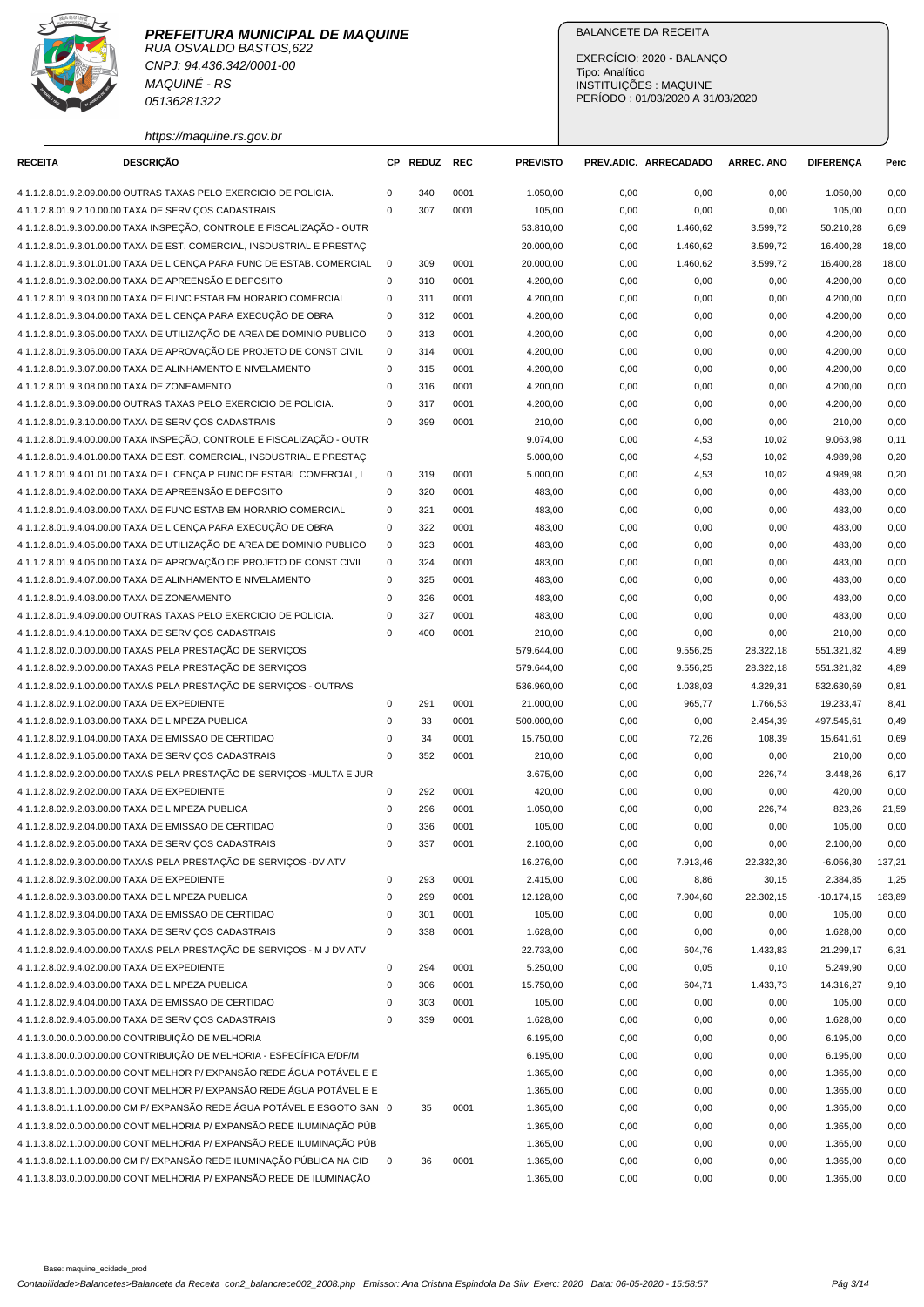

CNPJ: 94.436.342/0001-00 MAQUINÉ - RS 05136281322

## BALANCETE DA RECEITA

EXERCÍCIO: 2020 - BALANÇO Tipo: Analítico INSTITUIÇÕES : MAQUINE PERÍODO : 01/03/2020 A 31/03/2020

https://maquine.rs.gov.br

| <b>RECEITA</b>                               | <b>DESCRIÇÃO</b>                                                          | СP          | <b>REDUZ</b> | <b>REC</b> | <b>PREVISTO</b>       |              | PREV.ADIC. ARRECADADO | <b>ARREC. ANO</b> | <b>DIFERENÇA</b>      | Perc         |
|----------------------------------------------|---------------------------------------------------------------------------|-------------|--------------|------------|-----------------------|--------------|-----------------------|-------------------|-----------------------|--------------|
|                                              | 4.1.1.2.8.01.9.2.09.00.00 OUTRAS TAXAS PELO EXERCICIO DE POLICIA.         | $\mathbf 0$ | 340          | 0001       | 1.050,00              | 0,00         | 0,00                  | 0,00              | 1.050,00              | 0,00         |
|                                              | 4.1.1.2.8.01.9.2.10.00.00 TAXA DE SERVIÇOS CADASTRAIS                     | $\mathbf 0$ | 307          | 0001       | 105,00                | 0,00         | 0,00                  | 0,00              | 105,00                | 0,00         |
|                                              | 4.1.1.2.8.01.9.3.00.00.00 TAXA INSPEÇÃO, CONTROLE E FISCALIZAÇÃO - OUTR   |             |              |            | 53.810,00             | 0,00         | 1.460,62              | 3.599,72          | 50.210,28             | 6,69         |
|                                              | 4.1.1.2.8.01.9.3.01.00.00 TAXA DE EST. COMERCIAL, INSDUSTRIAL E PRESTAÇ   |             |              |            | 20.000,00             | 0,00         | 1.460,62              | 3.599,72          | 16.400,28             | 18,00        |
|                                              | 4.1.1.2.8.01.9.3.01.01.00 TAXA DE LICENCA PARA FUNC DE ESTAB. COMERCIAL   | $\mathbf 0$ | 309          | 0001       | 20.000,00             | 0,00         | 1.460,62              | 3.599,72          | 16.400,28             | 18,00        |
|                                              | 4.1.1.2.8.01.9.3.02.00.00 TAXA DE APREENSÃO E DEPOSITO                    | $\mathbf 0$ | 310          | 0001       | 4.200,00              | 0,00         | 0,00                  | 0,00              | 4.200,00              | 0,00         |
|                                              | 4.1.1.2.8.01.9.3.03.00.00 TAXA DE FUNC ESTAB EM HORARIO COMERCIAL         | 0           | 311          | 0001       | 4.200,00              | 0,00         | 0,00                  | 0,00              | 4.200,00              | 0,00         |
|                                              | 4.1.1.2.8.01.9.3.04.00.00 TAXA DE LICENÇA PARA EXECUÇÃO DE OBRA           | 0           | 312          | 0001       | 4.200,00              | 0,00         | 0,00                  | 0,00              | 4.200,00              | 0,00         |
|                                              | 4.1.1.2.8.01.9.3.05.00.00 TAXA DE UTILIZAÇÃO DE AREA DE DOMINIO PUBLICO   | $\mathbf 0$ | 313          | 0001       | 4.200,00              | 0,00         | 0,00                  | 0,00              | 4.200,00              | 0,00         |
|                                              | 4.1.1.2.8.01.9.3.06.00.00 TAXA DE APROVAÇÃO DE PROJETO DE CONST CIVIL     | $\mathbf 0$ | 314          | 0001       | 4.200,00              | 0,00         | 0,00                  | 0,00              | 4.200,00              | 0,00         |
|                                              | 4.1.1.2.8.01.9.3.07.00.00 TAXA DE ALINHAMENTO E NIVELAMENTO               | $\mathbf 0$ | 315          | 0001       | 4.200,00              | 0,00         | 0,00                  | 0,00              | 4.200,00              | 0,00         |
|                                              | 4.1.1.2.8.01.9.3.08.00.00 TAXA DE ZONEAMENTO                              | $\mathbf 0$ | 316          | 0001       | 4.200,00              | 0,00         | 0,00                  | 0,00              | 4.200,00              | 0,00         |
|                                              | 4.1.1.2.8.01.9.3.09.00.00 OUTRAS TAXAS PELO EXERCICIO DE POLICIA.         | $\mathbf 0$ | 317          | 0001       | 4.200,00              | 0,00         | 0,00                  | 0,00              | 4.200,00              | 0,00         |
|                                              | 4.1.1.2.8.01.9.3.10.00.00 TAXA DE SERVIÇOS CADASTRAIS                     | $\mathbf 0$ | 399          | 0001       | 210,00                | 0,00         | 0,00                  | 0,00              | 210,00                | 0,00         |
|                                              | 4.1.1.2.8.01.9.4.00.00.00 TAXA INSPEÇÃO, CONTROLE E FISCALIZAÇÃO - OUTR   |             |              |            | 9.074,00              | 0,00         | 4,53                  | 10,02             | 9.063,98              | 0,11         |
|                                              | 4.1.1.2.8.01.9.4.01.00.00 TAXA DE EST. COMERCIAL, INSDUSTRIAL E PRESTAÇ   |             |              |            | 5.000,00              | 0,00         | 4,53                  | 10,02             | 4.989,98              | 0,20         |
|                                              | 4.1.1.2.8.01.9.4.01.01.00 TAXA DE LICENÇA P FUNC DE ESTABL COMERCIAL, I   | 0           | 319          | 0001       | 5.000,00              | 0,00         | 4,53                  | 10,02             | 4.989,98              | 0,20         |
|                                              | 4.1.1.2.8.01.9.4.02.00.00 TAXA DE APREENSÃO E DEPOSITO                    | 0           | 320          | 0001       | 483,00                | 0,00         | 0,00                  | 0,00              | 483,00                | 0,00         |
|                                              | 4.1.1.2.8.01.9.4.03.00.00 TAXA DE FUNC ESTAB EM HORARIO COMERCIAL         | $\mathbf 0$ | 321          | 0001       | 483,00                | 0,00         | 0,00                  | 0,00              | 483,00                | 0,00         |
|                                              | 4.1.1.2.8.01.9.4.04.00.00 TAXA DE LICENÇA PARA EXECUÇÃO DE OBRA           | $\mathbf 0$ | 322          | 0001       | 483,00                | 0,00         | 0,00                  | 0,00              | 483,00                | 0,00         |
|                                              | 4.1.1.2.8.01.9.4.05.00.00 TAXA DE UTILIZAÇÃO DE AREA DE DOMINIO PUBLICO   | $\mathbf 0$ | 323          | 0001       | 483,00                | 0,00         | 0,00                  | 0,00              | 483,00                | 0,00         |
|                                              | 4.1.1.2.8.01.9.4.06.00.00 TAXA DE APROVAÇÃO DE PROJETO DE CONST CIVIL     | $\mathbf 0$ | 324          | 0001       | 483,00                | 0,00         | 0,00                  | 0,00              | 483,00                | 0,00         |
|                                              | 4.1.1.2.8.01.9.4.07.00.00 TAXA DE ALINHAMENTO E NIVELAMENTO               | 0           | 325          | 0001       | 483,00                | 0,00         | 0,00                  | 0,00              | 483,00                | 0,00         |
|                                              | 4.1.1.2.8.01.9.4.08.00.00 TAXA DE ZONEAMENTO                              | $\mathbf 0$ | 326          | 0001       | 483,00                | 0,00         | 0,00                  | 0,00              | 483,00                | 0,00         |
|                                              | 4.1.1.2.8.01.9.4.09.00.00 OUTRAS TAXAS PELO EXERCICIO DE POLICIA.         | $\mathbf 0$ | 327          | 0001       | 483,00                | 0,00         | 0,00                  | 0,00              | 483,00                | 0,00         |
|                                              | 4.1.1.2.8.01.9.4.10.00.00 TAXA DE SERVIÇOS CADASTRAIS                     | $\mathbf 0$ | 400          | 0001       | 210,00                | 0,00         | 0,00                  | 0,00              | 210,00                | 0,00         |
|                                              | 4.1.1.2.8.02.0.0.00.00.00 TAXAS PELA PRESTAÇÃO DE SERVIÇOS                |             |              |            | 579.644,00            | 0,00         | 9.556,25              | 28.322,18         | 551.321,82            | 4,89         |
|                                              | 4.1.1.2.8.02.9.0.00.00.00 TAXAS PELA PRESTAÇÃO DE SERVIÇOS                |             |              |            | 579.644,00            | 0,00         | 9.556,25              | 28.322,18         | 551.321,82            | 4,89         |
|                                              | 4.1.1.2.8.02.9.1.00.00.00 TAXAS PELA PRESTAÇÃO DE SERVIÇOS - OUTRAS       |             |              |            | 536.960,00            | 0,00         | 1.038,03              | 4.329,31          | 532.630,69            | 0,81         |
| 4.1.1.2.8.02.9.1.02.00.00 TAXA DE EXPEDIENTE |                                                                           | 0           | 291          | 0001       | 21.000,00             | 0,00         | 965,77                | 1.766,53          | 19.233,47             | 8,41         |
|                                              | 4.1.1.2.8.02.9.1.03.00.00 TAXA DE LIMPEZA PUBLICA                         | $\mathbf 0$ | 33           | 0001       | 500.000,00            | 0,00         | 0,00                  | 2.454,39          | 497.545,61            | 0,49         |
|                                              | 4.1.1.2.8.02.9.1.04.00.00 TAXA DE EMISSAO DE CERTIDAO                     | $\pmb{0}$   | 34           | 0001       | 15.750,00             | 0,00         | 72,26                 | 108,39            | 15.641,61             | 0,69         |
|                                              | 4.1.1.2.8.02.9.1.05.00.00 TAXA DE SERVIÇOS CADASTRAIS                     | $\mathbf 0$ | 352          | 0001       | 210,00                | 0,00         | 0,00                  | 0,00              | 210,00                | 0,00         |
|                                              | 4.1.1.2.8.02.9.2.00.00.00 TAXAS PELA PRESTAÇÃO DE SERVIÇOS - MULTA E JUR  |             |              |            | 3.675,00              | 0,00         | 0,00                  | 226,74            | 3.448,26              | 6,17         |
| 4.1.1.2.8.02.9.2.02.00.00 TAXA DE EXPEDIENTE |                                                                           | $\mathbf 0$ | 292          | 0001       | 420,00                | 0,00         | 0,00                  | 0,00              | 420,00                | 0,00         |
|                                              | 4.1.1.2.8.02.9.2.03.00.00 TAXA DE LIMPEZA PUBLICA                         | 0           | 296          | 0001       | 1.050,00              | 0,00         | 0,00                  | 226,74            | 823,26                | 21,59        |
|                                              | 4.1.1.2.8.02.9.2.04.00.00 TAXA DE EMISSAO DE CERTIDAO                     | $\mathbf 0$ | 336          | 0001       | 105,00                | 0,00         | 0,00                  | 0,00              | 105,00                | 0,00         |
|                                              | 4.1.1.2.8.02.9.2.05.00.00 TAXA DE SERVIÇOS CADASTRAIS                     | $\mathbf 0$ | 337          | 0001       | 2.100.00              | 0,00         | 0,00                  | 0,00              | 2.100,00              | 0,00         |
|                                              | 4.1.1.2.8.02.9.3.00.00.00 TAXAS PELA PRESTAÇÃO DE SERVIÇOS -DV ATV        |             |              |            | 16.276,00             | 0,00         | 7.913,46              | 22.332,30         | $-6.056,30$           | 137,21       |
| 4.1.1.2.8.02.9.3.02.00.00 TAXA DE EXPEDIENTE |                                                                           | 0           | 293          | 0001       | 2.415,00              | 0,00         | 8,86                  | 30,15             | 2.384,85              | 1,25         |
|                                              | 4.1.1.2.8.02.9.3.03.00.00 TAXA DE LIMPEZA PUBLICA                         | $\mathbf 0$ | 299          | 0001       | 12.128,00             | 0,00         | 7.904,60              | 22.302,15         | $-10.174,15$          | 183,89       |
|                                              | 4.1.1.2.8.02.9.3.04.00.00 TAXA DE EMISSAO DE CERTIDAO                     | $\pmb{0}$   | 301          | 0001       | 105,00                | 0,00         | 0,00                  | 0,00              | 105,00                | 0,00         |
|                                              | 4.1.1.2.8.02.9.3.05.00.00 TAXA DE SERVIÇOS CADASTRAIS                     | $\mathbf 0$ | 338          | 0001       | 1.628,00              | 0,00         | 0,00                  | 0,00              | 1.628,00<br>21.299,17 | 0,00         |
| 4.1.1.2.8.02.9.4.02.00.00 TAXA DE EXPEDIENTE | 4.1.1.2.8.02.9.4.00.00.00 TAXAS PELA PRESTAÇÃO DE SERVIÇOS - M J DV ATV   | $\mathbf 0$ | 294          | 0001       | 22.733,00<br>5.250,00 | 0,00         | 604,76                | 1.433,83          | 5.249,90              | 6,31<br>0,00 |
|                                              | 4.1.1.2.8.02.9.4.03.00.00 TAXA DE LIMPEZA PUBLICA                         | $\mathbf 0$ | 306          | 0001       | 15.750,00             | 0,00         | 0,05                  | 0, 10             |                       | 9,10         |
|                                              | 4.1.1.2.8.02.9.4.04.00.00 TAXA DE EMISSAO DE CERTIDAO                     | $\pmb{0}$   | 303          | 0001       | 105,00                | 0,00<br>0,00 | 604,71<br>0,00        | 1.433,73<br>0,00  | 14.316,27<br>105,00   | 0,00         |
|                                              | 4.1.1.2.8.02.9.4.05.00.00 TAXA DE SERVIÇOS CADASTRAIS                     | $\mathbf 0$ | 339          | 0001       | 1.628,00              | 0,00         | 0,00                  | 0,00              | 1.628,00              | 0,00         |
|                                              | 4.1.1.3.0.00.0.0.00.00.00 CONTRIBUIÇÃO DE MELHORIA                        |             |              |            | 6.195,00              | 0,00         | 0,00                  | 0,00              | 6.195,00              | 0,00         |
|                                              | 4.1.1.3.8.00.0.0.00.00.00 CONTRIBUIÇÃO DE MELHORIA - ESPECÍFICA E/DF/M    |             |              |            | 6.195,00              | 0,00         | 0,00                  | 0,00              | 6.195,00              | 0,00         |
|                                              | 4.1.1.3.8.01.0.0.00.00.00 CONT MELHOR P/ EXPANSÃO REDE ÁGUA POTÁVEL E E   |             |              |            | 1.365,00              | 0,00         | 0,00                  | 0,00              | 1.365,00              | 0,00         |
|                                              | 4.1.1.3.8.01.1.0.00.00.00 CONT MELHOR P/ EXPANSÃO REDE ÁGUA POTÁVEL E E   |             |              |            | 1.365,00              | 0,00         | 0,00                  | 0,00              | 1.365,00              | 0,00         |
|                                              | 4.1.1.3.8.01.1.1.00.00.00 CM P/ EXPANSÃO REDE ÁGUA POTÁVEL E ESGOTO SAN 0 |             | 35           | 0001       | 1.365,00              | 0,00         | 0,00                  | 0,00              | 1.365,00              | 0,00         |
|                                              | 4.1.1.3.8.02.0.0.00.00.00 CONT MELHORIA P/ EXPANSÃO REDE ILUMINAÇÃO PÚB   |             |              |            | 1.365,00              | $_{0,00}$    | 0,00                  | 0,00              | 1.365,00              | 0,00         |
|                                              | 4.1.1.3.8.02.1.0.00.00.00 CONT MELHORIA P/ EXPANSÃO REDE ILUMINAÇÃO PÚB   |             |              |            | 1.365,00              | 0,00         | 0,00                  | 0,00              | 1.365,00              | 0,00         |
|                                              | 4.1.1.3.8.02.1.1.00.00.00 CM P/ EXPANSÃO REDE ILUMINAÇÃO PÚBLICA NA CID   | 0           | 36           | 0001       | 1.365,00              | 0,00         | 0,00                  | 0,00              | 1.365,00              | 0,00         |
|                                              | 4.1.1.3.8.03.0.0.00.00.00 CONT MELHORIA P/ EXPANSÃO REDE DE ILUMINAÇÃO    |             |              |            | 1.365,00              | 0,00         | 0,00                  | 0,00              | 1.365,00              | 0,00         |
|                                              |                                                                           |             |              |            |                       |              |                       |                   |                       |              |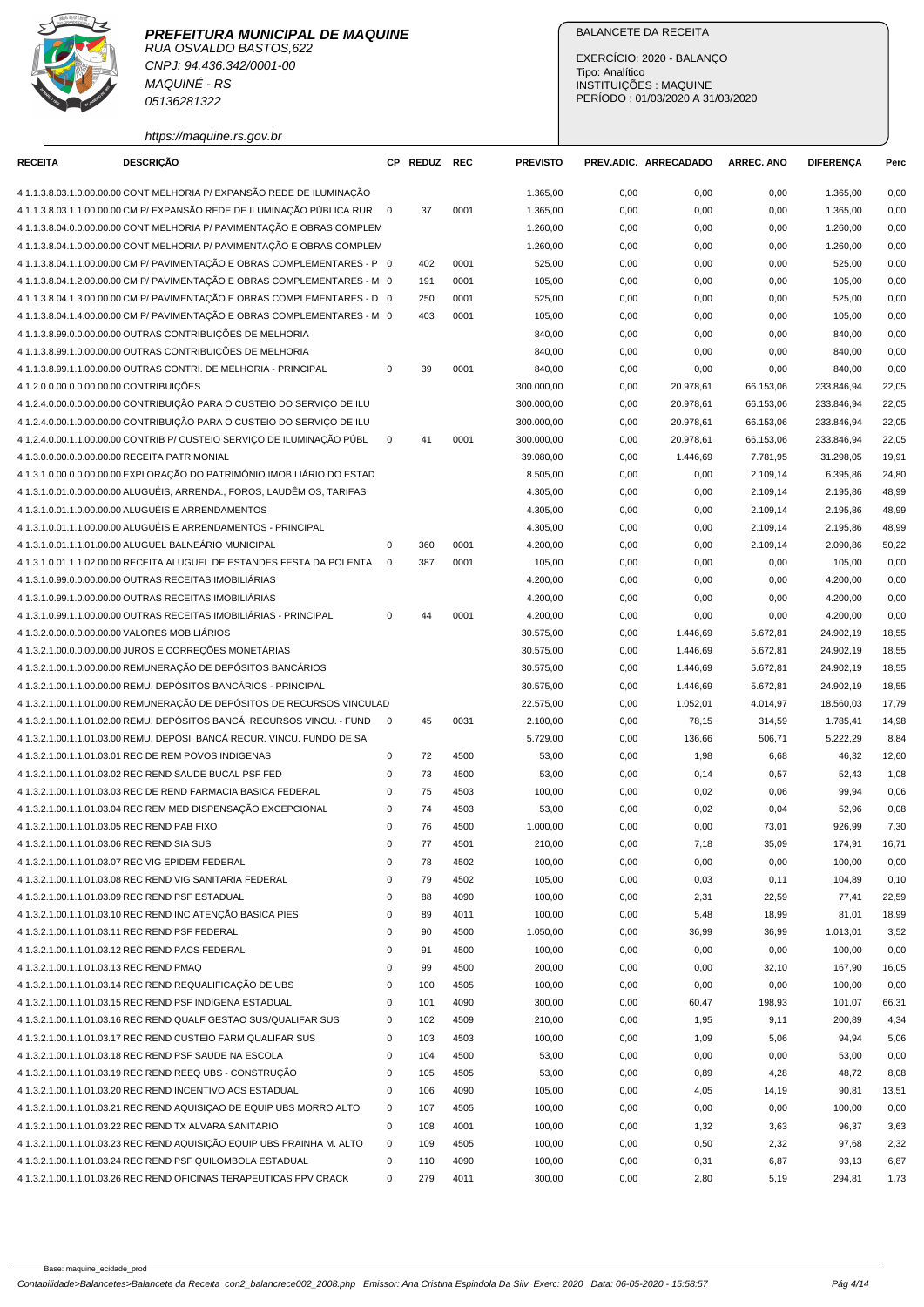

CNPJ: 94.436.342/0001-00 MAQUINÉ - RS 05136281322

https://maquine.rs.gov.br

## BALANCETE DA RECEITA

EXERCÍCIO: 2020 - BALANÇO Tipo: Analítico INSTITUIÇÕES : MAQUINE PERÍODO : 01/03/2020 A 31/03/2020

| <b>RECEITA</b>                          | <b>DESCRIÇÃO</b>                                                                                                               |             | CP REDUZ REC |              | <b>PREVISTO</b>    |              | PREV.ADIC. ARRECADADO | <b>ARREC. ANO</b> | <b>DIFERENÇA</b>   | Perc         |
|-----------------------------------------|--------------------------------------------------------------------------------------------------------------------------------|-------------|--------------|--------------|--------------------|--------------|-----------------------|-------------------|--------------------|--------------|
|                                         | 4.1.1.3.8.03.1.0.00.00.00 CONT MELHORIA P/ EXPANSÃO REDE DE ILUMINAÇÃO                                                         |             |              |              | 1.365,00           | 0,00         | 0,00                  | 0,00              | 1.365,00           | 0,00         |
|                                         | 4.1.1.3.8.03.1.1.00.00.00 CM P/ EXPANSÃO REDE DE ILUMINAÇÃO PÚBLICA RUR 0                                                      |             | 37           | 0001         | 1.365,00           | 0,00         | 0,00                  | 0,00              | 1.365,00           | 0,00         |
|                                         | 4.1.1.3.8.04.0.0.00.00.00 CONT MELHORIA P/ PAVIMENTAÇÃO E OBRAS COMPLEM                                                        |             |              |              | 1.260,00           | 0,00         | 0,00                  | 0,00              | 1.260,00           | 0,00         |
|                                         | 4.1.1.3.8.04.1.0.00.00.00 CONT MELHORIA P/ PAVIMENTAÇÃO E OBRAS COMPLEM                                                        |             |              |              | 1.260,00           | 0,00         | 0,00                  | 0,00              | 1.260,00           | 0,00         |
|                                         | 4.1.1.3.8.04.1.1.00.00.00 CM P/ PAVIMENTACÃO E OBRAS COMPLEMENTARES - P 0                                                      |             | 402          | 0001         | 525,00             | 0,00         | 0,00                  | 0,00              | 525,00             | 0,00         |
|                                         | 4.1.1.3.8.04.1.2.00.00.00 CM P/ PAVIMENTAÇÃO E OBRAS COMPLEMENTARES - M 0                                                      |             | 191          | 0001         | 105,00             | 0,00         | 0,00                  | 0,00              | 105,00             | 0,00         |
|                                         | 4.1.1.3.8.04.1.3.00.00.00 CM P/ PAVIMENTAÇÃO E OBRAS COMPLEMENTARES - D 0                                                      |             | 250          | 0001         | 525,00             | 0,00         | 0,00                  | 0,00              | 525,00             | 0,00         |
|                                         | 4.1.1.3.8.04.1.4.00.00.00 CM P/ PAVIMENTAÇÃO E OBRAS COMPLEMENTARES - M 0                                                      |             | 403          | 0001         | 105,00             | 0,00         | 0,00                  | 0,00              | 105,00             | 0,00         |
|                                         | 4.1.1.3.8.99.0.0.00.00.00 OUTRAS CONTRIBUIÇÕES DE MELHORIA                                                                     |             |              |              | 840,00             | 0,00         | 0,00                  | 0,00              | 840,00             | 0,00         |
|                                         | 4.1.1.3.8.99.1.0.00.00.00 OUTRAS CONTRIBUIÇÕES DE MELHORIA                                                                     |             |              |              | 840,00             | 0,00         | 0,00                  | 0,00              | 840,00             | 0,00         |
|                                         | 4.1.1.3.8.99.1.1.00.00.00 OUTRAS CONTRI. DE MELHORIA - PRINCIPAL                                                               | 0           | 39           | 0001         | 840,00             | 0,00         | 0,00                  | 0,00              | 840,00             | 0,00         |
| 4.1.2.0.0.00.0.0.00.00.00 CONTRIBUIÇÕES |                                                                                                                                |             |              |              | 300.000,00         | 0,00         | 20.978,61             | 66.153,06         | 233.846,94         | 22,05        |
|                                         | 4.1.2.4.0.00.0.0.00.00.00 CONTRIBUIÇÃO PARA O CUSTEIO DO SERVIÇO DE ILU                                                        |             |              |              | 300.000,00         | 0,00         | 20.978,61             | 66.153,06         | 233.846,94         | 22,05        |
|                                         | 4.1.2.4.0.00.1.0.00.00.00 CONTRIBUIÇÃO PARA O CUSTEIO DO SERVIÇO DE ILU                                                        |             |              |              | 300.000,00         | 0,00         | 20.978,61             | 66.153,06         | 233.846,94         | 22,05        |
|                                         | 4.1.2.4.0.00.1.1.00.00.00 CONTRIB P/ CUSTEIO SERVIÇO DE ILUMINAÇÃO PÚBL                                                        | $\mathbf 0$ | 41           | 0001         | 300.000,00         | 0,00         | 20.978,61             | 66.153,06         | 233.846,94         | 22,05        |
|                                         | 4.1.3.0.0.00.0.0.00.00.00 RECEITA PATRIMONIAL                                                                                  |             |              |              | 39.080,00          | 0,00         | 1.446,69              | 7.781,95          | 31.298,05          | 19,91        |
|                                         | 4.1.3.1.0.00.0.0.00.00.00 EXPLORAÇÃO DO PATRIMÔNIO IMOBILIÁRIO DO ESTAD                                                        |             |              |              | 8.505,00           | 0,00         | 0,00                  | 2.109,14          | 6.395,86           | 24,80        |
|                                         | 4.1.3.1.0.01.0.0.00.00.00 ALUGUÉIS, ARRENDA., FOROS, LAUDÊMIOS, TARIFAS                                                        |             |              |              | 4.305,00           | 0,00         | 0,00                  | 2.109,14          | 2.195,86           | 48,99        |
|                                         | 4.1.3.1.0.01.1.0.00.00.00 ALUGUÉIS E ARRENDAMENTOS                                                                             |             |              |              | 4.305,00           | 0,00         | 0,00                  | 2.109,14          | 2.195,86           | 48,99        |
|                                         | 4.1.3.1.0.01.1.1.00.00.00 ALUGUÉIS E ARRENDAMENTOS - PRINCIPAL                                                                 |             |              |              | 4.305,00           | 0,00         | 0,00                  | 2.109,14          | 2.195,86           | 48,99        |
|                                         | 4.1.3.1.0.01.1.1.01.00.00 ALUGUEL BALNEÁRIO MUNICIPAL                                                                          | $\mathbf 0$ |              |              |                    |              |                       |                   |                    |              |
|                                         | 4.1.3.1.0.01.1.1.02.00.00 RECEITA ALUGUEL DE ESTANDES FESTA DA POLENTA                                                         | $\mathbf 0$ | 360          | 0001         | 4.200,00           | 0,00         | 0,00                  | 2.109,14          | 2.090,86           | 50,22        |
|                                         | 4.1.3.1.0.99.0.0.00.00.00 OUTRAS RECEITAS IMOBILIÁRIAS                                                                         |             | 387          | 0001         | 105,00<br>4.200,00 | 0,00<br>0,00 | 0,00<br>0,00          | 0,00              | 105,00<br>4.200,00 | 0,00<br>0,00 |
|                                         | 4.1.3.1.0.99.1.0.00.00.00 OUTRAS RECEITAS IMOBILIÁRIAS                                                                         |             |              |              | 4.200,00           | 0,00         | 0,00                  | 0,00<br>0,00      | 4.200,00           | 0,00         |
|                                         | 4.1.3.1.0.99.1.1.00.00.00 OUTRAS RECEITAS IMOBILIÁRIAS - PRINCIPAL                                                             | $\mathsf 0$ | 44           | 0001         | 4.200,00           | 0,00         |                       | 0,00              | 4.200,00           | 0,00         |
|                                         | 4.1.3.2.0.00.0.0.00.00.00 VALORES MOBILIÁRIOS                                                                                  |             |              |              |                    |              | 0,00                  |                   |                    |              |
|                                         |                                                                                                                                |             |              |              | 30.575,00          | 0,00         | 1.446,69              | 5.672,81          | 24.902,19          | 18,55        |
|                                         | 4.1.3.2.1.00.0.0.00.00.00 JUROS E CORREÇÕES MONETÁRIAS<br>4.1.3.2.1.00.1.0.00.00.00 REMUNERAÇÃO DE DEPÓSITOS BANCÁRIOS         |             |              |              | 30.575,00          | 0,00         | 1.446,69              | 5.672,81          | 24.902,19          | 18,55        |
|                                         |                                                                                                                                |             |              |              | 30.575,00          | 0,00         | 1.446,69              | 5.672,81          | 24.902,19          | 18,55        |
|                                         | 4.1.3.2.1.00.1.1.00.00.00 REMU. DEPÓSITOS BANCÁRIOS - PRINCIPAL                                                                |             |              |              | 30.575,00          | 0,00         | 1.446,69              | 5.672,81          | 24.902,19          | 18,55        |
|                                         | 4.1.3.2.1.00.1.1.01.00.00 REMUNERAÇÃO DE DEPÓSITOS DE RECURSOS VINCULAD                                                        |             |              |              | 22.575,00          | 0,00         | 1.052,01              | 4.014,97          | 18.560,03          | 17,79        |
|                                         | 4.1.3.2.1.00.1.1.01.02.00 REMU. DEPÓSITOS BANCÁ. RECURSOS VINCU. - FUND                                                        | $\mathbf 0$ | 45           | 0031         | 2.100,00           | 0,00         | 78,15                 | 314,59            | 1.785,41           | 14,98        |
|                                         | 4.1.3.2.1.00.1.1.01.03.00 REMU. DEPÓSI. BANCÁ RECUR. VINCU. FUNDO DE SA                                                        |             |              |              | 5.729,00           | 0,00         | 136,66                | 506,71            | 5.222,29           | 8,84         |
|                                         | 4.1.3.2.1.00.1.1.01.03.01 REC DE REM POVOS INDIGENAS                                                                           | 0           | 72           | 4500         | 53,00              | 0,00         | 1,98                  | 6,68              | 46,32              | 12,60        |
|                                         | 4.1.3.2.1.00.1.1.01.03.02 REC REND SAUDE BUCAL PSF FED                                                                         | 0           | 73           | 4500         | 53,00              | 0,00         | 0,14                  | 0,57              | 52,43              | 1,08         |
|                                         | 4.1.3.2.1.00.1.1.01.03.03 REC DE REND FARMACIA BASICA FEDERAL                                                                  | 0           | 75           | 4503         | 100,00             | 0,00         | 0,02                  | 0,06              | 99,94              | 0,06         |
|                                         | 4.1.3.2.1.00.1.1.01.03.04 REC REM MED DISPENSAÇÃO EXCEPCIONAL                                                                  | $\mathbf 0$ | 74           | 4503         | 53,00              | 0,00         | 0,02                  | 0,04              | 52,96              | 0,08         |
|                                         | 4.1.3.2.1.00.1.1.01.03.05 REC REND PAB FIXO                                                                                    | $\mathbf 0$ | 76           | 4500         | 1.000,00           | 0,00         | 0,00                  | 73,01             | 926,99             | 7,30         |
|                                         | 4.1.3.2.1.00.1.1.01.03.06 REC REND SIA SUS                                                                                     | $\mathbf 0$ | 77           | 4501         | 210,00             | 0,00         | 7,18                  | 35,09             | 174,91             | 16,71        |
|                                         | 4.1.3.2.1.00.1.1.01.03.07 REC VIG EPIDEM FEDERAL                                                                               | 0           | 78           | 4502         | 100,00             | 0,00         | 0,00                  | 0,00              | 100,00             | 0,00         |
|                                         | 4.1.3.2.1.00.1.1.01.03.08 REC REND VIG SANITARIA FEDERAL                                                                       | 0           | 79           | 4502         | 105,00             | 0,00         | 0,03                  | 0,11              | 104,89             | 0, 10        |
|                                         | 4.1.3.2.1.00.1.1.01.03.09 REC REND PSF ESTADUAL                                                                                | 0           | 88           | 4090         | 100,00             | 0,00         | 2,31                  | 22,59             | 77,41              | 22,59        |
|                                         | 4.1.3.2.1.00.1.1.01.03.10 REC REND INC ATENÇÃO BASICA PIES                                                                     | 0           | 89           | 4011         | 100,00             | 0,00         | 5,48                  | 18,99             | 81,01              | 18,99        |
|                                         | 4.1.3.2.1.00.1.1.01.03.11 REC REND PSF FEDERAL                                                                                 | 0           | 90           | 4500         | 1.050,00           | 0,00         | 36,99                 | 36,99             | 1.013,01           | 3,52         |
|                                         | 4.1.3.2.1.00.1.1.01.03.12 REC REND PACS FEDERAL                                                                                | 0           | 91           | 4500         | 100,00             | 0,00         | 0,00                  | 0,00              | 100,00             | 0,00         |
| 4.1.3.2.1.00.1.1.01.03.13 REC REND PMAQ |                                                                                                                                | 0           | 99           | 4500         | 200,00             | 0,00         | 0,00                  | 32,10             | 167,90             | 16,05        |
|                                         | 4.1.3.2.1.00.1.1.01.03.14 REC REND REQUALIFICAÇÃO DE UBS                                                                       | $\pmb{0}$   | 100          | 4505         | 100,00             | 0,00         | 0,00                  | 0,00              | 100,00             | 0,00         |
|                                         | 4.1.3.2.1.00.1.1.01.03.15 REC REND PSF INDIGENA ESTADUAL                                                                       | 0           | 101          | 4090         | 300,00             | 0,00         | 60,47                 | 198,93            | 101,07             | 66,31        |
|                                         | 4.1.3.2.1.00.1.1.01.03.16 REC REND QUALF GESTAO SUS/QUALIFAR SUS                                                               | $\mathsf 0$ | 102          | 4509         | 210,00             | 0,00         | 1,95                  | 9,11              | 200,89             | 4,34         |
|                                         | 4.1.3.2.1.00.1.1.01.03.17 REC REND CUSTEIO FARM QUALIFAR SUS                                                                   | $\mathsf 0$ | 103          | 4503         | 100,00             | 0,00         | 1,09                  | 5,06              | 94,94              | 5,06         |
|                                         | 4.1.3.2.1.00.1.1.01.03.18 REC REND PSF SAUDE NA ESCOLA                                                                         | 0           | 104          | 4500         | 53,00              | 0,00         | 0,00                  | 0,00              | 53,00              | 0,00         |
|                                         | 4.1.3.2.1.00.1.1.01.03.19 REC REND REEQ UBS - CONSTRUÇÃO                                                                       | 0           | 105          | 4505         | 53,00              | 0,00         | 0,89                  | 4,28              | 48,72              | 8,08         |
|                                         | 4.1.3.2.1.00.1.1.01.03.20 REC REND INCENTIVO ACS ESTADUAL                                                                      | 0           | 106          | 4090         | 105,00             | 0,00         | 4,05                  | 14,19             | 90,81              | 13,51        |
|                                         | 4.1.3.2.1.00.1.1.01.03.21 REC REND AQUISIÇAO DE EQUIP UBS MORRO ALTO<br>4.1.3.2.1.00.1.1.01.03.22 REC REND TX ALVARA SANITARIO | 0<br>0      | 107          | 4505<br>4001 | 100,00             | 0,00         | 0,00                  | 0,00              | 100,00             | 0,00         |
|                                         | 4.1.3.2.1.00.1.1.01.03.23 REC REND AQUISIÇÃO EQUIP UBS PRAINHA M. ALTO                                                         | 0           | 108<br>109   | 4505         | 100,00<br>100,00   | 0,00<br>0,00 | 1,32<br>0,50          | 3,63<br>2,32      | 96,37<br>97,68     | 3,63<br>2,32 |
|                                         | 4.1.3.2.1.00.1.1.01.03.24 REC REND PSF QUILOMBOLA ESTADUAL                                                                     | 0           | 110          | 4090         | 100,00             | 0,00         | 0,31                  | 6,87              | 93,13              | 6,87         |
|                                         | 4.1.3.2.1.00.1.1.01.03.26 REC REND OFICINAS TERAPEUTICAS PPV CRACK                                                             | $\mathbf 0$ | 279          | 4011         | 300,00             | 0,00         | 2,80                  | 5,19              | 294,81             | 1,73         |
|                                         |                                                                                                                                |             |              |              |                    |              |                       |                   |                    |              |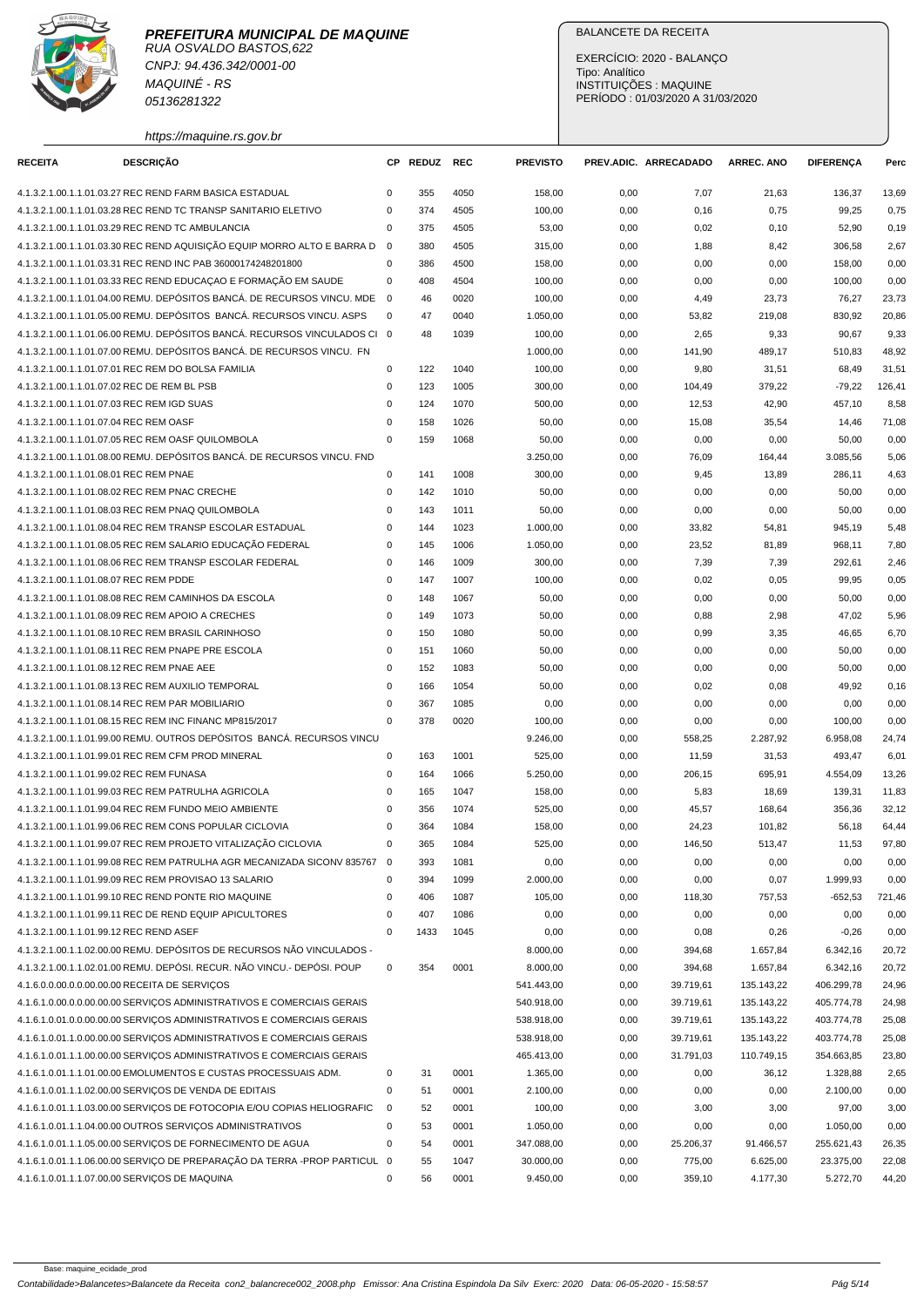

CNPJ: 94.436.342/0001-00 MAQUINÉ - RS 05136281322

https://maquine.rs.gov.br

## BALANCETE DA RECEITA

EXERCÍCIO: 2020 - BALANÇO Tipo: Analítico INSTITUIÇÕES : MAQUINE PERÍODO : 01/03/2020 A 31/03/2020

| <b>RECEITA</b>                              | <b>DESCRIÇÃO</b>                                                          |                | CP REDUZ | <b>REC</b> | <b>PREVISTO</b> |      | PREV.ADIC. ARRECADADO | <b>ARREC, ANO</b> | <b>DIFERENCA</b> | Perc   |
|---------------------------------------------|---------------------------------------------------------------------------|----------------|----------|------------|-----------------|------|-----------------------|-------------------|------------------|--------|
|                                             |                                                                           |                |          |            |                 |      |                       |                   |                  |        |
|                                             | 4.1.3.2.1.00.1.1.01.03.27 REC REND FARM BASICA ESTADUAL                   | 0              | 355      | 4050       | 158,00          | 0,00 | 7,07                  | 21,63             | 136,37           | 13,69  |
|                                             | 4.1.3.2.1.00.1.1.01.03.28 REC REND TC TRANSP SANITARIO ELETIVO            | $\mathbf 0$    | 374      | 4505       | 100,00          | 0,00 | 0,16                  | 0,75              | 99,25            | 0,75   |
|                                             | 4.1.3.2.1.00.1.1.01.03.29 REC REND TC AMBULANCIA                          | $\mathbf 0$    | 375      | 4505       | 53,00           | 0,00 | 0,02                  | 0, 10             | 52,90            | 0, 19  |
|                                             | 4.1.3.2.1.00.1.1.01.03.30 REC REND AQUISIÇÃO EQUIP MORRO ALTO E BARRA D   | $\overline{0}$ | 380      | 4505       | 315,00          | 0,00 | 1,88                  | 8,42              | 306,58           | 2,67   |
|                                             | 4.1.3.2.1.00.1.1.01.03.31 REC REND INC PAB 36000174248201800              | $\mathbf 0$    | 386      | 4500       | 158,00          | 0,00 | 0,00                  | 0,00              | 158,00           | 0,00   |
|                                             | 4.1.3.2.1.00.1.1.01.03.33 REC REND EDUCAÇÃO E FORMAÇÃO EM SAUDE           | $\mathbf 0$    | 408      | 4504       | 100,00          | 0,00 | 0,00                  | 0,00              | 100,00           | 0,00   |
|                                             | 4.1.3.2.1.00.1.1.01.04.00 REMU. DEPÓSITOS BANCÁ. DE RECURSOS VINCU. MDE   | $\overline{0}$ | 46       | 0020       | 100,00          | 0,00 | 4,49                  | 23,73             | 76,27            | 23,73  |
|                                             | 4.1.3.2.1.00.1.1.01.05.00 REMU. DEPÓSITOS BANCÁ. RECURSOS VINCU. ASPS     | 0              | 47       | 0040       | 1.050,00        | 0,00 | 53,82                 | 219,08            | 830,92           | 20,86  |
|                                             | 4.1.3.2.1.00.1.1.01.06.00 REMU. DEPÓSITOS BANCÁ. RECURSOS VINCULADOS CI 0 |                | 48       | 1039       | 100,00          | 0,00 | 2,65                  | 9,33              | 90,67            | 9,33   |
|                                             | 4.1.3.2.1.00.1.1.01.07.00 REMU. DEPÓSITOS BANCÁ. DE RECURSOS VINCU. FN    |                |          |            | 1.000,00        | 0,00 | 141,90                | 489,17            | 510,83           | 48,92  |
|                                             | 4.1.3.2.1.00.1.1.01.07.01 REC REM DO BOLSA FAMILIA                        | $\mathbf 0$    | 122      | 1040       | 100,00          | 0,00 | 9,80                  | 31,51             | 68,49            | 31,51  |
| 4.1.3.2.1.00.1.1.01.07.02 REC DE REM BL PSB |                                                                           | 0              | 123      | 1005       | 300,00          | 0,00 | 104,49                | 379,22            | $-79,22$         | 126,41 |
| 4.1.3.2.1.00.1.1.01.07.03 REC REM IGD SUAS  |                                                                           | $\mathbf 0$    | 124      | 1070       | 500,00          | 0,00 | 12,53                 | 42,90             | 457,10           | 8,58   |
| 4.1.3.2.1.00.1.1.01.07.04 REC REM OASF      |                                                                           | $\mathbf 0$    | 158      | 1026       | 50,00           | 0,00 | 15,08                 | 35,54             | 14,46            | 71,08  |
|                                             | 4.1.3.2.1.00.1.1.01.07.05 REC REM OASF QUILOMBOLA                         | $\Omega$       | 159      | 1068       | 50,00           | 0,00 | 0,00                  | 0,00              | 50,00            | 0,00   |
|                                             | 4.1.3.2.1.00.1.1.01.08.00 REMU. DEPÓSITOS BANCÁ. DE RECURSOS VINCU. FND   |                |          |            | 3.250,00        | 0,00 | 76,09                 | 164,44            | 3.085,56         | 5,06   |
| 4.1.3.2.1.00.1.1.01.08.01 REC REM PNAE      |                                                                           | $\mathbf 0$    | 141      | 1008       | 300,00          | 0,00 | 9,45                  | 13,89             | 286,11           | 4,63   |
|                                             | 4.1.3.2.1.00.1.1.01.08.02 REC REM PNAC CRECHE                             | $\mathbf 0$    | 142      | 1010       | 50,00           | 0,00 | 0,00                  | 0,00              | 50,00            | 0,00   |
|                                             | 4.1.3.2.1.00.1.1.01.08.03 REC REM PNAQ QUILOMBOLA                         | $\mathbf 0$    | 143      | 1011       | 50,00           | 0,00 | 0,00                  | 0,00              | 50,00            | 0,00   |
|                                             | 4.1.3.2.1.00.1.1.01.08.04 REC REM TRANSP ESCOLAR ESTADUAL                 | $\mathbf 0$    | 144      | 1023       | 1.000,00        | 0,00 | 33,82                 | 54,81             | 945,19           | 5,48   |
|                                             | 4.1.3.2.1.00.1.1.01.08.05 REC REM SALARIO EDUCAÇÃO FEDERAL                | $\mathbf 0$    | 145      | 1006       | 1.050,00        | 0,00 | 23,52                 | 81,89             | 968,11           | 7,80   |
|                                             | 4.1.3.2.1.00.1.1.01.08.06 REC REM TRANSP ESCOLAR FEDERAL                  | $\mathbf 0$    | 146      | 1009       | 300,00          | 0,00 | 7,39                  | 7,39              | 292,61           | 2,46   |
| 4.1.3.2.1.00.1.1.01.08.07 REC REM PDDE      |                                                                           | $\mathbf 0$    | 147      | 1007       | 100,00          | 0,00 | 0,02                  | 0,05              | 99,95            | 0,05   |
|                                             | 4.1.3.2.1.00.1.1.01.08.08 REC REM CAMINHOS DA ESCOLA                      | $\mathbf 0$    | 148      | 1067       | 50,00           | 0,00 | 0,00                  | 0,00              | 50,00            | 0,00   |
|                                             | 4.1.3.2.1.00.1.1.01.08.09 REC REM APOIO A CRECHES                         | $\mathbf 0$    | 149      | 1073       | 50,00           | 0,00 | 0,88                  | 2,98              | 47,02            | 5,96   |
|                                             | 4.1.3.2.1.00.1.1.01.08.10 REC REM BRASIL CARINHOSO                        | $\mathbf 0$    | 150      | 1080       | 50,00           | 0,00 | 0,99                  | 3,35              | 46,65            | 6,70   |
|                                             | 4.1.3.2.1.00.1.1.01.08.11 REC REM PNAPE PRE ESCOLA                        | $\mathbf 0$    | 151      | 1060       | 50,00           | 0,00 | 0,00                  | 0,00              | 50,00            | 0,00   |
| 4.1.3.2.1.00.1.1.01.08.12 REC REM PNAE AEE  |                                                                           | $\mathbf 0$    | 152      | 1083       | 50,00           | 0,00 | 0,00                  | 0,00              | 50,00            | 0,00   |
|                                             | 4.1.3.2.1.00.1.1.01.08.13 REC REM AUXILIO TEMPORAL                        | $\mathbf 0$    | 166      | 1054       | 50,00           | 0,00 | 0,02                  | 0,08              | 49,92            | 0, 16  |
|                                             | 4.1.3.2.1.00.1.1.01.08.14 REC REM PAR MOBILIARIO                          | 0              | 367      | 1085       | 0,00            | 0,00 | 0,00                  | 0,00              | 0,00             | 0,00   |
|                                             | 4.1.3.2.1.00.1.1.01.08.15 REC REM INC FINANC MP815/2017                   | $\mathbf 0$    | 378      | 0020       | 100,00          | 0,00 | 0,00                  | 0,00              | 100,00           | 0,00   |
|                                             | 4.1.3.2.1.00.1.1.01.99.00 REMU. OUTROS DEPÓSITOS BANCÁ. RECURSOS VINCU    |                |          |            | 9.246,00        | 0,00 | 558,25                | 2.287,92          | 6.958,08         | 24,74  |
|                                             | 4.1.3.2.1.00.1.1.01.99.01 REC REM CFM PROD MINERAL                        | 0              | 163      | 1001       | 525,00          | 0,00 | 11,59                 | 31,53             | 493,47           | 6,01   |
| 4.1.3.2.1.00.1.1.01.99.02 REC REM FUNASA    |                                                                           | $\mathbf 0$    | 164      | 1066       | 5.250,00        | 0,00 | 206,15                | 695,91            | 4.554,09         | 13,26  |
|                                             | 4.1.3.2.1.00.1.1.01.99.03 REC REM PATRULHA AGRICOLA                       | $\mathbf 0$    | 165      | 1047       | 158,00          | 0,00 | 5,83                  | 18,69             | 139,31           | 11,83  |
|                                             | 4.1.3.2.1.00.1.1.01.99.04 REC REM FUNDO MEIO AMBIENTE                     | $\mathbf 0$    | 356      | 1074       | 525,00          | 0,00 | 45,57                 | 168,64            | 356,36           | 32,12  |
|                                             | 4.1.3.2.1.00.1.1.01.99.06 REC REM CONS POPULAR CICLOVIA                   | $\mathbf 0$    | 364      | 1084       | 158,00          | 0,00 | 24,23                 | 101,82            | 56,18            | 64,44  |
|                                             | 4.1.3.2.1.00.1.1.01.99.07 REC REM PROJETO VITALIZAÇÃO CICLOVIA            | $\Omega$       | 365      | 1084       | 525,00          | 0,00 | 146,50                | 513,47            | 11,53            | 97,80  |
|                                             | 4.1.3.2.1.00.1.1.01.99.08 REC REM PATRULHA AGR MECANIZADA SICONV 835767 0 |                | 393      | 1081       | 0,00            | 0,00 | 0,00                  | 0,00              | 0,00             | 0,00   |
|                                             | 4.1.3.2.1.00.1.1.01.99.09 REC REM PROVISAO 13 SALARIO                     | 0              | 394      | 1099       | 2.000,00        | 0,00 | 0,00                  | 0,07              | 1.999,93         | 0,00   |
|                                             | 4.1.3.2.1.00.1.1.01.99.10 REC REND PONTE RIO MAQUINE                      | 0              | 406      | 1087       | 105,00          | 0,00 | 118,30                | 757,53            | $-652,53$        | 721,46 |
|                                             | 4.1.3.2.1.00.1.1.01.99.11 REC DE REND EQUIP APICULTORES                   | $\pmb{0}$      | 407      | 1086       | 0,00            | 0,00 | 0,00                  | 0,00              | 0,00             | 0,00   |
| 4.1.3.2.1.00.1.1.01.99.12 REC REND ASEF     |                                                                           | $\mathbf 0$    | 1433     | 1045       | 0,00            | 0,00 | 0,08                  | 0,26              | $-0,26$          | 0,00   |
|                                             | 4.1.3.2.1.00.1.1.02.00.00 REMU. DEPÓSITOS DE RECURSOS NÃO VINCULADOS -    |                |          |            | 8.000,00        | 0,00 | 394,68                | 1.657,84          | 6.342,16         | 20,72  |
|                                             | 4.1.3.2.1.00.1.1.02.01.00 REMU. DEPÓSI. RECUR. NÃO VINCU.- DEPÓSI. POUP   | $\mathbf 0$    | 354      | 0001       | 8.000,00        | 0,00 | 394,68                | 1.657,84          | 6.342,16         | 20,72  |
|                                             | 4.1.6.0.0.00.0.0.00.00.00 RECEITA DE SERVIÇOS                             |                |          |            | 541.443,00      | 0,00 | 39.719,61             | 135.143,22        | 406.299,78       | 24,96  |
|                                             | 4.1.6.1.0.00.0.0.00.00.00 SERVIÇOS ADMINISTRATIVOS E COMERCIAIS GERAIS    |                |          |            | 540.918,00      | 0,00 | 39.719,61             | 135.143,22        | 405.774,78       | 24,98  |
|                                             | 4.1.6.1.0.01.0.00.00.00.00 SERVIÇOS ADMINISTRATIVOS E COMERCIAIS GERAIS   |                |          |            | 538.918,00      | 0,00 | 39.719,61             | 135.143,22        | 403.774,78       | 25,08  |
|                                             | 4.1.6.1.0.01.1.0.00.00.00 SERVICOS ADMINISTRATIVOS E COMERCIAIS GERAIS    |                |          |            | 538.918,00      | 0,00 | 39.719,61             | 135.143,22        | 403.774,78       | 25,08  |
|                                             | 4.1.6.1.0.01.1.1.00.00.00 SERVIÇOS ADMINISTRATIVOS E COMERCIAIS GERAIS    |                |          |            | 465.413,00      | 0,00 | 31.791,03             | 110.749,15        | 354.663,85       | 23,80  |
|                                             | 4.1.6.1.0.01.1.1.01.00.00 EMOLUMENTOS E CUSTAS PROCESSUAIS ADM.           | 0              | 31       | 0001       | 1.365,00        | 0,00 | 0,00                  | 36,12             | 1.328,88         | 2,65   |
|                                             | 4.1.6.1.0.01.1.1.02.00.00 SERVIÇOS DE VENDA DE EDITAIS                    | 0              | 51       | 0001       | 2.100,00        | 0,00 | 0,00                  | 0,00              | 2.100,00         | 0,00   |
|                                             | 4.1.6.1.0.01.1.1.03.00.00 SERVIÇOS DE FOTOCOPIA E/OU COPIAS HELIOGRAFIC   | $\mathbf 0$    | 52       | 0001       | 100,00          | 0,00 | 3,00                  | 3,00              | 97,00            | 3,00   |
|                                             | 4.1.6.1.0.01.1.1.04.00.00 OUTROS SERVIÇOS ADMINISTRATIVOS                 | 0              | 53       | 0001       | 1.050,00        | 0,00 | 0,00                  | 0,00              | 1.050,00         | 0,00   |
|                                             | 4.1.6.1.0.01.1.1.05.00.00 SERVIÇOS DE FORNECIMENTO DE AGUA                | 0              | 54       | 0001       | 347.088,00      | 0,00 | 25.206,37             | 91.466,57         | 255.621,43       | 26,35  |
|                                             | 4.1.6.1.0.01.1.1.06.00.00 SERVIÇO DE PREPARAÇÃO DA TERRA -PROP PARTICUL 0 |                | 55       | 1047       | 30.000,00       | 0,00 | 775,00                | 6.625,00          | 23.375,00        | 22,08  |
|                                             | 4.1.6.1.0.01.1.1.07.00.00 SERVIÇOS DE MAQUINA                             | 0              | 56       | 0001       | 9.450,00        | 0,00 | 359,10                | 4.177,30          | 5.272,70         | 44,20  |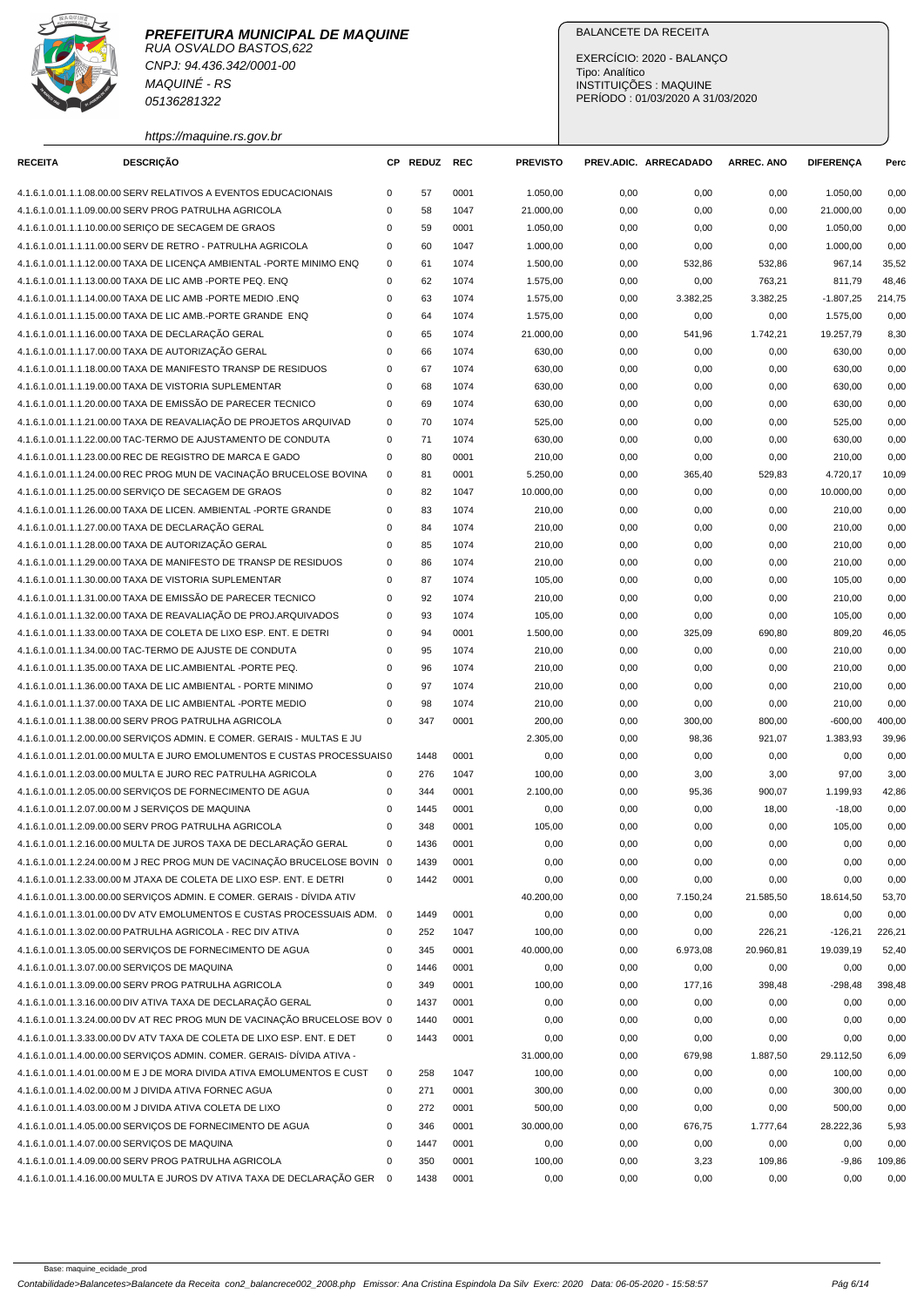

CNPJ: 94.436.342/0001-00 MAQUINÉ - RS 05136281322

## BALANCETE DA RECEITA

EXERCÍCIO: 2020 - BALANÇO Tipo: Analítico INSTITUIÇÕES : MAQUINE PERÍODO : 01/03/2020 A 31/03/2020

https://maquine.rs.gov.br

| <b>RECEITA</b> | <b>DESCRIÇÃO</b>                                                                                                                                     |             | CP REDUZ    | <b>REC</b> | <b>PREVISTO</b>   |              | PREV.ADIC. ARRECADADO | <b>ARREC. ANO</b> | <b>DIFERENÇA</b>     | Perc          |
|----------------|------------------------------------------------------------------------------------------------------------------------------------------------------|-------------|-------------|------------|-------------------|--------------|-----------------------|-------------------|----------------------|---------------|
|                | 4.1.6.1.0.01.1.1.08.00.00 SERV RELATIVOS A EVENTOS EDUCACIONAIS                                                                                      | 0           | 57          | 0001       | 1.050,00          | 0,00         | 0,00                  | 0,00              | 1.050,00             | 0,00          |
|                | 4.1.6.1.0.01.1.1.09.00.00 SERV PROG PATRULHA AGRICOLA                                                                                                | 0           | 58          | 1047       | 21.000,00         | 0,00         | 0,00                  | 0,00              | 21.000,00            | 0,00          |
|                | 4.1.6.1.0.01.1.1.10.00.00 SERIÇO DE SECAGEM DE GRAOS                                                                                                 | $\Omega$    | 59          | 0001       | 1.050,00          | 0,00         | 0,00                  | 0,00              | 1.050,00             | 0,00          |
|                | 4.1.6.1.0.01.1.1.11.00.00 SERV DE RETRO - PATRULHA AGRICOLA                                                                                          | 0           | 60          | 1047       | 1.000,00          | 0,00         | 0,00                  | 0,00              | 1.000,00             | 0,00          |
|                | 4.1.6.1.0.01.1.1.12.00.00 TAXA DE LICENÇA AMBIENTAL -PORTE MINIMO ENQ                                                                                | 0           | 61          | 1074       | 1.500,00          | 0,00         | 532,86                | 532,86            | 967,14               | 35,52         |
|                | 4.1.6.1.0.01.1.1.13.00.00 TAXA DE LIC AMB -PORTE PEQ. ENQ                                                                                            | 0           | 62          | 1074       | 1.575,00          | 0,00         | 0,00                  | 763,21            | 811,79               | 48,46         |
|                | 4.1.6.1.0.01.1.1.14.00.00 TAXA DE LIC AMB - PORTE MEDIO .ENQ                                                                                         | 0           | 63          | 1074       | 1.575,00          | 0,00         | 3.382,25              | 3.382,25          | $-1.807,25$          | 214,75        |
|                | 4.1.6.1.0.01.1.1.15.00.00 TAXA DE LIC AMB.-PORTE GRANDE ENQ                                                                                          | 0           | 64          | 1074       | 1.575,00          | 0,00         | 0,00                  | 0,00              | 1.575,00             | 0,00          |
|                | 4.1.6.1.0.01.1.1.16.00.00 TAXA DE DECLARAÇÃO GERAL                                                                                                   | 0           | 65          | 1074       | 21.000,00         | 0,00         | 541,96                | 1.742,21          | 19.257,79            | 8,30          |
|                | 4.1.6.1.0.01.1.1.17.00.00 TAXA DE AUTORIZAÇÃO GERAL                                                                                                  | 0           | 66          | 1074       | 630,00            | 0,00         | 0,00                  | 0,00              | 630,00               | 0,00          |
|                | 4.1.6.1.0.01.1.1.18.00.00 TAXA DE MANIFESTO TRANSP DE RESIDUOS                                                                                       | 0           | 67          | 1074       | 630,00            | 0,00         | 0,00                  | 0,00              | 630,00               | 0,00          |
|                | 4.1.6.1.0.01.1.1.19.00.00 TAXA DE VISTORIA SUPLEMENTAR                                                                                               | $\Omega$    | 68          | 1074       | 630,00            | 0,00         | 0,00                  | 0,00              | 630,00               | 0,00          |
|                | 4.1.6.1.0.01.1.1.20.00.00 TAXA DE EMISSÃO DE PARECER TECNICO                                                                                         | 0           | 69          | 1074       | 630,00            | 0,00         | 0,00                  | 0,00              | 630,00               | 0,00          |
|                | 4.1.6.1.0.01.1.1.21.00.00 TAXA DE REAVALIAÇÃO DE PROJETOS ARQUIVAD                                                                                   | 0           | 70          | 1074       | 525,00            | 0,00         | 0,00                  | 0,00              | 525,00               | 0,00          |
|                | 4.1.6.1.0.01.1.1.22.00.00 TAC-TERMO DE AJUSTAMENTO DE CONDUTA                                                                                        | 0           | 71          | 1074       | 630,00            | 0,00         | 0,00                  | 0,00              | 630,00               | 0,00          |
|                | 4.1.6.1.0.01.1.1.23.00.00 REC DE REGISTRO DE MARCA E GADO                                                                                            | 0           | 80          | 0001       | 210,00            | 0,00         | 0,00                  | 0,00              | 210,00               | 0,00          |
|                | 4.1.6.1.0.01.1.1.24.00.00 REC PROG MUN DE VACINAÇÃO BRUCELOSE BOVINA                                                                                 | $\mathsf 0$ | 81          | 0001       | 5.250,00          | 0,00         | 365,40                | 529,83            | 4.720,17             | 10,09         |
|                | 4.1.6.1.0.01.1.1.25.00.00 SERVIÇO DE SECAGEM DE GRAOS                                                                                                | 0           | 82          | 1047       | 10.000,00         | 0,00         | 0,00                  | 0,00              | 10.000,00            | 0,00          |
|                | 4.1.6.1.0.01.1.1.26.00.00 TAXA DE LICEN. AMBIENTAL -PORTE GRANDE                                                                                     | 0           | 83          | 1074       | 210,00            | 0,00         | 0,00                  | 0,00              | 210,00               | 0,00          |
|                | 4.1.6.1.0.01.1.1.27.00.00 TAXA DE DECLARAÇÃO GERAL                                                                                                   | 0           | 84          | 1074       | 210,00            | 0,00         | 0,00                  | 0,00              | 210,00               | 0,00          |
|                | 4.1.6.1.0.01.1.1.28.00.00 TAXA DE AUTORIZAÇÃO GERAL                                                                                                  | $\Omega$    | 85          | 1074       | 210,00            | 0,00         | 0,00                  | 0,00              | 210,00               | 0,00          |
|                | 4.1.6.1.0.01.1.1.29.00.00 TAXA DE MANIFESTO DE TRANSP DE RESIDUOS                                                                                    | 0           | 86          | 1074       | 210,00            | 0,00         | 0,00                  | 0,00              | 210,00               | 0,00          |
|                | 4.1.6.1.0.01.1.1.30.00.00 TAXA DE VISTORIA SUPLEMENTAR                                                                                               | 0           | 87          | 1074       | 105,00            | 0,00         | 0,00                  | 0,00              | 105,00               | 0,00          |
|                | 4.1.6.1.0.01.1.1.31.00.00 TAXA DE EMISSÃO DE PARECER TECNICO                                                                                         | 0           | 92          | 1074       | 210,00            | 0,00         | 0,00                  | 0,00              | 210,00               | 0,00          |
|                | 4.1.6.1.0.01.1.1.32.00.00 TAXA DE REAVALIAÇÃO DE PROJ.ARQUIVADOS                                                                                     | 0           | 93          | 1074       | 105,00            | 0,00         | 0,00                  | 0,00              | 105,00               | 0,00          |
|                | 4.1.6.1.0.01.1.1.33.00.00 TAXA DE COLETA DE LIXO ESP. ENT. E DETRI                                                                                   | 0           | 94          | 0001       | 1.500,00          | 0,00         | 325,09                | 690,80            | 809,20               | 46,05         |
|                | 4.1.6.1.0.01.1.1.34.00.00 TAC-TERMO DE AJUSTE DE CONDUTA                                                                                             | 0           | 95          | 1074       | 210,00            | 0,00         | 0,00                  | 0,00              | 210,00               | 0,00          |
|                | 4.1.6.1.0.01.1.1.35.00.00 TAXA DE LIC.AMBIENTAL -PORTE PEQ.                                                                                          | 0           | 96          | 1074       | 210,00            | 0,00         | 0,00                  | 0,00              | 210,00               | 0,00          |
|                | 4.1.6.1.0.01.1.1.36.00.00 TAXA DE LIC AMBIENTAL - PORTE MINIMO                                                                                       | 0           | 97          | 1074       | 210,00            | 0,00         | 0,00                  | 0,00              | 210,00               | 0,00          |
|                | 4.1.6.1.0.01.1.1.37.00.00 TAXA DE LIC AMBIENTAL -PORTE MEDIO                                                                                         | $\Omega$    | 98          | 1074       | 210,00            | 0,00         | 0,00                  | 0,00              | 210,00               | 0,00          |
|                | 4.1.6.1.0.01.1.1.38.00.00 SERV PROG PATRULHA AGRICOLA                                                                                                | 0           | 347         | 0001       | 200,00            | 0,00         | 300,00                | 800,00            | $-600,00$            | 400,00        |
|                |                                                                                                                                                      |             |             |            | 2.305,00          |              |                       |                   | 1.383,93             | 39,96         |
|                | 4.1.6.1.0.01.1.2.00.00.00 SERVIÇOS ADMIN. E COMER. GERAIS - MULTAS E JU<br>4.1.6.1.0.01.1.2.01.00.00 MULTA E JURO EMOLUMENTOS E CUSTAS PROCESSUAIS 0 |             |             | 0001       |                   | 0,00         | 98,36                 | 921,07            |                      |               |
|                | 4.1.6.1.0.01.1.2.03.00.00 MULTA E JURO REC PATRULHA AGRICOLA                                                                                         | 0           | 1448<br>276 | 1047       | 0,00<br>100,00    | 0,00         | 0,00                  | 0,00              | 0,00<br>97,00        | 0,00<br>3,00  |
|                | 4.1.6.1.0.01.1.2.05.00.00 SERVIÇOS DE FORNECIMENTO DE AGUA                                                                                           | 0           | 344         | 0001       |                   | 0,00         | 3,00                  | 3,00              |                      | 42,86         |
|                | 4.1.6.1.0.01.1.2.07.00.00 M J SERVIÇOS DE MAQUINA                                                                                                    | 0           | 1445        | 0001       | 2.100,00<br>0,00  | 0,00<br>0,00 | 95,36<br>0,00         | 900,07<br>18,00   | 1.199,93<br>$-18,00$ | 0,00          |
|                | 4.1.6.1.0.01.1.2.09.00.00 SERV PROG PATRULHA AGRICOLA                                                                                                | 0           | 348         | 0001       |                   |              | 0,00                  | 0,00              | 105,00               | 0,00          |
|                | 4.1.6.1.0.01.1.2.16.00.00 MULTA DE JUROS TAXA DE DECLARAÇÃO GERAL                                                                                    |             | 1436        | 0001       | 105,00            | 0,00         |                       |                   | 0,00                 | 0,00          |
|                | 4.1.6.1.0.01.1.2.24.00.00 M J REC PROG MUN DE VACINAÇÃO BRUCELOSE BOVIN 0                                                                            | 0           | 1439        | 0001       | 0,00              | 0,00         | 0,00                  | 0,00              |                      |               |
|                | 4.1.6.1.0.01.1.2.33.00.00 M JTAXA DE COLETA DE LIXO ESP. ENT. E DETRI                                                                                | 0           | 1442        | 0001       | 0,00<br>0,00      | 0,00<br>0,00 | 0,00<br>0,00          | 0,00              | 0,00<br>0,00         | 0,00<br>0,00  |
|                |                                                                                                                                                      |             |             |            |                   |              |                       | 0,00              |                      |               |
|                | 4.1.6.1.0.01.1.3.00.00.00 SERVIÇOS ADMIN. E COMER. GERAIS - DÍVIDA ATIV<br>4.1.6.1.0.01.1.3.01.00.00 DV ATV EMOLUMENTOS E CUSTAS PROCESSUAIS ADM. 0  |             |             | 0001       | 40.200,00<br>0,00 | 0,00         | 7.150,24              | 21.585,50         | 18.614,50            | 53,70<br>0,00 |
|                | 4.1.6.1.0.01.1.3.02.00.00 PATRULHA AGRICOLA - REC DIV ATIVA                                                                                          | 0           | 1449<br>252 | 1047       | 100,00            | 0,00<br>0,00 | 0,00                  | 0,00<br>226,21    | 0,00<br>$-126,21$    | 226,21        |
|                | 4.1.6.1.0.01.1.3.05.00.00 SERVIÇOS DE FORNECIMENTO DE AGUA                                                                                           | 0           | 345         | 0001       | 40.000,00         |              | 0,00<br>6.973,08      | 20.960,81         | 19.039,19            | 52,40         |
|                | 4.1.6.1.0.01.1.3.07.00.00 SERVIÇOS DE MAQUINA                                                                                                        | 0           | 1446        | 0001       | 0,00              | 0,00<br>0,00 | 0,00                  | 0,00              | 0,00                 | 0,00          |
|                | 4.1.6.1.0.01.1.3.09.00.00 SERV PROG PATRULHA AGRICOLA                                                                                                | 0           | 349         | 0001       | 100,00            |              |                       | 398,48            |                      |               |
|                |                                                                                                                                                      | 0           |             |            |                   | 0,00         | 177,16                |                   | $-298,48$            | 398,48        |
|                | 4.1.6.1.0.01.1.3.16.00.00 DIV ATIVA TAXA DE DECLARAÇÃO GERAL                                                                                         |             | 1437        | 0001       | 0,00              | 0,00         | 0,00                  | 0,00              | 0,00                 | 0,00          |
|                | 4.1.6.1.0.01.1.3.24.00.00 DV AT REC PROG MUN DE VACINAÇÃO BRUCELOSE BOV 0                                                                            |             | 1440        | 0001       | 0,00              | 0,00         | 0,00                  | 0,00              | 0,00                 | 0,00          |
|                | 4.1.6.1.0.01.1.3.33.00.00 DV ATV TAXA DE COLETA DE LIXO ESP. ENT. E DET                                                                              | 0           | 1443        | 0001       | 0,00              | 0,00         | 0,00                  | 0,00              | 0,00                 | 0,00          |
|                | 4.1.6.1.0.01.1.4.00.00.00 SERVIÇOS ADMIN. COMER. GERAIS- DÍVIDA ATIVA -                                                                              |             |             |            | 31.000,00         | 0,00         | 679,98                | 1.887,50          | 29.112,50            | 6,09          |
|                | 4.1.6.1.0.01.1.4.01.00.00 M E J DE MORA DIVIDA ATIVA EMOLUMENTOS E CUST                                                                              | 0           | 258         | 1047       | 100,00            | 0,00         | 0,00                  | 0,00              | 100,00               | 0,00          |
|                | 4.1.6.1.0.01.1.4.02.00.00 M J DIVIDA ATIVA FORNEC AGUA                                                                                               | 0           | 271         | 0001       | 300,00            | 0,00         | 0,00                  | 0,00              | 300,00               | 0,00          |
|                | 4.1.6.1.0.01.1.4.03.00.00 M J DIVIDA ATIVA COLETA DE LIXO                                                                                            | 0           | 272         | 0001       | 500,00            | 0,00         | 0,00                  | 0,00              | 500,00               | 0,00          |
|                | 4.1.6.1.0.01.1.4.05.00.00 SERVIÇOS DE FORNECIMENTO DE AGUA                                                                                           | 0           | 346         | 0001       | 30.000,00         | 0,00         | 676,75                | 1.777,64          | 28.222,36            | 5,93          |
|                | 4.1.6.1.0.01.1.4.07.00.00 SERVIÇOS DE MAQUINA                                                                                                        | $\Omega$    | 1447        | 0001       | 0,00              | 0,00         | 0,00                  | 0,00              | 0,00                 | 0,00          |
|                | 4.1.6.1.0.01.1.4.09.00.00 SERV PROG PATRULHA AGRICOLA                                                                                                | 0           | 350         | 0001       | 100,00            | 0,00         | 3,23                  | 109,86            | $-9,86$              | 109,86        |
|                | 4.1.6.1.0.01.1.4.16.00.00 MULTA E JUROS DV ATIVA TAXA DE DECLARAÇÃO GER 0                                                                            |             | 1438        | 0001       | 0,00              | 0,00         | 0,00                  | 0,00              | 0,00                 | 0,00          |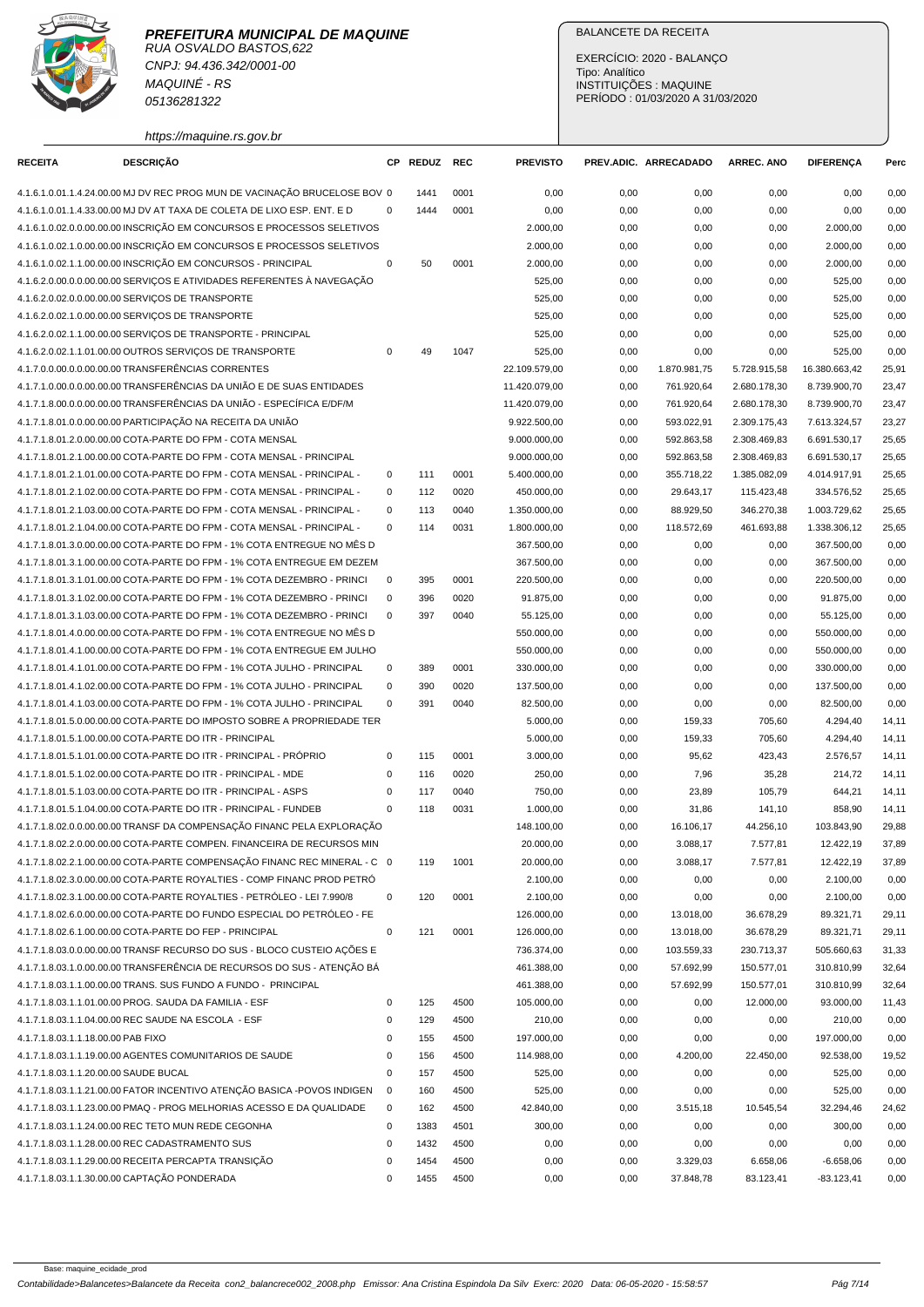

CNPJ: 94.436.342/0001-00 MAQUINÉ - RS 05136281322

https://maquine.rs.gov.br

## BALANCETE DA RECEITA

EXERCÍCIO: 2020 - BALANÇO Tipo: Analítico INSTITUIÇÕES : MAQUINE PERÍODO : 01/03/2020 A 31/03/2020

| <b>RECEITA</b>                        | <b>DESCRIÇÃO</b>                                                          | СP          | <b>REDUZ</b> | <b>REC</b> | <b>PREVISTO</b> |      | PREV.ADIC. ARRECADADO | <b>ARREC. ANO</b> | <b>DIFERENÇA</b> | Perc  |
|---------------------------------------|---------------------------------------------------------------------------|-------------|--------------|------------|-----------------|------|-----------------------|-------------------|------------------|-------|
|                                       | 4.1.6.1.0.01.1.4.24.00.00 MJ DV REC PROG MUN DE VACINAÇÃO BRUCELOSE BOV 0 |             | 1441         | 0001       | 0,00            | 0,00 | 0,00                  | 0,00              | 0,00             | 0,00  |
|                                       | 4.1.6.1.0.01.1.4.33.00.00 MJ DV AT TAXA DE COLETA DE LIXO ESP. ENT. E D   | $\mathbf 0$ | 1444         | 0001       | 0,00            | 0,00 | 0,00                  | 0,00              | 0,00             | 0,00  |
|                                       | 4.1.6.1.0.02.0.0.00.00.00 INSCRIÇÃO EM CONCURSOS E PROCESSOS SELETIVOS    |             |              |            | 2.000,00        | 0,00 | 0,00                  | 0,00              | 2.000,00         | 0,00  |
|                                       | 4.1.6.1.0.02.1.0.00.00.00 INSCRIÇÃO EM CONCURSOS E PROCESSOS SELETIVOS    |             |              |            | 2.000,00        | 0,00 | 0,00                  | 0,00              | 2.000,00         | 0,00  |
|                                       | 4.1.6.1.0.02.1.1.00.00.00 INSCRIÇÃO EM CONCURSOS - PRINCIPAL              | $\mathbf 0$ | 50           | 0001       | 2.000,00        | 0,00 | 0,00                  | 0,00              | 2.000,00         | 0,00  |
|                                       | 4.1.6.2.0.00.0.0.00.00.00 SERVIÇOS E ATIVIDADES REFERENTES À NAVEGAÇÃO    |             |              |            | 525,00          | 0,00 | 0,00                  | 0,00              | 525,00           | 0,00  |
|                                       | 4.1.6.2.0.02.0.0.00.00.00 SERVIÇOS DE TRANSPORTE                          |             |              |            | 525,00          | 0,00 | 0,00                  | 0,00              | 525,00           | 0,00  |
|                                       | 4.1.6.2.0.02.1.0.00.00.00 SERVIÇOS DE TRANSPORTE                          |             |              |            | 525,00          | 0,00 | 0,00                  | 0,00              | 525,00           | 0,00  |
|                                       | 4.1.6.2.0.02.1.1.00.00.00 SERVIÇOS DE TRANSPORTE - PRINCIPAL              |             |              |            | 525,00          | 0,00 | 0,00                  | 0,00              | 525,00           | 0,00  |
|                                       | 4.1.6.2.0.02.1.1.01.00.00 OUTROS SERVICOS DE TRANSPORTE                   | 0           | 49           | 1047       | 525,00          | 0,00 | 0,00                  | 0,00              | 525,00           | 0,00  |
|                                       | 4.1.7.0.0.00.0.0.00.00.00 TRANSFERÊNCIAS CORRENTES                        |             |              |            | 22.109.579,00   | 0,00 | 1.870.981,75          | 5.728.915,58      | 16.380.663,42    | 25,91 |
|                                       | 4.1.7.1.0.00.0.0.00.00.00 TRANSFERÊNCIAS DA UNIÃO E DE SUAS ENTIDADES     |             |              |            | 11.420.079,00   | 0,00 | 761.920,64            | 2.680.178,30      | 8.739.900,70     | 23,47 |
|                                       | 4.1.7.1.8.00.0.0.00.00.00 TRANSFERÊNCIAS DA UNIÃO - ESPECÍFICA E/DF/M     |             |              |            | 11.420.079,00   | 0,00 | 761.920,64            | 2.680.178,30      | 8.739.900,70     | 23,47 |
|                                       | 4.1.7.1.8.01.0.0.00.00.00 PARTICIPAÇÃO NA RECEITA DA UNIÃO                |             |              |            | 9.922.500,00    | 0,00 | 593.022,91            | 2.309.175,43      | 7.613.324,57     | 23,27 |
|                                       | 4.1.7.1.8.01.2.0.00.00.00 COTA-PARTE DO FPM - COTA MENSAL                 |             |              |            | 9.000.000,00    | 0,00 | 592.863,58            | 2.308.469,83      | 6.691.530,17     | 25,65 |
|                                       | 4.1.7.1.8.01.2.1.00.00.00 COTA-PARTE DO FPM - COTA MENSAL - PRINCIPAL     |             |              |            | 9.000.000,00    | 0,00 | 592.863,58            | 2.308.469,83      | 6.691.530,17     | 25,65 |
|                                       | 4.1.7.1.8.01.2.1.01.00.00 COTA-PARTE DO FPM - COTA MENSAL - PRINCIPAL -   | 0           | 111          | 0001       | 5.400.000,00    | 0,00 | 355.718,22            | 1.385.082.09      | 4.014.917,91     | 25,65 |
|                                       | 4.1.7.1.8.01.2.1.02.00.00 COTA-PARTE DO FPM - COTA MENSAL - PRINCIPAL -   | $\mathbf 0$ | 112          | 0020       | 450.000,00      | 0,00 | 29.643,17             | 115.423,48        | 334.576,52       | 25,65 |
|                                       | 4.1.7.1.8.01.2.1.03.00.00 COTA-PARTE DO FPM - COTA MENSAL - PRINCIPAL -   | $\mathbf 0$ | 113          | 0040       | 1.350.000,00    | 0,00 | 88.929,50             | 346.270.38        | 1.003.729,62     | 25,65 |
|                                       | 4.1.7.1.8.01.2.1.04.00.00 COTA-PARTE DO FPM - COTA MENSAL - PRINCIPAL -   | $\mathbf 0$ | 114          | 0031       | 1.800.000,00    | 0,00 | 118.572,69            | 461.693,88        | 1.338.306,12     | 25,65 |
|                                       | 4.1.7.1.8.01.3.0.00.00.00 COTA-PARTE DO FPM - 1% COTA ENTREGUE NO MÊS D   |             |              |            | 367.500,00      | 0,00 | 0,00                  | 0,00              | 367.500,00       | 0,00  |
|                                       | 4.1.7.1.8.01.3.1.00.00.00 COTA-PARTE DO FPM - 1% COTA ENTREGUE EM DEZEM   |             |              |            | 367.500,00      | 0,00 | 0,00                  | 0,00              | 367.500,00       | 0,00  |
|                                       | 4.1.7.1.8.01.3.1.01.00.00 COTA-PARTE DO FPM - 1% COTA DEZEMBRO - PRINCI   | $\mathbf 0$ | 395          | 0001       | 220.500,00      | 0,00 | 0,00                  | 0,00              | 220.500,00       | 0,00  |
|                                       | 4.1.7.1.8.01.3.1.02.00.00 COTA-PARTE DO FPM - 1% COTA DEZEMBRO - PRINCI   | $\mathbf 0$ | 396          | 0020       | 91.875,00       | 0,00 | 0,00                  | 0,00              | 91.875,00        | 0,00  |
|                                       | 4.1.7.1.8.01.3.1.03.00.00 COTA-PARTE DO FPM - 1% COTA DEZEMBRO - PRINCI   | $\mathbf 0$ | 397          | 0040       | 55.125,00       | 0,00 | 0,00                  | 0,00              | 55.125,00        | 0,00  |
|                                       | 4.1.7.1.8.01.4.0.00.00.00 COTA-PARTE DO FPM - 1% COTA ENTREGUE NO MÉS D   |             |              |            | 550.000,00      | 0,00 | 0,00                  | 0,00              | 550.000,00       | 0,00  |
|                                       | 4.1.7.1.8.01.4.1.00.00.00 COTA-PARTE DO FPM - 1% COTA ENTREGUE EM JULHO   |             |              |            | 550.000,00      | 0,00 | 0,00                  | 0,00              | 550.000,00       | 0,00  |
|                                       | 4.1.7.1.8.01.4.1.01.00.00 COTA-PARTE DO FPM - 1% COTA JULHO - PRINCIPAL   | 0           | 389          | 0001       | 330.000,00      | 0,00 | 0,00                  | 0,00              | 330.000,00       | 0,00  |
|                                       | 4.1.7.1.8.01.4.1.02.00.00 COTA-PARTE DO FPM - 1% COTA JULHO - PRINCIPAL   | $\mathbf 0$ | 390          | 0020       | 137.500,00      | 0,00 | 0,00                  | 0,00              | 137.500,00       | 0,00  |
|                                       | 4.1.7.1.8.01.4.1.03.00.00 COTA-PARTE DO FPM - 1% COTA JULHO - PRINCIPAL   | $\mathbf 0$ | 391          | 0040       | 82.500,00       | 0,00 | 0,00                  | 0,00              | 82.500,00        | 0,00  |
|                                       | 4.1.7.1.8.01.5.0.00.00.00 COTA-PARTE DO IMPOSTO SOBRE A PROPRIEDADE TER   |             |              |            | 5.000,00        | 0,00 | 159,33                | 705,60            | 4.294,40         | 14,11 |
|                                       | 4.1.7.1.8.01.5.1.00.00.00 COTA-PARTE DO ITR - PRINCIPAL                   |             |              |            | 5.000,00        | 0,00 | 159,33                | 705,60            | 4.294,40         | 14,11 |
|                                       | 4.1.7.1.8.01.5.1.01.00.00 COTA-PARTE DO ITR - PRINCIPAL - PRÓPRIO         | $\mathbf 0$ | 115          | 0001       | 3.000,00        | 0,00 | 95,62                 | 423,43            | 2.576,57         | 14,11 |
|                                       | 4.1.7.1.8.01.5.1.02.00.00 COTA-PARTE DO ITR - PRINCIPAL - MDE             | 0           | 116          | 0020       | 250,00          | 0,00 | 7,96                  | 35,28             | 214,72           | 14,11 |
|                                       | 4.1.7.1.8.01.5.1.03.00.00 COTA-PARTE DO ITR - PRINCIPAL - ASPS            | 0           | 117          | 0040       | 750,00          | 0,00 | 23,89                 | 105,79            | 644,21           | 14,11 |
|                                       | 4.1.7.1.8.01.5.1.04.00.00 COTA-PARTE DO ITR - PRINCIPAL - FUNDEB          | $\mathbf 0$ | 118          | 0031       | 1.000,00        | 0,00 | 31,86                 | 141,10            | 858,90           | 14,11 |
|                                       | 4.1.7.1.8.02.0.0.00.00.00 TRANSF DA COMPENSAÇÃO FINANC PELA EXPLORAÇÃO    |             |              |            | 148.100,00      | 0,00 | 16.106,17             | 44.256,10         | 103.843,90       | 29,88 |
|                                       | 4.1.7.1.8.02.2.0.00.00.00 COTA-PARTE COMPEN. FINANCEIRA DE RECURSOS MIN   |             |              |            | 20.000,00       | 0,00 | 3.088,17              | 7.577,81          | 12.422,19        | 37,89 |
|                                       | 4.1.7.1.8.02.2.1.00.00.00 COTA-PARTE COMPENSAÇÃO FINANC REC MINERAL - C 0 |             | 119          | 1001       | 20.000,00       | 0,00 | 3.088,17              | 7.577,81          | 12.422,19        | 37,89 |
|                                       | 4.1.7.1.8.02.3.0.00.00.00 COTA-PARTE ROYALTIES - COMP FINANC PROD PETRÓ   |             |              |            | 2.100,00        | 0,00 | 0,00                  | 0,00              | 2.100,00         | 0,00  |
|                                       | 4.1.7.1.8.02.3.1.00.00.00 COTA-PARTE ROYALTIES - PETRÓLEO - LEI 7.990/8   | $\mathbf 0$ | 120          | 0001       | 2.100,00        | 0,00 | 0,00                  | 0,00              | 2.100,00         | 0,00  |
|                                       | 4.1.7.1.8.02.6.0.00.00.00 COTA-PARTE DO FUNDO ESPECIAL DO PETRÓLEO - FE   |             |              |            | 126.000,00      | 0,00 | 13.018,00             | 36.678,29         | 89.321,71        | 29,11 |
|                                       | 4.1.7.1.8.02.6.1.00.00.00 COTA-PARTE DO FEP - PRINCIPAL                   | $\mathbf 0$ | 121          | 0001       | 126.000,00      | 0,00 | 13.018,00             | 36.678,29         | 89.321,71        | 29,11 |
|                                       | 4.1.7.1.8.03.0.0.00.00.00 TRANSF RECURSO DO SUS - BLOCO CUSTEIO AÇÕES E   |             |              |            | 736.374,00      | 0,00 | 103.559,33            | 230.713,37        | 505.660,63       | 31,33 |
|                                       | 4.1.7.1.8.03.1.0.00.00.00 TRANSFERÊNCIA DE RECURSOS DO SUS - ATENÇÃO BÁ   |             |              |            | 461.388,00      | 0,00 | 57.692,99             | 150.577,01        | 310.810,99       | 32,64 |
|                                       | 4.1.7.1.8.03.1.1.00.00.00 TRANS. SUS FUNDO A FUNDO - PRINCIPAL            |             |              |            | 461.388,00      | 0,00 | 57.692,99             | 150.577,01        | 310.810,99       | 32,64 |
|                                       | 4.1.7.1.8.03.1.1.01.00.00 PROG. SAUDA DA FAMILIA - ESF                    | $\pmb{0}$   | 125          | 4500       | 105.000,00      | 0,00 | 0,00                  | 12.000,00         | 93.000,00        | 11,43 |
|                                       | 4.1.7.1.8.03.1.1.04.00.00 REC SAUDE NA ESCOLA - ESF                       | $\pmb{0}$   | 129          | 4500       | 210,00          | 0,00 | 0,00                  | 0,00              | 210,00           | 0,00  |
| 4.1.7.1.8.03.1.1.18.00.00 PAB FIXO    |                                                                           | $\mathbf 0$ | 155          | 4500       | 197.000,00      | 0,00 | 0,00                  | 0,00              | 197.000,00       | 0,00  |
|                                       | 4.1.7.1.8.03.1.1.19.00.00 AGENTES COMUNITARIOS DE SAUDE                   | $\mathbf 0$ | 156          | 4500       | 114.988,00      | 0,00 | 4.200,00              | 22.450,00         | 92.538,00        | 19,52 |
| 4.1.7.1.8.03.1.1.20.00.00 SAUDE BUCAL |                                                                           | $\mathbf 0$ | 157          | 4500       | 525,00          | 0,00 | 0,00                  | 0,00              | 525,00           | 0,00  |
|                                       | 4.1.7.1.8.03.1.1.21.00.00 FATOR INCENTIVO ATENÇÃO BASICA -POVOS INDIGEN   | 0           | 160          | 4500       | 525,00          | 0,00 | 0,00                  | 0,00              | 525,00           | 0,00  |
|                                       | 4.1.7.1.8.03.1.1.23.00.00 PMAQ - PROG MELHORIAS ACESSO E DA QUALIDADE     | 0           | 162          | 4500       | 42.840,00       | 0,00 | 3.515,18              | 10.545,54         | 32.294,46        | 24,62 |
|                                       | 4.1.7.1.8.03.1.1.24.00.00 REC TETO MUN REDE CEGONHA                       | $\mathbf 0$ | 1383         | 4501       | 300,00          | 0,00 | 0,00                  | 0,00              | 300,00           | 0,00  |
|                                       | 4.1.7.1.8.03.1.1.28.00.00 REC CADASTRAMENTO SUS                           | 0           | 1432         | 4500       | 0,00            | 0,00 | 0,00                  | 0,00              | 0,00             | 0,00  |
|                                       | 4.1.7.1.8.03.1.1.29.00.00 RECEITA PERCAPTA TRANSIÇÃO                      | $\mathbf 0$ | 1454         | 4500       | 0,00            | 0,00 | 3.329,03              | 6.658,06          | $-6.658,06$      | 0,00  |
|                                       | 4.1.7.1.8.03.1.1.30.00.00 CAPTAÇÃO PONDERADA                              | 0           | 1455         | 4500       | 0,00            | 0,00 | 37.848,78             | 83.123,41         | $-83.123,41$     | 0,00  |
|                                       |                                                                           |             |              |            |                 |      |                       |                   |                  |       |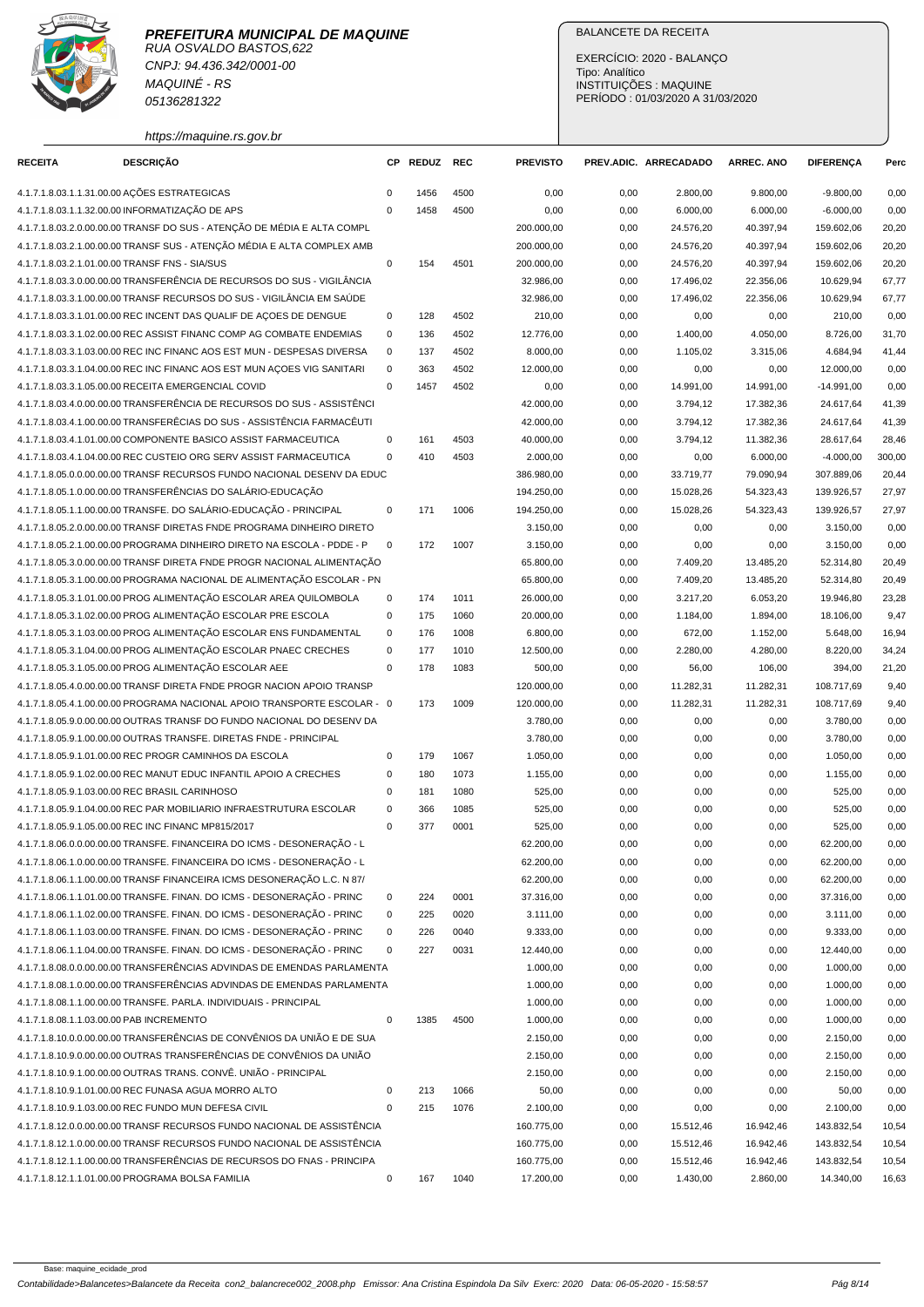

CNPJ: 94.436.342/0001-00 MAQUINÉ - RS 05136281322

## BALANCETE DA RECEITA

EXERCÍCIO: 2020 - BALANÇO Tipo: Analítico INSTITUIÇÕES : MAQUINE PERÍODO : 01/03/2020 A 31/03/2020

https://maquine.rs.gov.br

| <b>RECEITA</b>                           | DESCRIÇÃO                                                                                                                       | СP           | <b>REDUZ</b> | REC  | <b>PREVISTO</b>          |              | PREV.ADIC. ARRECADADO  | <b>ARREC. ANO</b>      | DIFERENÇA                | Perc           |
|------------------------------------------|---------------------------------------------------------------------------------------------------------------------------------|--------------|--------------|------|--------------------------|--------------|------------------------|------------------------|--------------------------|----------------|
|                                          | 4.1.7.1.8.03.1.1.31.00.00 AÇÕES ESTRATEGICAS                                                                                    | $\mathbf 0$  | 1456         | 4500 | 0,00                     | 0,00         | 2.800,00               | 9.800,00               | $-9.800,00$              | 0,00           |
|                                          | 4.1.7.1.8.03.1.1.32.00.00 INFORMATIZAÇÃO DE APS                                                                                 | $\mathbf{0}$ | 1458         | 4500 | 0,00                     | 0,00         | 6.000,00               | 6.000,00               | $-6.000,00$              | 0,00           |
|                                          | 4.1.7.1.8.03.2.0.00.00.00 TRANSF DO SUS - ATENÇÃO DE MÉDIA E ALTA COMPL                                                         |              |              |      | 200.000,00               | 0,00         | 24.576,20              | 40.397,94              | 159.602,06               | 20,20          |
|                                          | 4.1.7.1.8.03.2.1.00.00.00 TRANSF SUS - ATENÇÃO MÉDIA E ALTA COMPLEX AMB                                                         |              |              |      | 200.000,00               | 0,00         | 24.576,20              | 40.397,94              | 159.602,06               | 20,20          |
|                                          | 4.1.7.1.8.03.2.1.01.00.00 TRANSF FNS - SIA/SUS                                                                                  | $\mathbf 0$  | 154          | 4501 | 200.000,00               | 0,00         | 24.576,20              | 40.397,94              | 159.602,06               | 20,20          |
|                                          | 4.1.7.1.8.03.3.0.00.00.00 TRANSFERÊNCIA DE RECURSOS DO SUS - VIGILÂNCIA                                                         |              |              |      | 32.986,00                | 0,00         | 17.496,02              | 22.356,06              | 10.629,94                | 67,77          |
|                                          | 4.1.7.1.8.03.3.1.00.00.00 TRANSF RECURSOS DO SUS - VIGILÂNCIA EM SAÚDE                                                          |              |              |      | 32.986,00                | 0,00         | 17.496,02              | 22.356,06              | 10.629,94                | 67,77          |
|                                          | 4.1.7.1.8.03.3.1.01.00.00 REC INCENT DAS QUALIF DE AÇOES DE DENGUE                                                              | 0            | 128          | 4502 | 210,00                   | 0,00         | 0,00                   | 0,00                   | 210,00                   | 0,00           |
|                                          | 4.1.7.1.8.03.3.1.02.00.00 REC ASSIST FINANC COMP AG COMBATE ENDEMIAS                                                            | $\mathbf 0$  | 136          | 4502 | 12.776,00                | 0,00         | 1.400,00               | 4.050,00               | 8.726,00                 | 31,70          |
|                                          | 4.1.7.1.8.03.3.1.03.00.00 REC INC FINANC AOS EST MUN - DESPESAS DIVERSA                                                         | $\mathbf 0$  | 137          | 4502 | 8.000,00                 | 0,00         | 1.105.02               | 3.315,06               | 4.684,94                 | 41,44          |
|                                          | 4.1.7.1.8.03.3.1.04.00.00 REC INC FINANC AOS EST MUN AÇOES VIG SANITARI                                                         | $\mathbf 0$  | 363          | 4502 | 12.000,00                | 0,00         | 0,00                   | 0,00                   | 12.000,00                | 0,00           |
|                                          | 4.1.7.1.8.03.3.1.05.00.00 RECEITA EMERGENCIAL COVID                                                                             | $\mathbf 0$  | 1457         | 4502 | 0,00                     | 0,00         | 14.991,00              | 14.991,00              | $-14.991,00$             | 0,00           |
|                                          | 4.1.7.1.8.03.4.0.00.00.00 TRANSFERÊNCIA DE RECURSOS DO SUS - ASSISTÊNCI                                                         |              |              |      | 42.000,00                | 0,00         | 3.794,12               | 17.382,36              | 24.617,64                | 41,39          |
|                                          | 4.1.7.1.8.03.4.1.00.00.00 TRANSFERÊCIAS DO SUS - ASSISTÊNCIA FARMACÊUTI                                                         |              |              |      | 42.000,00                | 0,00         | 3.794,12               | 17.382,36              | 24.617,64                | 41,39          |
|                                          | 4.1.7.1.8.03.4.1.01.00.00 COMPONENTE BASICO ASSIST FARMACEUTICA                                                                 | $\mathbf 0$  | 161          | 4503 | 40.000,00                | 0,00         | 3.794,12               | 11.382,36              | 28.617,64                | 28,46          |
|                                          | 4.1.7.1.8.03.4.1.04.00.00 REC CUSTEIO ORG SERV ASSIST FARMACEUTICA                                                              | $\mathbf 0$  | 410          | 4503 | 2.000,00                 | 0,00         | 0,00                   | 6.000,00               | $-4.000,00$              | 300,00         |
|                                          | 4.1.7.1.8.05.0.0.00.00.00 TRANSF RECURSOS FUNDO NACIONAL DESENV DA EDUC                                                         |              |              |      | 386.980,00               | 0,00         | 33.719,77              | 79.090,94              | 307.889,06               | 20,44          |
|                                          | 4.1.7.1.8.05.1.0.00.00.00 TRANSFERÊNCIAS DO SALÁRIO-EDUCAÇÃO                                                                    |              |              |      | 194.250,00               | 0,00         | 15.028,26              | 54.323,43              | 139.926,57               | 27,97          |
|                                          | 4.1.7.1.8.05.1.1.00.00.00 TRANSFE. DO SALÁRIO-EDUCAÇÃO - PRINCIPAL                                                              | $\mathbf 0$  | 171          | 1006 | 194.250,00               | 0,00         | 15.028,26              | 54.323,43              | 139.926.57               | 27,97          |
|                                          | 4.1.7.1.8.05.2.0.00.00.00 TRANSF DIRETAS FNDE PROGRAMA DINHEIRO DIRETO                                                          |              |              |      | 3.150,00                 | 0,00         | 0,00                   | 0,00                   | 3.150,00                 | 0,00           |
|                                          | 4.1.7.1.8.05.2.1.00.00.00 PROGRAMA DINHEIRO DIRETO NA ESCOLA - PDDE - P                                                         | $\mathbf 0$  | 172          | 1007 | 3.150,00                 | 0,00         | 0,00                   | 0,00                   | 3.150,00                 | 0,00           |
|                                          | 4.1.7.1.8.05.3.0.00.00.00 TRANSF DIRETA FNDE PROGR NACIONAL ALIMENTAÇÃO                                                         |              |              |      | 65.800,00                | 0,00         | 7.409,20               | 13.485,20              | 52.314,80                | 20,49          |
|                                          | 4.1.7.1.8.05.3.1.00.00.00 PROGRAMA NACIONAL DE ALIMENTAÇÃO ESCOLAR - PN                                                         |              |              |      | 65.800,00                | 0,00         | 7.409,20               | 13.485,20              | 52.314,80                | 20,49          |
|                                          | 4.1.7.1.8.05.3.1.01.00.00 PROG ALIMENTAÇÃO ESCOLAR AREA QUILOMBOLA                                                              | 0            | 174          | 1011 | 26.000,00                | 0,00         | 3.217,20               | 6.053,20               | 19.946,80                | 23,28          |
|                                          | 4.1.7.1.8.05.3.1.02.00.00 PROG ALIMENTAÇÃO ESCOLAR PRE ESCOLA                                                                   | $\mathbf 0$  | 175          | 1060 | 20.000,00                | 0,00         | 1.184,00               | 1.894,00               | 18.106,00                | 9,47           |
|                                          | 4.1.7.1.8.05.3.1.03.00.00 PROG ALIMENTAÇÃO ESCOLAR ENS FUNDAMENTAL                                                              | $\mathbf 0$  | 176          | 1008 | 6.800,00                 | 0,00         | 672,00                 | 1.152,00               | 5.648,00                 | 16,94          |
|                                          | 4.1.7.1.8.05.3.1.04.00.00 PROG ALIMENTAÇÃO ESCOLAR PNAEC CRECHES                                                                | $\mathbf 0$  | 177          | 1010 | 12.500,00                | 0,00         | 2.280,00               | 4.280,00               | 8.220,00                 | 34,24          |
|                                          | 4.1.7.1.8.05.3.1.05.00.00 PROG ALIMENTAÇÃO ESCOLAR AEE                                                                          | $\mathbf 0$  | 178          | 1083 | 500,00                   | 0,00         | 56,00                  | 106,00                 | 394,00                   | 21,20          |
|                                          | 4.1.7.1.8.05.4.0.00.00.00 TRANSF DIRETA FNDE PROGR NACION APOIO TRANSP                                                          |              |              |      | 120.000,00               | 0,00         | 11.282,31              | 11.282,31              | 108.717,69               | 9,40           |
|                                          | 4.1.7.1.8.05.4.1.00.00.00 PROGRAMA NACIONAL APOIO TRANSPORTE ESCOLAR - 0                                                        |              | 173          | 1009 | 120.000,00               | 0,00         | 11.282,31              | 11.282,31              | 108.717,69               | 9,40           |
|                                          | 4.1.7.1.8.05.9.0.00.00.00 OUTRAS TRANSF DO FUNDO NACIONAL DO DESENV DA                                                          |              |              |      | 3.780,00                 | 0,00         | 0,00                   | 0,00                   | 3.780,00                 | 0,00           |
|                                          | 4.1.7.1.8.05.9.1.00.00.00 OUTRAS TRANSFE. DIRETAS FNDE - PRINCIPAL                                                              |              |              |      | 3.780,00                 | 0,00         | 0,00                   | 0,00                   | 3.780,00                 | 0,00           |
|                                          | 4.1.7.1.8.05.9.1.01.00.00 REC PROGR CAMINHOS DA ESCOLA                                                                          | $\mathbf 0$  | 179          | 1067 | 1.050,00                 | 0,00         | 0,00                   | 0,00                   | 1.050,00                 | 0,00           |
|                                          | 4.1.7.1.8.05.9.1.02.00.00 REC MANUT EDUC INFANTIL APOIO A CRECHES                                                               | $\mathbf 0$  | 180          | 1073 | 1.155,00                 | 0,00         | 0,00                   | 0,00                   | 1.155,00                 | 0,00           |
|                                          | 4.1.7.1.8.05.9.1.03.00.00 REC BRASIL CARINHOSO                                                                                  | 0            | 181          | 1080 | 525,00                   | 0,00         | 0,00                   | 0,00                   | 525,00                   | 0,00           |
|                                          | 4.1.7.1.8.05.9.1.04.00.00 REC PAR MOBILIARIO INFRAESTRUTURA ESCOLAR                                                             | $\mathbf 0$  | 366          | 1085 | 525,00                   | 0,00         | 0,00                   | 0,00                   | 525,00                   | 0,00           |
|                                          | 4.1.7.1.8.05.9.1.05.00.00 REC INC FINANC MP815/2017                                                                             | $\mathbf 0$  | 377          | 0001 | 525,00                   | 0,00         | 0,00                   | 0,00                   | 525,00                   | 0,00           |
|                                          | 4.1.7.1.8.06.0.0.00.00.00 TRANSFE. FINANCEIRA DO ICMS - DESONERAÇÃO - L                                                         |              |              |      | 62.200,00                | 0,00         | 0,00                   | 0,00                   | 62.200,00                | 0,00           |
|                                          | 4.1.7.1.8.06.1.0.00.00.00 TRANSFE. FINANCEIRA DO ICMS - DESONERAÇÃO - L                                                         |              |              |      | 62.200,00                | 0,00         | 0,00                   | 0,00                   | 62.200,00                | 0,00           |
|                                          | 4.1.7.1.8.06.1.1.00.00.00 TRANSF FINANCEIRA ICMS DESONERAÇÃO L.C. N 87/                                                         |              |              |      | 62.200,00                | 0,00         | 0,00                   | 0,00                   | 62.200,00                | 0,00           |
|                                          | 4.1.7.1.8.06.1.1.01.00.00 TRANSFE. FINAN. DO ICMS - DESONERAÇÃO - PRINC                                                         | 0            | 224          | 0001 | 37.316,00                | 0,00         | 0,00                   | 0,00                   | 37.316,00                | 0,00           |
|                                          | 4.1.7.1.8.06.1.1.02.00.00 TRANSFE. FINAN. DO ICMS - DESONERAÇÃO - PRINC                                                         | 0            | 225          | 0020 | 3.111,00                 | 0,00         | 0,00                   | 0,00                   | 3.111,00                 | 0,00           |
|                                          | 4.1.7.1.8.06.1.1.03.00.00 TRANSFE. FINAN. DO ICMS - DESONERAÇÃO - PRINC                                                         | 0            | 226          | 0040 | 9.333,00                 | 0,00         | 0,00                   | 0,00                   | 9.333,00                 | 0,00           |
|                                          | 4.1.7.1.8.06.1.1.04.00.00 TRANSFE. FINAN. DO ICMS - DESONERAÇÃO - PRINC                                                         | 0            | 227          | 0031 | 12.440,00                | 0,00         | 0,00                   | 0,00                   | 12.440,00                | 0,00           |
|                                          | 4.1.7.1.8.08.0.0.00.00.00 TRANSFERÊNCIAS ADVINDAS DE EMENDAS PARLAMENTA                                                         |              |              |      | 1.000,00                 | 0,00         | 0,00                   | 0,00                   | 1.000,00                 | 0,00           |
|                                          | 4.1.7.1.8.08.1.0.00.00.00 TRANSFERÊNCIAS ADVINDAS DE EMENDAS PARLAMENTA                                                         |              |              |      | 1.000,00                 | 0,00         | 0,00                   | 0,00                   | 1.000,00                 | 0,00           |
|                                          | 4.1.7.1.8.08.1.1.00.00.00 TRANSFE. PARLA. INDIVIDUAIS - PRINCIPAL                                                               |              |              |      | 1.000,00                 | 0,00         | 0,00                   | 0,00                   | 1.000,00                 | 0,00           |
| 4.1.7.1.8.08.1.1.03.00.00 PAB INCREMENTO |                                                                                                                                 | $\mathbf 0$  | 1385         | 4500 | 1.000,00                 | 0,00         | 0,00                   | 0,00                   | 1.000,00                 | 0,00           |
|                                          | 4.1.7.1.8.10.0.0.00.00.00 TRANSFERÊNCIAS DE CONVÊNIOS DA UNIÃO E DE SUA                                                         |              |              |      | 2.150,00                 | 0,00         | 0,00                   | 0,00                   | 2.150,00                 | 0,00           |
|                                          | 4.1.7.1.8.10.9.0.00.00.00 OUTRAS TRANSFERÊNCIAS DE CONVÊNIOS DA UNIÃO                                                           |              |              |      | 2.150,00                 | 0,00         | 0,00                   | 0,00                   | 2.150,00                 | 0,00           |
|                                          | 4.1.7.1.8.10.9.1.00.00.00 OUTRAS TRANS. CONVË. UNIÃO - PRINCIPAL                                                                |              |              |      | 2.150,00                 | 0,00         | 0,00                   | 0,00                   | 2.150,00                 | 0,00           |
|                                          | 4.1.7.1.8.10.9.1.01.00.00 REC FUNASA AGUA MORRO ALTO                                                                            | 0<br>0       | 213          | 1066 | 50,00                    | 0,00         | 0,00                   | 0,00                   | 50,00                    | 0,00           |
|                                          | 4.1.7.1.8.10.9.1.03.00.00 REC FUNDO MUN DEFESA CIVIL<br>4.1.7.1.8.12.0.0.00.00.00 TRANSF RECURSOS FUNDO NACIONAL DE ASSISTÊNCIA |              | 215          | 1076 | 2.100,00                 | 0,00         | 0,00                   | 0,00                   | 2.100,00                 | 0,00           |
|                                          | 4.1.7.1.8.12.1.0.00.00.00 TRANSF RECURSOS FUNDO NACIONAL DE ASSISTÊNCIA                                                         |              |              |      | 160.775,00               | 0,00         | 15.512,46              | 16.942,46              | 143.832,54               | 10,54          |
|                                          | 4.1.7.1.8.12.1.1.00.00.00 TRANSFERÊNCIAS DE RECURSOS DO FNAS - PRINCIPA                                                         |              |              |      | 160.775,00<br>160.775,00 | 0,00         | 15.512,46<br>15.512,46 | 16.942,46<br>16.942,46 | 143.832,54<br>143.832,54 | 10,54<br>10,54 |
|                                          | 4.1.7.1.8.12.1.1.01.00.00 PROGRAMA BOLSA FAMILIA                                                                                | $\mathbf 0$  | 167          | 1040 | 17.200,00                | 0,00<br>0,00 | 1.430,00               | 2.860,00               | 14.340,00                | 16,63          |
|                                          |                                                                                                                                 |              |              |      |                          |              |                        |                        |                          |                |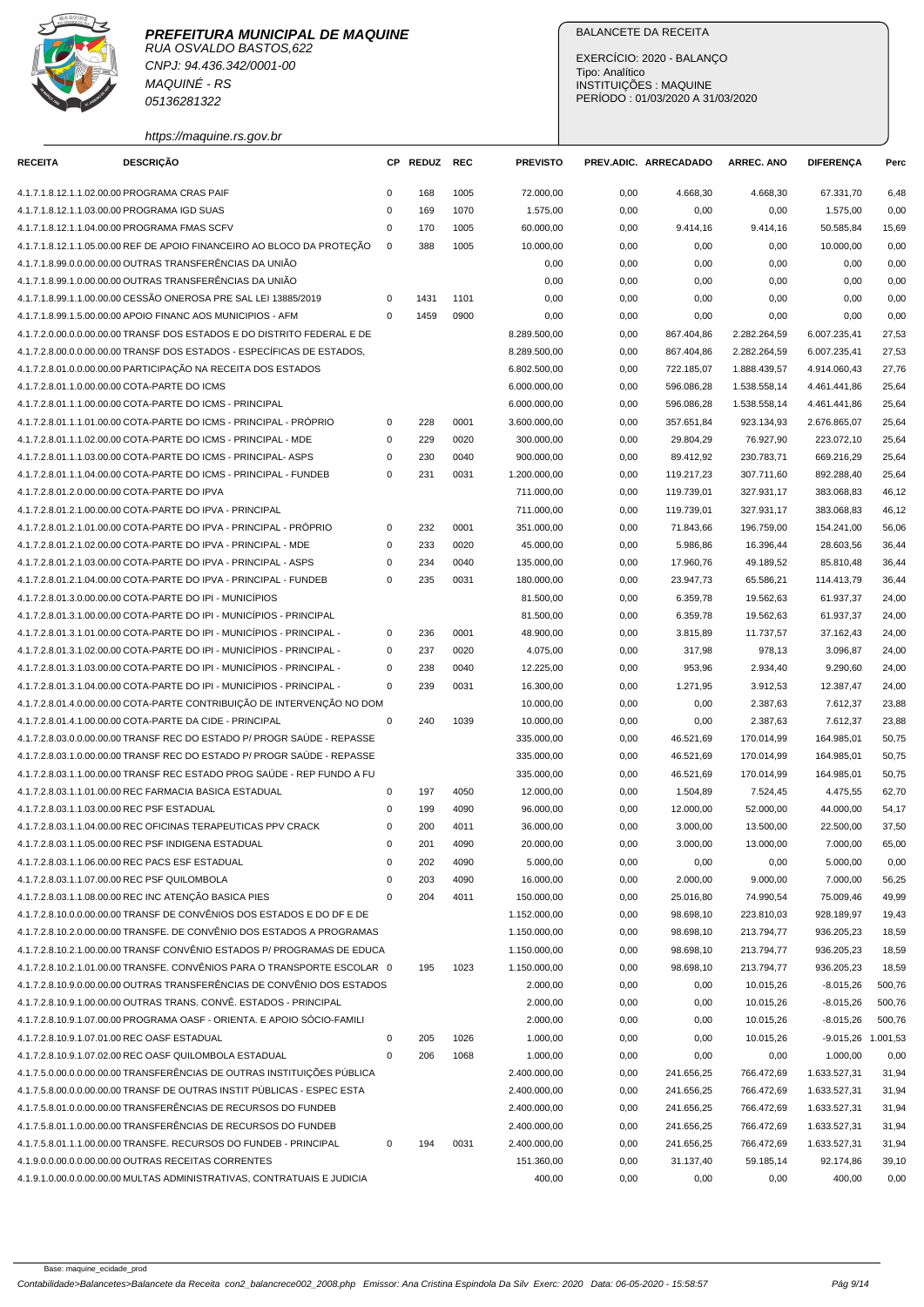

## **PREFEITURA MUNICIPAL DE MAQUINE** RUA OSVALDO BASTOS,622 CNPJ: 94.436.342/0001-00

MAQUINÉ - RS 05136281322

https://maquine.rs.gov.br

## BALANCETE DA RECEITA

EXERCÍCIO: 2020 - BALANÇO Tipo: Analítico INSTITUIÇÕES : MAQUINE PERÍODO : 01/03/2020 A 31/03/2020

| <b>RECEITA</b> | <b>DESCRIÇÃO</b>                                                         |             | CP REDUZ | REC  | <b>PREVISTO</b> |      | PREV.ADIC. ARRECADADO | <b>ARREC. ANO</b> | <b>DIFERENCA</b> | Perc     |
|----------------|--------------------------------------------------------------------------|-------------|----------|------|-----------------|------|-----------------------|-------------------|------------------|----------|
|                | 4.1.7.1.8.12.1.1.02.00.00 PROGRAMA CRAS PAIF                             | $\mathsf 0$ | 168      | 1005 | 72.000,00       | 0,00 | 4.668,30              | 4.668,30          | 67.331,70        | 6,48     |
|                | 4.1.7.1.8.12.1.1.03.00.00 PROGRAMA IGD SUAS                              | $\mathsf 0$ | 169      | 1070 | 1.575,00        | 0,00 | 0,00                  | 0,00              | 1.575,00         | 0,00     |
|                | 4.1.7.1.8.12.1.1.04.00.00 PROGRAMA FMAS SCFV                             | 0           | 170      | 1005 | 60.000,00       | 0,00 | 9.414,16              | 9.414,16          | 50.585,84        | 15,69    |
|                | 4.1.7.1.8.12.1.1.05.00.00 REF DE APOIO FINANCEIRO AO BLOCO DA PROTEÇÃO   | $\mathbf 0$ | 388      | 1005 | 10.000,00       | 0,00 | 0,00                  | 0,00              | 10.000,00        | 0,00     |
|                | 4.1.7.1.8.99.0.0.00.00.00 OUTRAS TRANSFERÊNCIAS DA UNIÃO                 |             |          |      | 0,00            | 0,00 | 0,00                  | 0,00              | 0,00             | 0,00     |
|                | 4.1.7.1.8.99.1.0.00.00.00 OUTRAS TRANSFERÊNCIAS DA UNIÃO                 |             |          |      | 0,00            | 0,00 | 0,00                  | 0,00              | 0,00             | 0,00     |
|                | 4.1.7.1.8.99.1.1.00.00.00 CESSÃO ONEROSA PRE SAL LEI 13885/2019          | 0           | 1431     | 1101 | 0,00            | 0,00 | 0,00                  | 0,00              | 0,00             | 0,00     |
|                | 4.1.7.1.8.99.1.5.00.00.00 APOIO FINANC AOS MUNICIPIOS - AFM              | $\mathbf 0$ | 1459     | 0900 | 0,00            | 0,00 | 0,00                  | 0,00              | 0,00             | 0,00     |
|                | 4.1.7.2.0.00.0.0.00.00.00 TRANSF DOS ESTADOS E DO DISTRITO FEDERAL E DE  |             |          |      | 8.289.500,00    | 0,00 | 867.404,86            | 2.282.264,59      | 6.007.235,41     | 27,53    |
|                | 4.1.7.2.8.00.0.0.00.00.00 TRANSF DOS ESTADOS - ESPECÍFICAS DE ESTADOS,   |             |          |      | 8.289.500,00    | 0,00 | 867.404,86            | 2.282.264,59      | 6.007.235,41     | 27,53    |
|                | 4.1.7.2.8.01.0.0.00.00.00 PARTICIPAÇÃO NA RECEITA DOS ESTADOS            |             |          |      | 6.802.500,00    | 0,00 | 722.185,07            | 1.888.439,57      | 4.914.060,43     | 27,76    |
|                | 4.1.7.2.8.01.1.0.00.00.00 COTA-PARTE DO ICMS                             |             |          |      | 6.000.000,00    | 0,00 | 596.086,28            | 1.538.558,14      | 4.461.441,86     | 25,64    |
|                | 4.1.7.2.8.01.1.1.00.00.00 COTA-PARTE DO ICMS - PRINCIPAL                 |             |          |      | 6.000.000,00    | 0,00 | 596.086,28            | 1.538.558,14      | 4.461.441,86     | 25,64    |
|                | 4.1.7.2.8.01.1.1.01.00.00 COTA-PARTE DO ICMS - PRINCIPAL - PRÓPRIO       | $\mathsf 0$ | 228      | 0001 | 3.600.000,00    | 0,00 | 357.651,84            | 923.134,93        | 2.676.865,07     | 25,64    |
|                | 4.1.7.2.8.01.1.1.02.00.00 COTA-PARTE DO ICMS - PRINCIPAL - MDE           | $\mathbf 0$ | 229      | 0020 | 300.000,00      | 0,00 | 29.804,29             | 76.927,90         | 223.072,10       | 25,64    |
|                | 4.1.7.2.8.01.1.1.03.00.00 COTA-PARTE DO ICMS - PRINCIPAL- ASPS           | 0           | 230      | 0040 | 900.000,00      | 0,00 | 89.412,92             | 230.783,71        | 669.216,29       | 25,64    |
|                | 4.1.7.2.8.01.1.1.04.00.00 COTA-PARTE DO ICMS - PRINCIPAL - FUNDEB        | $\mathsf 0$ | 231      | 0031 | 1.200.000,00    | 0,00 | 119.217,23            | 307.711,60        | 892.288,40       | 25,64    |
|                | 4.1.7.2.8.01.2.0.00.00.00 COTA-PARTE DO IPVA                             |             |          |      | 711.000,00      | 0,00 | 119.739,01            | 327.931,17        | 383.068,83       | 46,12    |
|                | 4.1.7.2.8.01.2.1.00.00.00 COTA-PARTE DO IPVA - PRINCIPAL                 |             |          |      | 711.000,00      | 0,00 | 119.739,01            | 327.931,17        | 383.068,83       | 46,12    |
|                | 4.1.7.2.8.01.2.1.01.00.00 COTA-PARTE DO IPVA - PRINCIPAL - PRÓPRIO       | $\mathsf 0$ | 232      | 0001 | 351.000,00      | 0,00 | 71.843,66             | 196.759,00        | 154.241,00       | 56,06    |
|                | 4.1.7.2.8.01.2.1.02.00.00 COTA-PARTE DO IPVA - PRINCIPAL - MDE           | $\mathbf 0$ | 233      | 0020 | 45.000.00       | 0,00 | 5.986.86              | 16.396,44         | 28.603,56        | 36,44    |
|                | 4.1.7.2.8.01.2.1.03.00.00 COTA-PARTE DO IPVA - PRINCIPAL - ASPS          | $\mathbf 0$ | 234      | 0040 | 135.000,00      | 0,00 | 17.960,76             | 49.189,52         | 85.810,48        | 36,44    |
|                | 4.1.7.2.8.01.2.1.04.00.00 COTA-PARTE DO IPVA - PRINCIPAL - FUNDEB        | $\mathbf 0$ | 235      | 0031 | 180.000,00      | 0,00 | 23.947,73             | 65.586,21         | 114.413,79       | 36,44    |
|                | 4.1.7.2.8.01.3.0.00.00.00 COTA-PARTE DO IPI - MUNICÍPIOS                 |             |          |      | 81.500,00       | 0,00 | 6.359,78              | 19.562,63         | 61.937,37        | 24,00    |
|                | 4.1.7.2.8.01.3.1.00.00.00 COTA-PARTE DO IPI - MUNICÍPIOS - PRINCIPAL     |             |          |      | 81.500,00       | 0,00 | 6.359,78              | 19.562,63         | 61.937,37        | 24,00    |
|                | 4.1.7.2.8.01.3.1.01.00.00 COTA-PARTE DO IPI - MUNICÍPIOS - PRINCIPAL -   | 0           | 236      | 0001 | 48.900,00       | 0,00 | 3.815,89              | 11.737,57         | 37.162,43        | 24,00    |
|                | 4.1.7.2.8.01.3.1.02.00.00 COTA-PARTE DO IPI - MUNICÍPIOS - PRINCIPAL -   | 0           | 237      | 0020 | 4.075,00        | 0,00 | 317,98                | 978,13            | 3.096,87         | 24,00    |
|                | 4.1.7.2.8.01.3.1.03.00.00 COTA-PARTE DO IPI - MUNICÍPIOS - PRINCIPAL -   | $\mathsf 0$ | 238      | 0040 | 12.225,00       | 0,00 | 953,96                | 2.934,40          | 9.290,60         | 24,00    |
|                | 4.1.7.2.8.01.3.1.04.00.00 COTA-PARTE DO IPI - MUNICÍPIOS - PRINCIPAL -   | $\mathbf 0$ | 239      | 0031 | 16.300,00       | 0,00 | 1.271,95              | 3.912,53          | 12.387,47        | 24,00    |
|                | 4.1.7.2.8.01.4.0.00.00.00 COTA-PARTE CONTRIBUICÃO DE INTERVENÇÃO NO DOM  |             |          |      | 10.000,00       | 0,00 | 0,00                  | 2.387,63          | 7.612,37         | 23,88    |
|                | 4.1.7.2.8.01.4.1.00.00.00 COTA-PARTE DA CIDE - PRINCIPAL                 | $\mathsf 0$ | 240      | 1039 | 10.000,00       | 0,00 | 0,00                  | 2.387,63          | 7.612,37         | 23,88    |
|                | 4.1.7.2.8.03.0.0.00.00.00 TRANSF REC DO ESTADO P/ PROGR SAUDE - REPASSE  |             |          |      | 335.000,00      | 0,00 | 46.521,69             | 170.014,99        | 164.985,01       | 50,75    |
|                | 4.1.7.2.8.03.1.0.00.00.00 TRANSF REC DO ESTADO P/ PROGR SAÚDE - REPASSE  |             |          |      | 335.000,00      | 0,00 | 46.521,69             | 170.014,99        | 164.985.01       | 50,75    |
|                | 4.1.7.2.8.03.1.1.00.00.00 TRANSF REC ESTADO PROG SAÚDE - REP FUNDO A FU  |             |          |      | 335.000,00      | 0,00 | 46.521,69             | 170.014,99        | 164.985,01       | 50,75    |
|                | 4.1.7.2.8.03.1.1.01.00.00 REC FARMACIA BASICA ESTADUAL                   | 0           | 197      | 4050 | 12.000,00       | 0,00 | 1.504,89              | 7.524,45          | 4.475,55         | 62,70    |
|                | 4.1.7.2.8.03.1.1.03.00.00 REC PSF ESTADUAL                               | 0           | 199      | 4090 | 96.000,00       | 0,00 | 12.000,00             | 52.000,00         | 44.000,00        | 54,17    |
|                | 4.1.7.2.8.03.1.1.04.00.00 REC OFICINAS TERAPEUTICAS PPV CRACK            | 0           | 200      | 4011 | 36.000,00       | 0,00 | 3.000,00              | 13.500,00         | 22.500,00        | 37,50    |
|                | 4.1.7.2.8.03.1.1.05.00.00 REC PSF INDIGENA ESTADUAL                      | 0           | 201      | 4090 | 20.000,00       | 0,00 | 3.000,00              | 13.000,00         | 7.000,00         | 65,00    |
|                | 4.1.7.2.8.03.1.1.06.00.00 REC PACS ESF ESTADUAL                          | 0           | 202      | 4090 | 5.000,00        | 0,00 | 0,00                  | 0,00              | 5.000,00         | 0,00     |
|                | 4.1.7.2.8.03.1.1.07.00.00 REC PSF QUILOMBOLA                             | $\mathsf 0$ | 203      | 4090 | 16.000,00       | 0,00 | 2.000,00              | 9.000,00          | 7.000,00         | 56,25    |
|                | 4.1.7.2.8.03.1.1.08.00.00 REC INC ATENÇÃO BASICA PIES                    | $\mathsf 0$ | 204      | 4011 | 150.000,00      | 0,00 | 25.016,80             | 74.990,54         | 75.009,46        | 49,99    |
|                | 4.1.7.2.8.10.0.0.00.00.00 TRANSF DE CONVÊNIOS DOS ESTADOS E DO DF E DE   |             |          |      | 1.152.000,00    | 0,00 | 98.698,10             | 223.810,03        | 928.189,97       | 19,43    |
|                | 4.1.7.2.8.10.2.0.00.00.00 TRANSFE. DE CONVÊNIO DOS ESTADOS A PROGRAMAS   |             |          |      | 1.150.000,00    | 0,00 | 98.698,10             | 213.794,77        | 936.205,23       | 18,59    |
|                | 4.1.7.2.8.10.2.1.00.00.00 TRANSF CONVÊNIO ESTADOS P/ PROGRAMAS DE EDUCA  |             |          |      | 1.150.000,00    | 0,00 | 98.698,10             | 213.794,77        | 936.205,23       | 18,59    |
|                | 4.1.7.2.8.10.2.1.01.00.00 TRANSFE. CONVÊNIOS PARA O TRANSPORTE ESCOLAR 0 |             | 195      | 1023 | 1.150.000,00    | 0,00 | 98.698,10             | 213.794,77        | 936.205,23       | 18,59    |
|                | 4.1.7.2.8.10.9.0.00.00.00 OUTRAS TRANSFERÊNCIAS DE CONVÊNIO DOS ESTADOS  |             |          |      | 2.000,00        | 0,00 | 0,00                  | 10.015,26         | $-8.015,26$      | 500,76   |
|                | 4.1.7.2.8.10.9.1.00.00.00 OUTRAS TRANS. CONVÊ. ESTADOS - PRINCIPAL       |             |          |      | 2.000,00        | 0,00 | 0,00                  | 10.015,26         | $-8.015,26$      | 500,76   |
|                | 4.1.7.2.8.10.9.1.07.00.00 PROGRAMA OASF - ORIENTA. E APOIO SOCIO-FAMILI  |             |          |      | 2.000,00        | 0,00 | 0,00                  | 10.015,26         | $-8.015,26$      | 500,76   |
|                | 4.1.7.2.8.10.9.1.07.01.00 REC OASF ESTADUAL                              | 0           | 205      | 1026 | 1.000,00        | 0,00 | 0,00                  | 10.015,26         | $-9.015,26$      | 1.001,53 |
|                | 4.1.7.2.8.10.9.1.07.02.00 REC OASF QUILOMBOLA ESTADUAL                   | $\mathbf 0$ | 206      | 1068 | 1.000,00        | 0,00 | 0,00                  | 0,00              | 1.000,00         | 0,00     |
|                | 4.1.7.5.0.00.0.0.00.00.00 TRANSFERÊNCIAS DE OUTRAS INSTITUIÇÕES PÚBLICA  |             |          |      | 2.400.000,00    | 0,00 | 241.656,25            | 766.472,69        | 1.633.527,31     | 31,94    |
|                | 4.1.7.5.8.00.0.0.00.00.00 TRANSF DE OUTRAS INSTIT PÚBLICAS - ESPEC ESTA  |             |          |      | 2.400.000,00    | 0,00 | 241.656,25            | 766.472,69        | 1.633.527,31     | 31,94    |
|                | 4.1.7.5.8.01.0.0.00.00.00 TRANSFERÊNCIAS DE RECURSOS DO FUNDEB           |             |          |      | 2.400.000,00    | 0,00 | 241.656,25            | 766.472,69        | 1.633.527,31     | 31,94    |
|                | 4.1.7.5.8.01.1.0.00.00.00 TRANSFERÊNCIAS DE RECURSOS DO FUNDEB           |             |          |      | 2.400.000,00    | 0,00 | 241.656,25            | 766.472,69        | 1.633.527,31     | 31,94    |
|                | 4.1.7.5.8.01.1.1.00.00.00 TRANSFE. RECURSOS DO FUNDEB - PRINCIPAL        | 0           | 194      | 0031 | 2.400.000,00    | 0,00 | 241.656,25            | 766.472,69        | 1.633.527,31     | 31,94    |
|                | 4.1.9.0.0.00.0.0.00.00.00 OUTRAS RECEITAS CORRENTES                      |             |          |      | 151.360,00      | 0,00 | 31.137,40             | 59.185,14         | 92.174,86        | 39,10    |
|                | 4.1.9.1.0.00.0.00.00.00 MULTAS ADMINISTRATIVAS, CONTRATUAIS E JUDICIA    |             |          |      | 400,00          | 0,00 | 0,00                  | 0,00              | 400,00           | 0,00     |
|                |                                                                          |             |          |      |                 |      |                       |                   |                  |          |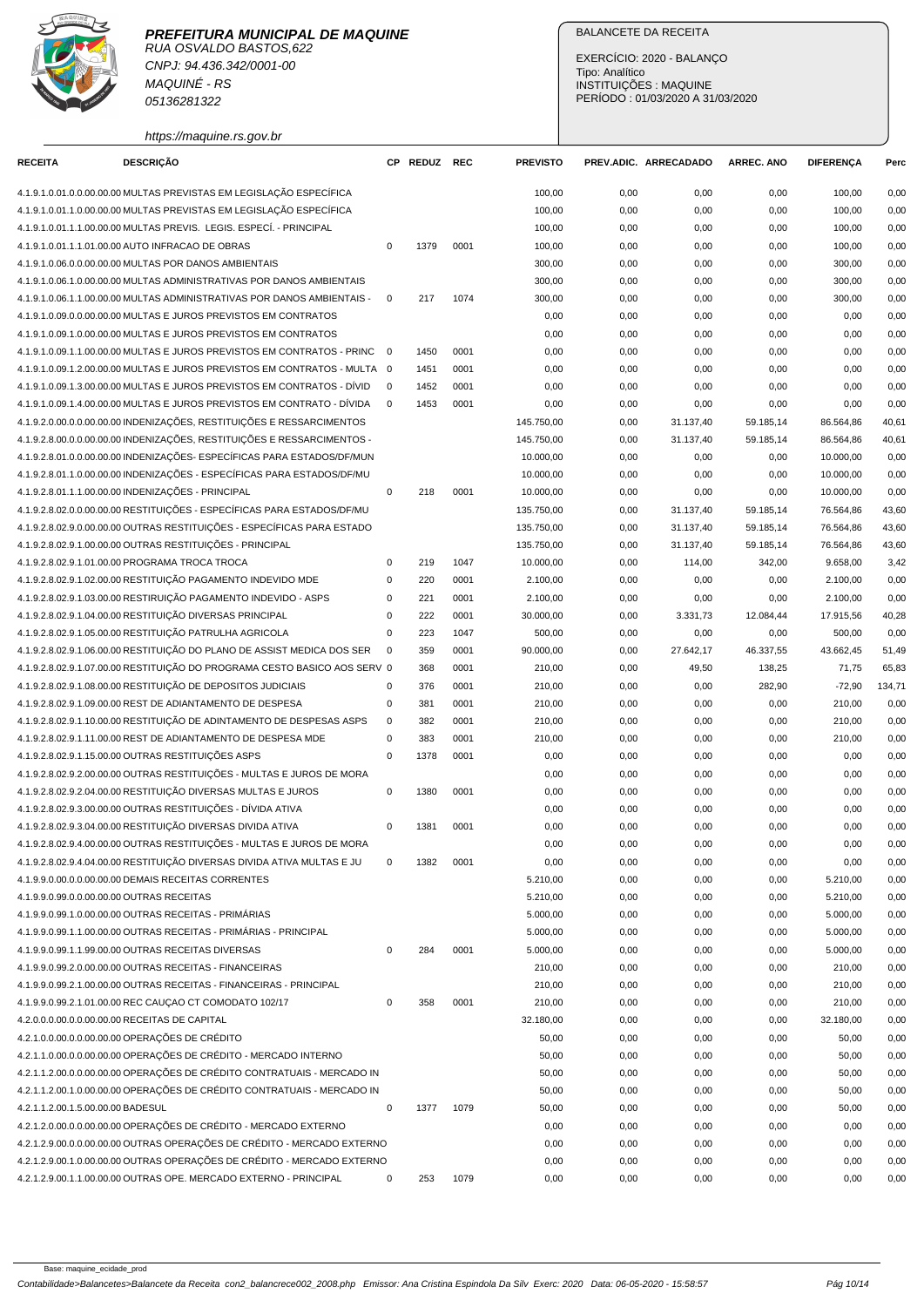## **PREFEITURA MUNICIPAL DE MAQUINE**

RUA OSVALDO BASTOS,622 CNPJ: 94.436.342/0001-00 MAQUINÉ - RS 05136281322

https://maquine.rs.gov.br

## BALANCETE DA RECEITA

EXERCÍCIO: 2020 - BALANÇO Tipo: Analítico INSTITUIÇÕES : MAQUINE PERÍODO : 01/03/2020 A 31/03/2020

| <b>RECEITA</b>                    | <b>DESCRIÇÃO</b>                                                          |                | CP REDUZ REC |      | <b>PREVISTO</b> |      | PREV.ADIC. ARRECADADO | <b>ARREC. ANO</b> | <b>DIFERENÇA</b> | Perc   |
|-----------------------------------|---------------------------------------------------------------------------|----------------|--------------|------|-----------------|------|-----------------------|-------------------|------------------|--------|
|                                   | 4.1.9.1.0.01.0.0.00.00.00 MULTAS PREVISTAS EM LEGISLAÇÃO ESPECÍFICA       |                |              |      | 100,00          | 0,00 | 0,00                  | 0,00              | 100,00           | 0,00   |
|                                   | 4.1.9.1.0.01.1.0.00.00.00 MULTAS PREVISTAS EM LEGISLAÇÃO ESPECÍFICA       |                |              |      | 100,00          | 0,00 | 0,00                  | 0,00              | 100,00           | 0,00   |
|                                   | 4.1.9.1.0.01.1.1.00.00.00 MULTAS PREVIS. LEGIS. ESPECÍ. - PRINCIPAL       |                |              |      | 100,00          | 0,00 | 0,00                  | 0,00              | 100,00           | 0,00   |
|                                   | 4.1.9.1.0.01.1.1.01.00.00 AUTO INFRACAO DE OBRAS                          | $\mathsf 0$    | 1379         | 0001 | 100,00          | 0,00 | 0,00                  | 0,00              | 100,00           | 0,00   |
|                                   | 4.1.9.1.0.06.0.0.00.00.00 MULTAS POR DANOS AMBIENTAIS                     |                |              |      | 300,00          | 0,00 | 0,00                  | 0,00              | 300,00           | 0,00   |
|                                   | 4.1.9.1.0.06.1.0.00.00.00 MULTAS ADMINISTRATIVAS POR DANOS AMBIENTAIS     |                |              |      | 300,00          | 0,00 | 0,00                  | 0,00              | 300,00           | 0,00   |
|                                   | 4.1.9.1.0.06.1.1.00.00.00 MULTAS ADMINISTRATIVAS POR DANOS AMBIENTAIS -   | $\mathbf 0$    | 217          | 1074 | 300,00          | 0,00 | 0,00                  | 0,00              | 300,00           | 0,00   |
|                                   | 4.1.9.1.0.09.0.0.00.00.00 MULTAS E JUROS PREVISTOS EM CONTRATOS           |                |              |      | 0,00            | 0,00 | 0,00                  | 0,00              | 0,00             | 0,00   |
|                                   | 4.1.9.1.0.09.1.0.00.00.00 MULTAS E JUROS PREVISTOS EM CONTRATOS           |                |              |      | 0,00            | 0,00 | 0,00                  | 0,00              | 0,00             | 0,00   |
|                                   | 4.1.9.1.0.09.1.1.00.00.00 MULTAS E JUROS PREVISTOS EM CONTRATOS - PRINC   | $\overline{0}$ | 1450         | 0001 | 0,00            | 0,00 | 0,00                  | 0,00              | 0,00             | 0,00   |
|                                   | 4.1.9.1.0.09.1.2.00.00.00 MULTAS E JUROS PREVISTOS EM CONTRATOS - MULTA 0 |                | 1451         | 0001 | 0,00            | 0,00 | 0,00                  | 0,00              | 0,00             | 0,00   |
|                                   | 4.1.9.1.0.09.1.3.00.00.00 MULTAS E JUROS PREVISTOS EM CONTRATOS - DÍVID   | $\mathbf 0$    | 1452         | 0001 | 0,00            | 0,00 | 0,00                  | 0,00              | 0,00             | 0,00   |
|                                   | 4.1.9.1.0.09.1.4.00.00.00 MULTAS E JUROS PREVISTOS EM CONTRATO - DÍVIDA   | $\mathbf 0$    | 1453         | 0001 | 0,00            | 0,00 | 0,00                  | 0,00              | 0,00             | 0,00   |
|                                   | 4.1.9.2.0.00.0.0.00.00.00 INDENIZAÇÕES, RESTITUIÇÕES E RESSARCIMENTOS     |                |              |      | 145.750,00      | 0,00 | 31.137,40             | 59.185,14         | 86.564,86        | 40,61  |
|                                   | 4.1.9.2.8.00.0.0.00.00.00 INDENIZAÇÕES, RESTITUIÇÕES E RESSARCIMENTOS -   |                |              |      | 145.750,00      | 0,00 | 31.137,40             | 59.185,14         | 86.564,86        | 40,61  |
|                                   | 4.1.9.2.8.01.0.0.00.00.00 INDENIZAÇÕES- ESPECÍFICAS PARA ESTADOS/DF/MUN   |                |              |      | 10.000,00       | 0,00 | 0,00                  | 0,00              | 10.000,00        | 0,00   |
|                                   | 4.1.9.2.8.01.1.0.00.00.00 INDENIZACÕES - ESPECÍFICAS PARA ESTADOS/DF/MU   |                |              |      | 10.000,00       | 0,00 | 0,00                  | 0,00              | 10.000,00        | 0,00   |
|                                   | 4.1.9.2.8.01.1.1.00.00.00 INDENIZAÇÕES - PRINCIPAL                        | $\mathbf 0$    | 218          | 0001 | 10.000,00       | 0,00 | 0,00                  | 0,00              | 10.000,00        | 0,00   |
|                                   | 4.1.9.2.8.02.0.0.00.00.00 RESTITUIÇÕES - ESPECÍFICAS PARA ESTADOS/DF/MU   |                |              |      | 135.750,00      | 0,00 | 31.137,40             | 59.185,14         | 76.564,86        | 43,60  |
|                                   | 4.1.9.2.8.02.9.0.00.00.00 OUTRAS RESTITUIÇÕES - ESPECÍFICAS PARA ESTADO   |                |              |      | 135.750,00      | 0,00 | 31.137,40             | 59.185,14         | 76.564,86        | 43,60  |
|                                   |                                                                           |                |              |      |                 |      |                       |                   |                  |        |
|                                   | 4.1.9.2.8.02.9.1.00.00.00 OUTRAS RESTITUIÇÕES - PRINCIPAL                 |                |              |      | 135.750,00      | 0,00 | 31.137,40             | 59.185,14         | 76.564,86        | 43,60  |
|                                   | 4.1.9.2.8.02.9.1.01.00.00 PROGRAMA TROCA TROCA                            | $\mathbf 0$    | 219          | 1047 | 10.000,00       | 0,00 | 114,00                | 342,00            | 9.658,00         | 3,42   |
|                                   | 4.1.9.2.8.02.9.1.02.00.00 RESTITUIÇÃO PAGAMENTO INDEVIDO MDE              | $\mathbf 0$    | 220          | 0001 | 2.100,00        | 0,00 | 0,00                  | 0,00              | 2.100,00         | 0,00   |
|                                   | 4.1.9.2.8.02.9.1.03.00.00 RESTIRUIÇÃO PAGAMENTO INDEVIDO - ASPS           | 0              | 221          | 0001 | 2.100,00        | 0,00 | 0,00                  | 0,00              | 2.100,00         | 0,00   |
|                                   | 4.1.9.2.8.02.9.1.04.00.00 RESTITUIÇÃO DIVERSAS PRINCIPAL                  | $\mathbf 0$    | 222          | 0001 | 30.000,00       | 0,00 | 3.331,73              | 12.084,44         | 17.915,56        | 40,28  |
|                                   | 4.1.9.2.8.02.9.1.05.00.00 RESTITUIÇÃO PATRULHA AGRICOLA                   | $\mathbf 0$    | 223          | 1047 | 500,00          | 0,00 | 0,00                  | 0,00              | 500,00           | 0,00   |
|                                   | 4.1.9.2.8.02.9.1.06.00.00 RESTITUIÇÃO DO PLANO DE ASSIST MEDICA DOS SER   | 0              | 359          | 0001 | 90.000,00       | 0,00 | 27.642,17             | 46.337,55         | 43.662,45        | 51,49  |
|                                   | 4.1.9.2.8.02.9.1.07.00.00 RESTITUIÇÃO DO PROGRAMA CESTO BASICO AOS SERV 0 |                | 368          | 0001 | 210,00          | 0,00 | 49,50                 | 138,25            | 71,75            | 65,83  |
|                                   | 4.1.9.2.8.02.9.1.08.00.00 RESTITUIÇÃO DE DEPOSITOS JUDICIAIS              | 0              | 376          | 0001 | 210,00          | 0,00 | 0,00                  | 282,90            | $-72,90$         | 134,71 |
|                                   | 4.1.9.2.8.02.9.1.09.00.00 REST DE ADIANTAMENTO DE DESPESA                 | 0              | 381          | 0001 | 210,00          | 0,00 | 0,00                  | 0,00              | 210,00           | 0,00   |
|                                   | 4.1.9.2.8.02.9.1.10.00.00 RESTITUIÇÃO DE ADINTAMENTO DE DESPESAS ASPS     | $\mathbf 0$    | 382          | 0001 | 210,00          | 0,00 | 0,00                  | 0,00              | 210,00           | 0,00   |
|                                   | 4.1.9.2.8.02.9.1.11.00.00 REST DE ADIANTAMENTO DE DESPESA MDE             | $\mathbf 0$    | 383          | 0001 | 210,00          | 0,00 | 0,00                  | 0,00              | 210,00           | 0,00   |
|                                   | 4.1.9.2.8.02.9.1.15.00.00 OUTRAS RESTITUIÇÕES ASPS                        | $\mathbf 0$    | 1378         | 0001 | 0,00            | 0,00 | 0,00                  | 0,00              | 0,00             | 0,00   |
|                                   | 4.1.9.2.8.02.9.2.00.00.00 OUTRAS RESTITUIÇÕES - MULTAS E JUROS DE MORA    |                |              |      | 0,00            | 0,00 | 0,00                  | 0,00              | 0,00             | 0,00   |
|                                   | 4.1.9.2.8.02.9.2.04.00.00 RESTITUIÇÃO DIVERSAS MULTAS E JUROS             | $\mathbf 0$    | 1380         | 0001 | 0,00            | 0,00 | 0,00                  | 0,00              | 0,00             | 0,00   |
|                                   | 4.1.9.2.8.02.9.3.00.00.00 OUTRAS RESTITUIÇÕES - DÍVIDA ATIVA              |                |              |      | 0,00            | 0,00 | 0,00                  | 0,00              | 0,00             | 0,00   |
|                                   | 4.1.9.2.8.02.9.3.04.00.00 RESTITUIÇÃO DIVERSAS DIVIDA ATIVA               | $\mathbf 0$    | 1381         | 0001 | 0,00            | 0,00 | 0,00                  | 0,00              | 0,00             | 0,00   |
|                                   | 4.1.9.2.8.02.9.4.00.00.00 OUTRAS RESTITUIÇÕES - MULTAS E JUROS DE MORA    |                |              |      | 0,00            | 0,00 | 0,00                  | 0,00              | 0,00             | 0,00   |
|                                   | 4.1.9.2.8.02.9.4.04.00.00 RESTITUIÇÃO DIVERSAS DIVIDA ATIVA MULTAS E JU   | $\mathbf 0$    | 1382         | 0001 | 0,00            | 0,00 | 0,00                  | 0,00              | 0,00             | 0,00   |
|                                   | 4.1.9.9.0.00.0.0.00.00.00 DEMAIS RECEITAS CORRENTES                       |                |              |      | 5.210,00        | 0,00 | 0,00                  | 0,00              | 5.210,00         | 0,00   |
|                                   | 4.1.9.9.0.99.0.0.00.00.00 OUTRAS RECEITAS                                 |                |              |      | 5.210,00        | 0,00 | 0,00                  | 0,00              | 5.210,00         | 0,00   |
|                                   | 4.1.9.9.0.99.1.0.00.00.00 OUTRAS RECEITAS - PRIMÁRIAS                     |                |              |      | 5.000,00        | 0,00 | 0,00                  | 0,00              | 5.000,00         | 0,00   |
|                                   | 4.1.9.9.0.99.1.1.00.00.00 OUTRAS RECEITAS - PRIMÁRIAS - PRINCIPAL         |                |              |      | 5.000,00        | 0,00 | 0,00                  | 0,00              | 5.000,00         | 0,00   |
|                                   | 4.1.9.9.0.99.1.1.99.00.00 OUTRAS RECEITAS DIVERSAS                        | $\mathsf 0$    | 284          | 0001 | 5.000,00        | 0,00 | 0,00                  | 0,00              | 5.000,00         | 0,00   |
|                                   | 4.1.9.9.0.99.2.0.00.00.00 OUTRAS RECEITAS - FINANCEIRAS                   |                |              |      | 210,00          | 0,00 | 0,00                  | 0,00              | 210,00           | 0,00   |
|                                   | 4.1.9.9.0.99.2.1.00.00.00 OUTRAS RECEITAS - FINANCEIRAS - PRINCIPAL       |                |              |      | 210,00          | 0,00 | 0,00                  | 0,00              | 210,00           | 0,00   |
|                                   | 4.1.9.9.0.99.2.1.01.00.00 REC CAUÇAO CT COMODATO 102/17                   | $\pmb{0}$      | 358          | 0001 | 210,00          | 0,00 | 0,00                  | 0,00              | 210,00           | 0,00   |
|                                   | 4.2.0.0.0.00.0.0.00.00.00 RECEITAS DE CAPITAL                             |                |              |      | 32.180,00       | 0,00 | 0,00                  | 0,00              | 32.180,00        | 0,00   |
|                                   | 4.2.1.0.0.00.0.0.00.00.00 OPERAÇÕES DE CRÉDITO                            |                |              |      | 50,00           | 0,00 | 0,00                  | 0,00              | 50,00            | 0,00   |
|                                   | 4.2.1.1.0.00.0.0.00.00.00 OPERAÇÕES DE CRÉDITO - MERCADO INTERNO          |                |              |      | 50,00           | 0,00 | 0,00                  | 0,00              | 50,00            | 0,00   |
|                                   | 4.2.1.1.2.00.0.0.00.00.00 OPERAÇÕES DE CRÉDITO CONTRATUAIS - MERCADO IN   |                |              |      | 50,00           | 0,00 | 0,00                  | 0,00              | 50,00            | 0,00   |
|                                   | 4.2.1.1.2.00.1.0.00.00.00 OPERAÇÕES DE CRÉDITO CONTRATUAIS - MERCADO IN   |                |              |      | 50,00           | 0,00 | 0,00                  | 0,00              | 50,00            | 0,00   |
| 4.2.1.1.2.00.1.5.00.00.00 BADESUL |                                                                           | $\pmb{0}$      | 1377         | 1079 | 50,00           | 0,00 | 0,00                  | 0,00              | 50,00            | 0,00   |
|                                   | 4.2.1.2.0.00.0.0.00.00.00 OPERAÇÕES DE CRÉDITO - MERCADO EXTERNO          |                |              |      | 0,00            | 0,00 | 0,00                  | 0,00              | 0,00             | 0,00   |
|                                   | 4.2.1.2.9.00.0.0.00.00.00 OUTRAS OPERAÇÕES DE CRÉDITO - MERCADO EXTERNO   |                |              |      | 0,00            | 0,00 | 0,00                  | 0,00              | 0,00             | 0,00   |
|                                   | 4.2.1.2.9.00.1.0.00.00.00 OUTRAS OPERAÇÕES DE CRÉDITO - MERCADO EXTERNO   |                |              |      | 0,00            | 0,00 | 0,00                  | 0,00              | 0,00             | 0,00   |
|                                   | 4.2.1.2.9.00.1.1.00.00.00 OUTRAS OPE. MERCADO EXTERNO - PRINCIPAL         | $\mathbf 0$    | 253          |      |                 |      |                       |                   |                  |        |
|                                   |                                                                           |                |              | 1079 | 0,00            | 0,00 | 0,00                  | 0,00              | 0,00             | 0,00   |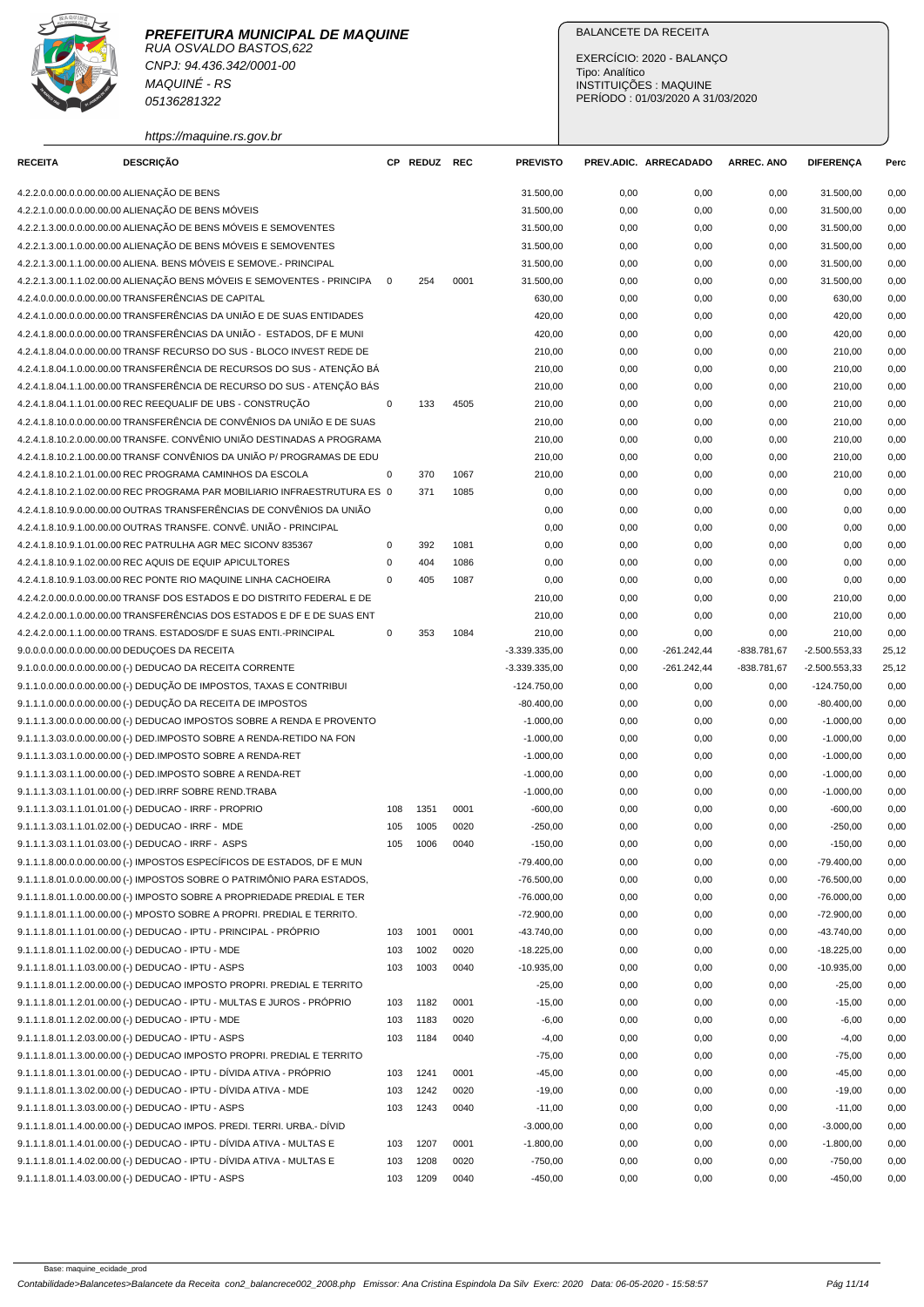

CNPJ: 94.436.342/0001-00 MAQUINÉ - RS 05136281322

https://maquine.rs.gov.br

## BALANCETE DA RECEITA

EXERCÍCIO: 2020 - BALANÇO Tipo: Analítico INSTITUIÇÕES : MAQUINE PERÍODO : 01/03/2020 A 31/03/2020

| <b>RECEITA</b> | <b>DESCRIÇÃO</b>                                                          |             | CP REDUZ REC |      | <b>PREVISTO</b> |      | PREV.ADIC. ARRECADADO | <b>ARREC. ANO</b> | <b>DIFERENÇA</b> | Perc  |
|----------------|---------------------------------------------------------------------------|-------------|--------------|------|-----------------|------|-----------------------|-------------------|------------------|-------|
|                | 4.2.2.0.0.00.0.0.00.00.00 ALIENAÇÃO DE BENS                               |             |              |      | 31.500,00       | 0,00 | 0,00                  | 0,00              | 31.500,00        | 0,00  |
|                | 4.2.2.1.0.00.0.0.00.00.00 ALIENAÇÃO DE BENS MÓVEIS                        |             |              |      | 31.500,00       | 0,00 | 0,00                  | 0,00              | 31.500,00        | 0,00  |
|                | 4.2.2.1.3.00.0.0.00.00.00 ALIENAÇÃO DE BENS MÓVEIS E SEMOVENTES           |             |              |      | 31.500,00       | 0,00 | 0,00                  | 0,00              | 31.500,00        | 0,00  |
|                | 4.2.2.1.3.00.1.0.00.00.00 ALIENAÇÃO DE BENS MÓVEIS E SEMOVENTES           |             |              |      | 31.500,00       | 0,00 | 0,00                  | 0,00              | 31.500,00        | 0,00  |
|                | 4.2.2.1.3.00.1.1.00.00.00 ALIENA. BENS MÓVEIS E SEMOVE.- PRINCIPAL        |             |              |      | 31.500,00       | 0,00 | 0,00                  | 0,00              | 31.500,00        | 0,00  |
|                | 4.2.2.1.3.00.1.1.02.00.00 ALIENAÇÃO BENS MÓVEIS E SEMOVENTES - PRINCIPA   | $\mathbf 0$ | 254          | 0001 | 31.500,00       | 0,00 | 0,00                  | 0,00              | 31.500,00        | 0,00  |
|                | 4.2.4.0.0.00.0.0.00.00.00 TRANSFERÊNCIAS DE CAPITAL                       |             |              |      | 630,00          | 0,00 | 0,00                  | 0,00              | 630,00           | 0,00  |
|                | 4.2.4.1.0.00.0.0.00.00.00 TRANSFERÊNCIAS DA UNIÃO E DE SUAS ENTIDADES     |             |              |      | 420,00          | 0,00 | 0,00                  | 0,00              | 420,00           | 0,00  |
|                | 4.2.4.1.8.00.0.0.00.00.00 TRANSFERÊNCIAS DA UNIÃO - ESTADOS. DF E MUNI    |             |              |      | 420,00          | 0,00 | 0,00                  | 0,00              | 420,00           | 0,00  |
|                | 4.2.4.1.8.04.0.0.00.00.00 TRANSF RECURSO DO SUS - BLOCO INVEST REDE DE    |             |              |      | 210,00          | 0,00 | 0,00                  | 0,00              | 210,00           | 0,00  |
|                | 4.2.4.1.8.04.1.0.00.00.00 TRANSFERÊNCIA DE RECURSOS DO SUS - ATENÇÃO BÁ   |             |              |      | 210,00          | 0,00 | 0,00                  | 0,00              | 210,00           | 0,00  |
|                | 4.2.4.1.8.04.1.1.00.00.00 TRANSFERÊNCIA DE RECURSO DO SUS - ATENÇÃO BÁS   |             |              |      | 210,00          | 0,00 | 0,00                  | 0,00              | 210,00           | 0,00  |
|                | 4.2.4.1.8.04.1.1.01.00.00 REC REEQUALIF DE UBS - CONSTRUÇÃO               | $\mathbf 0$ | 133          | 4505 | 210,00          | 0,00 | 0,00                  | 0,00              | 210,00           | 0,00  |
|                | 4.2.4.1.8.10.0.0.00.00.00 TRANSFERÊNCIA DE CONVÊNIOS DA UNIÃO E DE SUAS   |             |              |      | 210,00          | 0,00 | 0,00                  | 0,00              | 210,00           | 0,00  |
|                | 4.2.4.1.8.10.2.0.00.00.00 TRANSFE. CONVÊNIO UNIÃO DESTINADAS A PROGRAMA   |             |              |      | 210,00          |      | 0,00                  |                   | 210,00           | 0,00  |
|                | 4.2.4.1.8.10.2.1.00.00.00 TRANSF CONVÊNIOS DA UNIÃO P/ PROGRAMAS DE EDU   |             |              |      |                 | 0,00 |                       | 0,00              |                  |       |
|                |                                                                           |             |              |      | 210,00          | 0,00 | 0,00                  | 0,00              | 210,00           | 0,00  |
|                | 4.2.4.1.8.10.2.1.01.00.00 REC PROGRAMA CAMINHOS DA ESCOLA                 | $\mathbf 0$ | 370          | 1067 | 210,00          | 0,00 | 0,00                  | 0,00              | 210,00           | 0,00  |
|                | 4.2.4.1.8.10.2.1.02.00.00 REC PROGRAMA PAR MOBILIARIO INFRAESTRUTURA ES 0 |             | 371          | 1085 | 0,00            | 0,00 | 0,00                  | 0,00              | 0,00             | 0,00  |
|                | 4.2.4.1.8.10.9.0.00.00.00 OUTRAS TRANSFERÊNCIAS DE CONVÊNIOS DA UNIÃO     |             |              |      | 0,00            | 0,00 | 0,00                  | 0,00              | 0,00             | 0,00  |
|                | 4.2.4.1.8.10.9.1.00.00.00 OUTRAS TRANSFE. CONVÊ. UNIÃO - PRINCIPAL        |             |              |      | 0,00            | 0,00 | 0,00                  | 0,00              | 0,00             | 0,00  |
|                | 4.2.4.1.8.10.9.1.01.00.00 REC PATRULHA AGR MEC SICONV 835367              | $\mathbf 0$ | 392          | 1081 | 0,00            | 0,00 | 0,00                  | 0,00              | 0,00             | 0,00  |
|                | 4.2.4.1.8.10.9.1.02.00.00 REC AQUIS DE EQUIP APICULTORES                  | $\mathbf 0$ | 404          | 1086 | 0,00            | 0,00 | 0,00                  | 0,00              | 0,00             | 0,00  |
|                | 4.2.4.1.8.10.9.1.03.00.00 REC PONTE RIO MAQUINE LINHA CACHOEIRA           | $\mathbf 0$ | 405          | 1087 | 0,00            | 0,00 | 0,00                  | 0,00              | 0,00             | 0,00  |
|                | 4.2.4.2.0.00.0.0.00.00.00 TRANSF DOS ESTADOS E DO DISTRITO FEDERAL E DE   |             |              |      | 210,00          | 0,00 | 0,00                  | 0,00              | 210,00           | 0,00  |
|                | 4.2.4.2.0.00.1.0.00.00.00 TRANSFERÊNCIAS DOS ESTADOS E DF E DE SUAS ENT   |             |              |      | 210,00          | 0,00 | 0,00                  | 0,00              | 210,00           | 0,00  |
|                | 4.2.4.2.0.00.1.1.00.00.00 TRANS. ESTADOS/DF E SUAS ENTI.-PRINCIPAL        | $\mathbf 0$ | 353          | 1084 | 210,00          | 0,00 | 0,00                  | 0,00              | 210,00           | 0,00  |
|                | 9.0.0.0.0.00.0.0.00.00.00 DEDUÇOES DA RECEITA                             |             |              |      | $-3.339.335,00$ | 0,00 | $-261.242,44$         | -838.781,67       | $-2.500.553,33$  | 25,12 |
|                | 9.1.0.0.0.00.0.0.00.00.00 (-) DEDUCAO DA RECEITA CORRENTE                 |             |              |      | $-3.339.335,00$ | 0,00 | $-261.242,44$         | $-838.781,67$     | $-2.500.553,33$  | 25,12 |
|                | 9.1.1.0.0.00.0.0.00.00.00 (-) DEDUÇÃO DE IMPOSTOS, TAXAS E CONTRIBUI      |             |              |      | $-124.750,00$   | 0,00 | 0,00                  | 0,00              | $-124.750,00$    | 0,00  |
|                | 9.1.1.1.0.00.0.0.00.00.00 (-) DEDUÇÃO DA RECEITA DE IMPOSTOS              |             |              |      | $-80.400,00$    | 0,00 | 0,00                  | 0,00              | $-80.400,00$     | 0,00  |
|                | 9.1.1.1.3.00.0.0.00.00.00 (-) DEDUCAO IMPOSTOS SOBRE A RENDA E PROVENTO   |             |              |      | $-1.000,00$     | 0,00 | 0,00                  | 0,00              | $-1.000,00$      | 0,00  |
|                | 9.1.1.1.3.03.0.0.00.00.00 (-) DED.IMPOSTO SOBRE A RENDA-RETIDO NA FON     |             |              |      | $-1.000,00$     | 0,00 | 0,00                  | 0,00              | $-1.000,00$      | 0,00  |
|                | 9.1.1.1.3.03.1.0.00.00.00 (-) DED.IMPOSTO SOBRE A RENDA-RET               |             |              |      | $-1.000,00$     | 0,00 | 0,00                  | 0,00              | $-1.000,00$      | 0,00  |
|                | 9.1.1.1.3.03.1.1.00.00.00 (-) DED.IMPOSTO SOBRE A RENDA-RET               |             |              |      | $-1.000,00$     | 0,00 | 0,00                  | 0,00              | $-1.000,00$      | 0,00  |
|                | 9.1.1.1.3.03.1.1.01.00.00 (-) DED.IRRF SOBRE REND.TRABA                   |             |              |      | $-1.000,00$     | 0,00 | 0,00                  | 0,00              | $-1.000,00$      | 0,00  |
|                | 9.1.1.1.3.03.1.1.01.01.00 (-) DEDUCAO - IRRF - PROPRIO                    | 108         | 1351         | 0001 | $-600,00$       | 0,00 | 0,00                  | 0,00              | $-600,00$        | 0,00  |
|                | 9.1.1.1.3.03.1.1.01.02.00 (-) DEDUCAO - IRRF - MDE                        | 105         | 1005         | 0020 | $-250,00$       | 0,00 | 0,00                  | 0,00              | $-250,00$        | 0,00  |
|                | 9.1.1.1.3.03.1.1.01.03.00 (-) DEDUCAO - IRRF - ASPS                       | 105         | 1006         | 0040 | $-150,00$       | 0,00 | 0,00                  | 0,00              | $-150,00$        | 0,00  |
|                | 9.1.1.1.8.00.0.0.00.00.00 (-) IMPOSTOS ESPECÍFICOS DE ESTADOS, DF E MUN   |             |              |      | $-79.400,00$    | 0,00 | 0,00                  | 0,00              | $-79.400,00$     | 0,00  |
|                | 9.1.1.1.8.01.0.0.00.00.00 (-) IMPOSTOS SOBRE O PATRIMÔNIO PARA ESTADOS,   |             |              |      | $-76.500,00$    | 0,00 | 0,00                  | 0,00              | $-76.500,00$     | 0,00  |
|                | 9.1.1.1.8.01.1.0.00.00.00 (-) IMPOSTO SOBRE A PROPRIEDADE PREDIAL E TER   |             |              |      | $-76.000,00$    | 0,00 | 0,00                  | 0,00              | $-76.000,00$     | 0,00  |
|                | 9.1.1.1.8.01.1.1.00.00.00 (-) MPOSTO SOBRE A PROPRI. PREDIAL E TERRITO.   |             |              |      | $-72.900,00$    | 0,00 | 0,00                  | 0,00              | $-72.900,00$     | 0,00  |
|                | 9.1.1.1.8.01.1.1.01.00.00 (-) DEDUCAO - IPTU - PRINCIPAL - PRÓPRIO        |             | 1001         | 0001 | $-43.740,00$    |      |                       |                   |                  | 0,00  |
|                |                                                                           | 103         |              |      |                 | 0,00 | 0,00                  | 0,00              | $-43.740,00$     |       |
|                | 9.1.1.1.8.01.1.1.02.00.00 (-) DEDUCAO - IPTU - MDE                        | 103         | 1002         | 0020 | $-18.225,00$    | 0,00 | 0,00                  | 0,00              | $-18.225,00$     | 0,00  |
|                | 9.1.1.1.8.01.1.1.03.00.00 (-) DEDUCAO - IPTU - ASPS                       | 103         | 1003         | 0040 | $-10.935,00$    | 0,00 | 0,00                  | 0,00              | $-10.935,00$     | 0,00  |
|                | 9.1.1.1.8.01.1.2.00.00.00 (-) DEDUCAO IMPOSTO PROPRI. PREDIAL E TERRITO   |             |              |      | $-25,00$        | 0,00 | 0,00                  | 0,00              | $-25,00$         | 0,00  |
|                | 9.1.1.1.8.01.1.2.01.00.00 (-) DEDUCAO - IPTU - MULTAS E JUROS - PRÓPRIO   | 103         | 1182         | 0001 | $-15,00$        | 0,00 | 0,00                  | 0,00              | $-15,00$         | 0,00  |
|                | 9.1.1.1.8.01.1.2.02.00.00 (-) DEDUCAO - IPTU - MDE                        | 103         | 1183         | 0020 | $-6,00$         | 0,00 | 0,00                  | 0,00              | $-6,00$          | 0,00  |
|                | 9.1.1.1.8.01.1.2.03.00.00 (-) DEDUCAO - IPTU - ASPS                       | 103         | 1184         | 0040 | $-4,00$         | 0,00 | 0,00                  | 0,00              | $-4,00$          | 0,00  |
|                | 9.1.1.1.8.01.1.3.00.00.00 (-) DEDUCAO IMPOSTO PROPRI. PREDIAL E TERRITO   |             |              |      | $-75,00$        | 0,00 | 0,00                  | 0,00              | $-75,00$         | 0,00  |
|                | 9.1.1.1.8.01.1.3.01.00.00 (-) DEDUCAO - IPTU - DÍVIDA ATIVA - PRÓPRIO     | 103         | 1241         | 0001 | $-45,00$        | 0,00 | 0,00                  | 0,00              | $-45,00$         | 0,00  |
|                | 9.1.1.1.8.01.1.3.02.00.00 (-) DEDUCAO - IPTU - DÍVIDA ATIVA - MDE         | 103         | 1242         | 0020 | $-19,00$        | 0,00 | 0,00                  | 0,00              | $-19,00$         | 0,00  |
|                | 9.1.1.1.8.01.1.3.03.00.00 (-) DEDUCAO - IPTU - ASPS                       | 103         | 1243         | 0040 | $-11,00$        | 0,00 | 0,00                  | 0,00              | $-11,00$         | 0,00  |
|                | 9.1.1.1.8.01.1.4.00.00.00 (-) DEDUCAO IMPOS. PREDI. TERRI. URBA.- DÍVID   |             |              |      | $-3.000,00$     | 0,00 | 0,00                  | 0,00              | $-3.000,00$      | 0,00  |
|                | 9.1.1.1.8.01.1.4.01.00.00 (-) DEDUCAO - IPTU - DÍVIDA ATIVA - MULTAS E    | 103         | 1207         | 0001 | $-1.800,00$     | 0,00 | 0,00                  | 0,00              | $-1.800,00$      | 0,00  |
|                | 9.1.1.1.8.01.1.4.02.00.00 (-) DEDUCAO - IPTU - DÍVIDA ATIVA - MULTAS E    | 103         | 1208         | 0020 | $-750,00$       | 0,00 | 0,00                  | 0,00              | $-750,00$        | 0,00  |
|                | 9.1.1.1.8.01.1.4.03.00.00 (-) DEDUCAO - IPTU - ASPS                       | 103         | 1209         | 0040 | $-450,00$       | 0,00 | 0,00                  | 0,00              | $-450,00$        | 0,00  |
|                |                                                                           |             |              |      |                 |      |                       |                   |                  |       |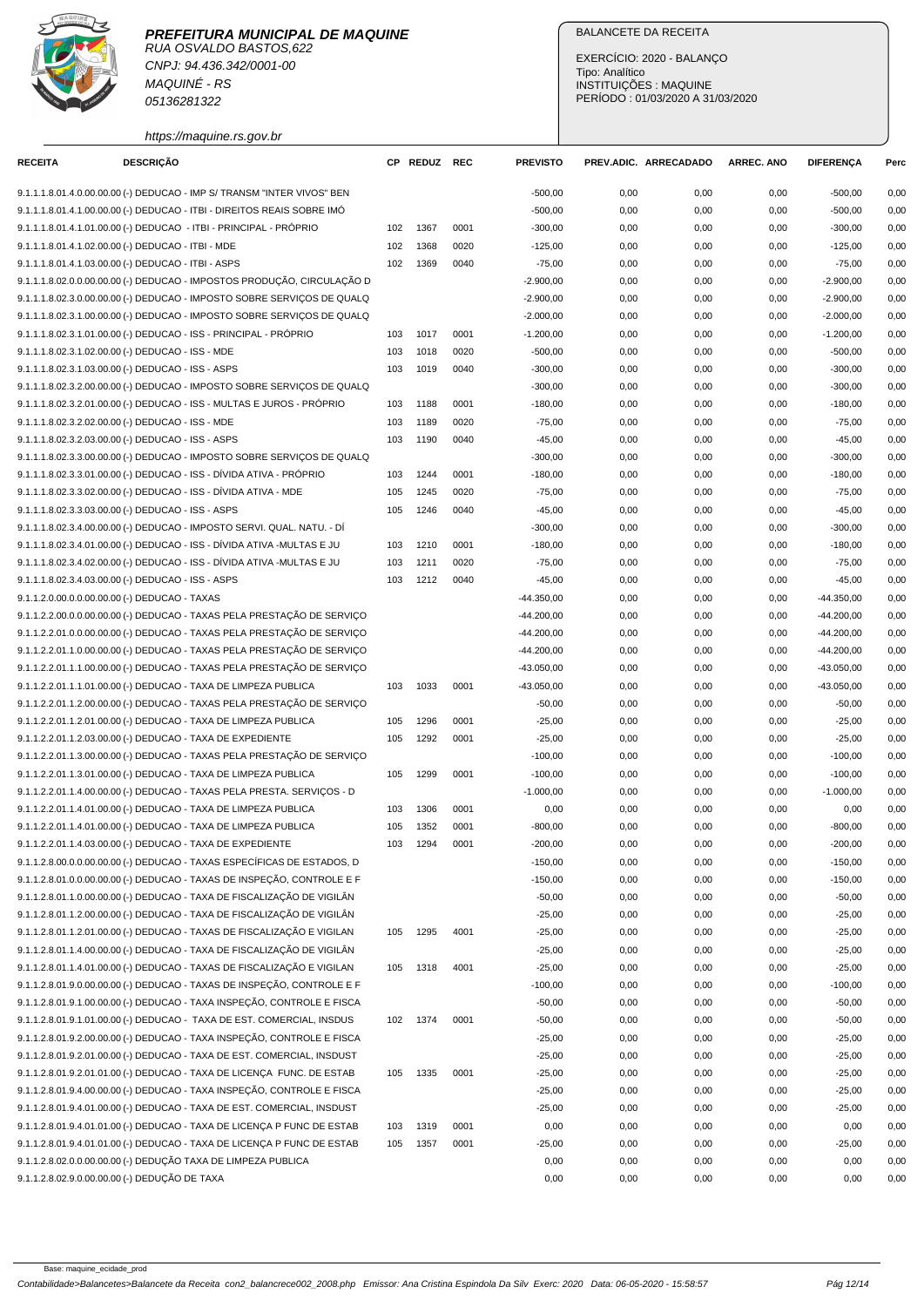## **PREFEITURA MUNICIPAL DE MAQUINE**



RUA OSVALDO BASTOS,622 CNPJ: 94.436.342/0001-00 MAQUINÉ - RS 05136281322

https://maquine.rs.gov.br

## BALANCETE DA RECEITA

EXERCÍCIO: 2020 - BALANÇO Tipo: Analítico INSTITUIÇÕES : MAQUINE PERÍODO : 01/03/2020 A 31/03/2020

| <b>RECEITA</b>                                      | <b>DESCRIÇÃO</b> |                                                                                                                                                    |     | CP REDUZ REC |      | <b>PREVISTO</b> |      | PREV.ADIC. ARRECADADO | <b>ARREC. ANO</b> | <b>DIFERENCA</b> | Perc |
|-----------------------------------------------------|------------------|----------------------------------------------------------------------------------------------------------------------------------------------------|-----|--------------|------|-----------------|------|-----------------------|-------------------|------------------|------|
|                                                     |                  | 9.1.1.1.8.01.4.0.00.00.00 (-) DEDUCAO - IMP S/ TRANSM "INTER VIVOS" BEN                                                                            |     |              |      | $-500,00$       | 0,00 | 0,00                  | 0,00              | $-500,00$        | 0,00 |
|                                                     |                  | 9.1.1.1.8.01.4.1.00.00.00 (-) DEDUCAO - ITBI - DIREITOS REAIS SOBRE IMO                                                                            |     |              |      | $-500,00$       | 0,00 | 0,00                  | 0,00              | $-500,00$        | 0,00 |
|                                                     |                  | 9.1.1.1.8.01.4.1.01.00.00 (-) DEDUCAO - ITBI - PRINCIPAL - PRÓPRIO                                                                                 | 102 | 1367         | 0001 | $-300,00$       | 0,00 | 0,00                  | 0,00              | $-300,00$        | 0,00 |
| 9.1.1.1.8.01.4.1.02.00.00 (-) DEDUCAO - ITBI - MDE  |                  |                                                                                                                                                    | 102 | 1368         | 0020 | $-125,00$       | 0,00 | 0,00                  | 0,00              | $-125,00$        | 0,00 |
| 9.1.1.1.8.01.4.1.03.00.00 (-) DEDUCAO - ITBI - ASPS |                  |                                                                                                                                                    | 102 | 1369         | 0040 | $-75,00$        | 0,00 | 0,00                  | 0,00              | $-75,00$         | 0,00 |
|                                                     |                  | 9.1.1.1.8.02.0.0.00.00.00 (-) DEDUCAO - IMPOSTOS PRODUÇÃO, CIRCULAÇÃO D                                                                            |     |              |      | $-2.900,00$     | 0,00 | 0,00                  | 0,00              | $-2.900,00$      | 0,00 |
|                                                     |                  | 9.1.1.1.8.02.3.0.00.00.00 (-) DEDUCAO - IMPOSTO SOBRE SERVIÇOS DE QUALQ                                                                            |     |              |      | $-2.900,00$     | 0,00 | 0,00                  | 0,00              | $-2.900,00$      | 0,00 |
|                                                     |                  | 9.1.1.1.8.02.3.1.00.00.00 (-) DEDUCAO - IMPOSTO SOBRE SERVIÇOS DE QUALQ                                                                            |     |              |      | $-2.000,00$     | 0,00 | 0,00                  | 0,00              | $-2.000,00$      | 0,00 |
|                                                     |                  | 9.1.1.1.8.02.3.1.01.00.00 (-) DEDUCAO - ISS - PRINCIPAL - PRÓPRIO                                                                                  | 103 | 1017         | 0001 | $-1.200,00$     | 0,00 | 0,00                  | 0,00              | $-1.200.00$      | 0,00 |
| 9.1.1.1.8.02.3.1.02.00.00 (-) DEDUCAO - ISS - MDE   |                  |                                                                                                                                                    | 103 | 1018         | 0020 | $-500,00$       | 0,00 | 0,00                  | 0,00              | $-500,00$        | 0,00 |
| 9.1.1.1.8.02.3.1.03.00.00 (-) DEDUCAO - ISS - ASPS  |                  |                                                                                                                                                    | 103 | 1019         | 0040 | $-300,00$       | 0,00 | 0,00                  | 0,00              | $-300,00$        | 0,00 |
|                                                     |                  | 9.1.1.1.8.02.3.2.00.00.00 (-) DEDUCAO - IMPOSTO SOBRE SERVIÇOS DE QUALQ                                                                            |     |              |      | $-300,00$       | 0,00 | 0,00                  | 0,00              | $-300,00$        | 0,00 |
|                                                     |                  | 9.1.1.1.8.02.3.2.01.00.00 (-) DEDUCAO - ISS - MULTAS E JUROS - PRÓPRIO                                                                             | 103 | 1188         | 0001 | $-180,00$       | 0,00 | 0,00                  | 0,00              | $-180,00$        | 0,00 |
| 9.1.1.1.8.02.3.2.02.00.00 (-) DEDUCAO - ISS - MDE   |                  |                                                                                                                                                    | 103 | 1189         | 0020 | $-75,00$        | 0,00 | 0,00                  | 0,00              | $-75,00$         | 0,00 |
| 9.1.1.1.8.02.3.2.03.00.00 (-) DEDUCAO - ISS - ASPS  |                  |                                                                                                                                                    | 103 | 1190         | 0040 | $-45,00$        | 0,00 | 0,00                  | 0,00              | $-45,00$         | 0,00 |
|                                                     |                  | 9.1.1.1.8.02.3.3.00.00.00 (-) DEDUCAO - IMPOSTO SOBRE SERVIÇOS DE QUALQ                                                                            |     |              |      | $-300,00$       | 0,00 | 0,00                  | 0,00              | $-300,00$        | 0,00 |
|                                                     |                  | 9.1.1.1.8.02.3.3.01.00.00 (-) DEDUCAO - ISS - DÍVIDA ATIVA - PRÓPRIO                                                                               | 103 | 1244         | 0001 | $-180,00$       | 0,00 | 0,00                  | 0,00              | $-180,00$        | 0,00 |
|                                                     |                  | 9.1.1.1.8.02.3.3.02.00.00 (-) DEDUCAO - ISS - DÍVIDA ATIVA - MDE                                                                                   | 105 | 1245         | 0020 | $-75,00$        | 0,00 | 0,00                  | 0,00              | $-75,00$         | 0,00 |
| 9.1.1.1.8.02.3.3.03.00.00 (-) DEDUCAO - ISS - ASPS  |                  |                                                                                                                                                    | 105 | 1246         | 0040 | $-45,00$        | 0,00 | 0,00                  | 0,00              | $-45,00$         | 0,00 |
|                                                     |                  | 9.1.1.1.8.02.3.4.00.00.00 (-) DEDUCAO - IMPOSTO SERVI. QUAL. NATU. - DÍ                                                                            |     |              |      | $-300,00$       | 0,00 | 0,00                  | 0,00              | $-300,00$        | 0,00 |
|                                                     |                  | 9.1.1.1.8.02.3.4.01.00.00 (-) DEDUCAO - ISS - DÍVIDA ATIVA -MULTAS E JU                                                                            | 103 | 1210         | 0001 | $-180,00$       | 0,00 | 0,00                  | 0,00              | $-180,00$        | 0,00 |
|                                                     |                  | 9.1.1.1.8.02.3.4.02.00.00 (-) DEDUCAO - ISS - DÍVIDA ATIVA -MULTAS E JU                                                                            | 103 | 1211         | 0020 | $-75,00$        | 0,00 | 0,00                  | 0,00              | $-75,00$         | 0,00 |
| 9.1.1.1.8.02.3.4.03.00.00 (-) DEDUCAO - ISS - ASPS  |                  |                                                                                                                                                    | 103 | 1212         | 0040 | $-45,00$        | 0,00 | 0,00                  | 0,00              | $-45,00$         | 0,00 |
| 9.1.1.2.0.00.0.0.00.00.00 (-) DEDUCAO - TAXAS       |                  |                                                                                                                                                    |     |              |      | $-44.350,00$    | 0,00 | 0,00                  | 0,00              | $-44.350,00$     | 0,00 |
|                                                     |                  | 9.1.1.2.2.00.0.0.00.00.00 (-) DEDUCAO - TAXAS PELA PRESTAÇÃO DE SERVIÇO                                                                            |     |              |      | $-44.200,00$    | 0,00 | 0,00                  | 0,00              | $-44.200,00$     | 0,00 |
|                                                     |                  | 9.1.1.2.2.01.0.0.00.00.00 (-) DEDUCAO - TAXAS PELA PRESTAÇÃO DE SERVIÇO                                                                            |     |              |      | $-44.200,00$    | 0,00 | 0,00                  | 0,00              | $-44.200,00$     | 0,00 |
|                                                     |                  | 9.1.1.2.2.01.1.0.00.00.00 (-) DEDUCAO - TAXAS PELA PRESTAÇÃO DE SERVIÇO                                                                            |     |              |      | $-44.200,00$    | 0,00 | 0,00                  | 0,00              | $-44.200,00$     | 0,00 |
|                                                     |                  | 9.1.1.2.2.01.1.1.00.00.00 (-) DEDUCAO - TAXAS PELA PRESTAÇÃO DE SERVIÇO                                                                            |     |              |      | $-43.050,00$    | 0,00 | 0,00                  | 0,00              | $-43.050,00$     | 0,00 |
|                                                     |                  | 9.1.1.2.2.01.1.1.01.00.00 (-) DEDUCAO - TAXA DE LIMPEZA PUBLICA                                                                                    | 103 | 1033         | 0001 | $-43.050,00$    | 0,00 | 0,00                  | 0,00              | $-43.050,00$     | 0,00 |
|                                                     |                  | 9.1.1.2.2.01.1.2.00.00.00 (-) DEDUCAO - TAXAS PELA PRESTAÇÃO DE SERVIÇO                                                                            |     |              |      | $-50,00$        | 0,00 | 0,00                  | 0,00              | $-50,00$         | 0,00 |
|                                                     |                  | 9.1.1.2.2.01.1.2.01.00.00 (-) DEDUCAO - TAXA DE LIMPEZA PUBLICA                                                                                    | 105 | 1296         | 0001 | $-25,00$        | 0,00 | 0,00                  | 0,00              | $-25,00$         | 0,00 |
|                                                     |                  | 9.1.1.2.2.01.1.2.03.00.00 (-) DEDUCAO - TAXA DE EXPEDIENTE                                                                                         | 105 | 1292         | 0001 | $-25,00$        | 0,00 | 0,00                  | 0,00              | $-25,00$         | 0,00 |
|                                                     |                  | 9.1.1.2.2.01.1.3.00.00.00 (-) DEDUCAO - TAXAS PELA PRESTAÇÃO DE SERVIÇO                                                                            |     |              |      | $-100,00$       | 0,00 | 0,00                  | 0,00              | $-100,00$        | 0,00 |
|                                                     |                  | 9.1.1.2.2.01.1.3.01.00.00 (-) DEDUCAO - TAXA DE LIMPEZA PUBLICA                                                                                    | 105 | 1299         | 0001 | $-100,00$       | 0,00 | 0,00                  | 0,00              | $-100,00$        | 0,00 |
|                                                     |                  | 9.1.1.2.2.01.1.4.00.00.00 (-) DEDUCAO - TAXAS PELA PRESTA. SERVIÇOS - D                                                                            |     |              |      | $-1.000,00$     | 0,00 | 0,00                  | 0,00              | $-1.000,00$      | 0,00 |
|                                                     |                  | 9.1.1.2.2.01.1.4.01.00.00 (-) DEDUCAO - TAXA DE LIMPEZA PUBLICA                                                                                    | 103 | 1306         | 0001 | 0,00            | 0,00 | 0,00                  | 0,00              | 0,00             | 0,00 |
|                                                     |                  | 9.1.1.2.2.01.1.4.01.00.00 (-) DEDUCAO - TAXA DE LIMPEZA PUBLICA                                                                                    | 105 | 1352         | 0001 |                 | 0,00 | 0,00                  | 0,00              | $-800,00$        | 0,00 |
|                                                     |                  | 9.1.1.2.2.01.1.4.03.00.00 (-) DEDUCAO - TAXA DE EXPEDIENTE                                                                                         | 103 | 1294         | 0001 | $-800,00$       |      |                       |                   |                  |      |
|                                                     |                  |                                                                                                                                                    |     |              |      | $-200,00$       | 0,00 | 0,00                  | 0,00              | $-200,00$        | 0,00 |
|                                                     |                  | 9.1.1.2.8.00.0.0.00.00.00 (-) DEDUCAO - TAXAS ESPECÍFICAS DE ESTADOS, D<br>9.1.1.2.8.01.0.0.00.00.00 (-) DEDUCAO - TAXAS DE INSPEÇÃO, CONTROLE E F |     |              |      | $-150,00$       | 0,00 | 0,00                  | 0,00              | $-150,00$        | 0,00 |
|                                                     |                  |                                                                                                                                                    |     |              |      | $-150,00$       | 0,00 | 0,00                  | 0,00              | $-150,00$        | 0,00 |
|                                                     |                  | 9.1.1.2.8.01.1.0.00.00.00 (-) DEDUCAO - TAXA DE FISCALIZAÇÃO DE VIGILÂN                                                                            |     |              |      | $-50,00$        | 0,00 | 0,00                  | 0,00              | $-50,00$         | 0,00 |
|                                                     |                  | 9.1.1.2.8.01.1.2.00.00.00 (-) DEDUCAO - TAXA DE FISCALIZAÇÃO DE VIGILÂN                                                                            |     |              |      | $-25,00$        | 0,00 | 0,00                  | 0,00              | $-25,00$         | 0,00 |
|                                                     |                  | 9.1.1.2.8.01.1.2.01.00.00 (-) DEDUCAO - TAXAS DE FISCALIZAÇÃO E VIGILAN                                                                            | 105 | 1295         | 4001 | $-25,00$        | 0,00 | 0,00                  | 0,00              | $-25,00$         | 0,00 |
|                                                     |                  | 9.1.1.2.8.01.1.4.00.00.00 (-) DEDUCAO - TAXA DE FISCALIZAÇÃO DE VIGILÂN                                                                            |     |              |      | $-25,00$        | 0,00 | 0,00                  | 0,00              | $-25,00$         | 0,00 |
|                                                     |                  | 9.1.1.2.8.01.1.4.01.00.00 (-) DEDUCAO - TAXAS DE FISCALIZAÇÃO E VIGILAN                                                                            | 105 | 1318         | 4001 | $-25,00$        | 0,00 | 0,00                  | 0,00              | $-25,00$         | 0,00 |
|                                                     |                  | 9.1.1.2.8.01.9.0.00.00.00 (-) DEDUCAO - TAXAS DE INSPEÇÃO, CONTROLE E F                                                                            |     |              |      | $-100,00$       | 0,00 | 0,00                  | 0,00              | $-100,00$        | 0,00 |
|                                                     |                  | 9.1.1.2.8.01.9.1.00.00.00 (-) DEDUCAO - TAXA INSPECÃO, CONTROLE E FISCA                                                                            |     |              |      | $-50,00$        | 0,00 | 0,00                  | 0,00              | $-50,00$         | 0,00 |
|                                                     |                  | 9.1.1.2.8.01.9.1.01.00.00 (-) DEDUCAO - TAXA DE EST. COMERCIAL, INSDUS                                                                             | 102 | 1374         | 0001 | $-50,00$        | 0,00 | 0,00                  | 0,00              | $-50,00$         | 0,00 |
|                                                     |                  | 9.1.1.2.8.01.9.2.00.00.00 (-) DEDUCAO - TAXA INSPEÇÃO, CONTROLE E FISCA                                                                            |     |              |      | $-25,00$        | 0,00 | 0,00                  | 0,00              | $-25,00$         | 0,00 |
|                                                     |                  | 9.1.1.2.8.01.9.2.01.00.00 (-) DEDUCAO - TAXA DE EST. COMERCIAL, INSDUST                                                                            |     |              |      | $-25,00$        | 0,00 | 0,00                  | 0,00              | $-25,00$         | 0,00 |
|                                                     |                  | 9.1.1.2.8.01.9.2.01.01.00 (-) DEDUCAO - TAXA DE LICENÇA FUNC. DE ESTAB                                                                             | 105 | 1335         | 0001 | $-25,00$        | 0,00 | 0,00                  | 0,00              | $-25,00$         | 0,00 |
|                                                     |                  | 9.1.1.2.8.01.9.4.00.00.00 (-) DEDUCAO - TAXA INSPEÇÃO, CONTROLE E FISCA                                                                            |     |              |      | $-25,00$        | 0,00 | 0,00                  | 0,00              | $-25,00$         | 0,00 |
|                                                     |                  | 9.1.1.2.8.01.9.4.01.00.00 (-) DEDUCAO - TAXA DE EST. COMERCIAL, INSDUST                                                                            |     |              |      | $-25,00$        | 0,00 | 0,00                  | 0,00              | $-25,00$         | 0,00 |
|                                                     |                  | 9.1.1.2.8.01.9.4.01.01.00 (-) DEDUCAO - TAXA DE LICENÇA P FUNC DE ESTAB                                                                            | 103 | 1319         | 0001 | 0,00            | 0,00 | 0,00                  | 0,00              | 0,00             | 0,00 |
|                                                     |                  | 9.1.1.2.8.01.9.4.01.01.00 (-) DEDUCAO - TAXA DE LICENÇA P FUNC DE ESTAB                                                                            | 105 | 1357         | 0001 | $-25,00$        | 0,00 | 0,00                  | 0,00              | $-25,00$         | 0,00 |
|                                                     |                  | 9.1.1.2.8.02.0.0.00.00.00 (-) DEDUÇÃO TAXA DE LIMPEZA PUBLICA                                                                                      |     |              |      | 0,00            | 0,00 | 0,00                  | 0,00              | 0,00             | 0,00 |
| 9.1.1.2.8.02.9.0.00.00.00 (-) DEDUÇÃO DE TAXA       |                  |                                                                                                                                                    |     |              |      | 0,00            | 0,00 | 0,00                  | 0,00              | 0,00             | 0,00 |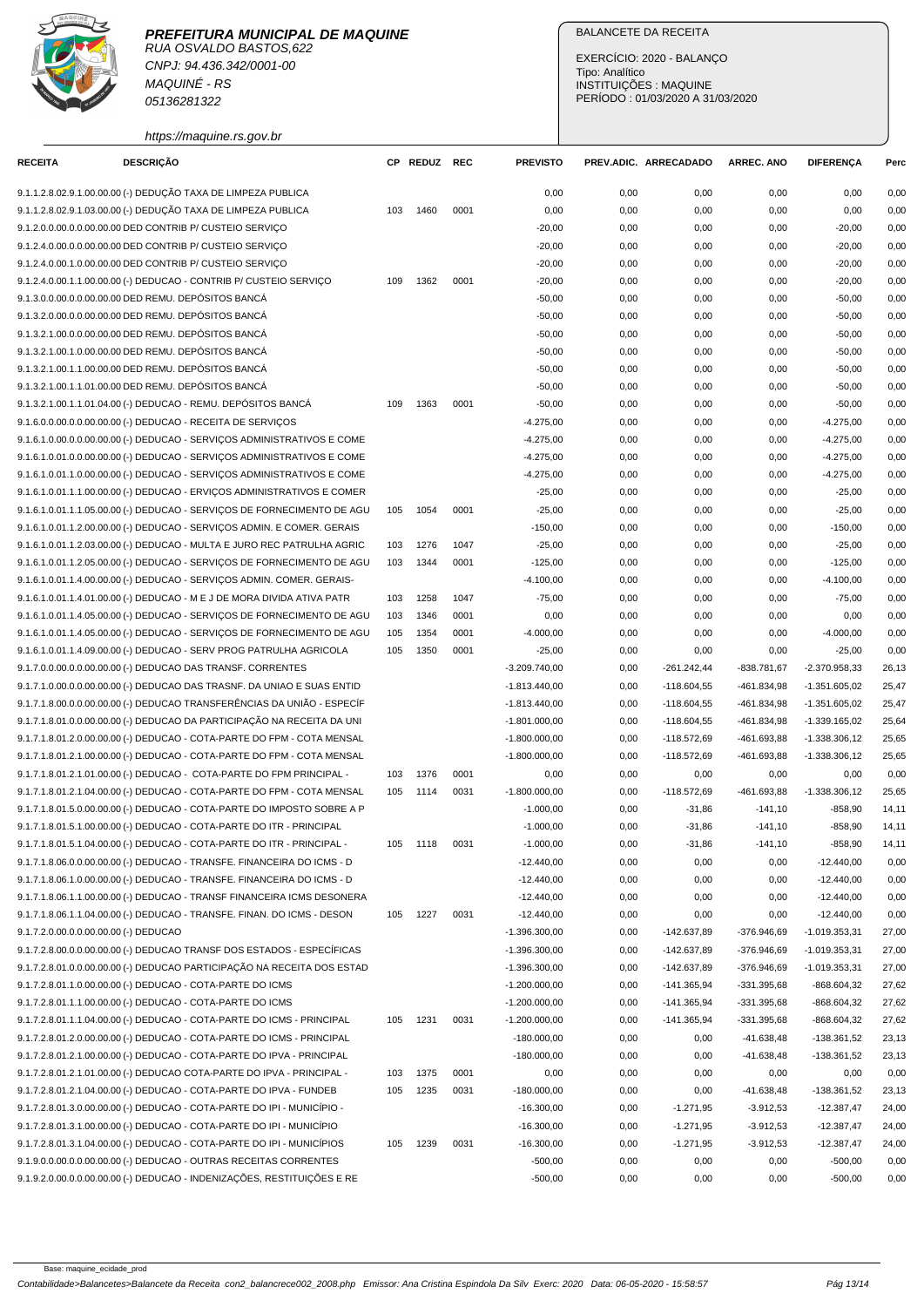CNPJ: 94.436.342/0001-00 MAQUINÉ - RS 05136281322

https://maquine.rs.gov.br

## BALANCETE DA RECEITA

EXERCÍCIO: 2020 - BALANÇO Tipo: Analítico INSTITUIÇÕES : MAQUINE PERÍODO : 01/03/2020 A 31/03/2020

| <b>RECEITA</b>                        | <b>DESCRIÇÃO</b>                                                                                                                                    |     | CP REDUZ | <b>REC</b> | <b>PREVISTO</b> |      | PREV.ADIC. ARRECADADO | <b>ARREC. ANO</b> | <b>DIFERENÇA</b> | Perc  |
|---------------------------------------|-----------------------------------------------------------------------------------------------------------------------------------------------------|-----|----------|------------|-----------------|------|-----------------------|-------------------|------------------|-------|
|                                       | 9.1.1.2.8.02.9.1.00.00.00 (-) DEDUÇÃO TAXA DE LIMPEZA PUBLICA                                                                                       |     |          |            | 0,00            | 0,00 | 0,00                  | 0,00              | 0,00             | 0,00  |
|                                       | 9.1.1.2.8.02.9.1.03.00.00 (-) DEDUÇÃO TAXA DE LIMPEZA PUBLICA                                                                                       | 103 | 1460     | 0001       | 0,00            | 0,00 | 0,00                  | 0,00              | 0,00             | 0,00  |
|                                       | 9.1.2.0.0.00.0.0.00.00.00 DED CONTRIB P/ CUSTEIO SERVIÇO                                                                                            |     |          |            | $-20,00$        | 0,00 | 0,00                  | 0,00              | $-20,00$         | 0,00  |
|                                       | 9.1.2.4.0.00.0.0.00.00.00 DED CONTRIB P/ CUSTEIO SERVICO                                                                                            |     |          |            | $-20,00$        | 0,00 | 0,00                  | 0,00              | $-20,00$         | 0,00  |
|                                       | 9.1.2.4.0.00.1.0.00.00.00 DED CONTRIB P/ CUSTEIO SERVICO                                                                                            |     |          |            | $-20,00$        | 0,00 | 0,00                  | 0,00              | $-20,00$         | 0,00  |
|                                       | 9.1.2.4.0.00.1.1.00.00.00 (-) DEDUCAO - CONTRIB P/ CUSTEIO SERVIÇO                                                                                  | 109 | 1362     | 0001       | $-20,00$        | 0,00 | 0,00                  | 0,00              | $-20,00$         | 0,00  |
|                                       | 9.1.3.0.0.00.0.0.00.00.00 DED REMU. DEPÓSITOS BANCÁ                                                                                                 |     |          |            | $-50,00$        | 0,00 | 0,00                  | 0,00              | $-50,00$         | 0,00  |
|                                       | 9.1.3.2.0.00.0.0.00.00.00 DED REMU. DEPÓSITOS BANCÁ                                                                                                 |     |          |            | $-50,00$        | 0,00 |                       |                   |                  | 0,00  |
|                                       |                                                                                                                                                     |     |          |            |                 |      | 0,00                  | 0,00              | $-50,00$         |       |
|                                       | 9.1.3.2.1.00.0.0.00.00.00 DED REMU. DEPÓSITOS BANCÁ                                                                                                 |     |          |            | $-50,00$        | 0,00 | 0,00                  | 0,00              | $-50,00$         | 0,00  |
|                                       | 9.1.3.2.1.00.1.0.00.00.00 DED REMU. DEPÓSITOS BANCÁ                                                                                                 |     |          |            | $-50,00$        | 0,00 | 0,00                  | 0,00              | $-50,00$         | 0,00  |
|                                       | 9.1.3.2.1.00.1.1.00.00.00 DED REMU. DEPÓSITOS BANCÁ<br>9.1.3.2.1.00.1.1.01.00.00 DED REMU. DEPÓSITOS BANCÁ                                          |     |          |            | $-50,00$        | 0,00 | 0,00                  | 0,00              | $-50,00$         | 0,00  |
|                                       |                                                                                                                                                     |     |          |            | $-50,00$        | 0,00 | 0,00                  | 0,00              | $-50,00$         | 0,00  |
|                                       | 9.1.3.2.1.00.1.1.01.04.00 (-) DEDUCAO - REMU. DEPÓSITOS BANCÁ                                                                                       | 109 | 1363     | 0001       | $-50,00$        | 0,00 | 0,00                  | 0,00              | $-50,00$         | 0,00  |
|                                       | 9.1.6.0.0.00.0.0.00.00.00 (-) DEDUCAO - RECEITA DE SERVIÇOS                                                                                         |     |          |            | $-4.275,00$     | 0,00 | 0,00                  | 0,00              | $-4.275,00$      | 0,00  |
|                                       | 9.1.6.1.0.00.0.0.00.00.00 (-) DEDUCAO - SERVIÇOS ADMINISTRATIVOS E COME                                                                             |     |          |            | $-4.275,00$     | 0,00 | 0,00                  | 0,00              | $-4.275,00$      | 0,00  |
|                                       | 9.1.6.1.0.01.0.00.00.00.00 (-) DEDUCAO - SERVIÇOS ADMINISTRATIVOS E COME<br>9.1.6.1.0.01.1.0.00.00.00 (-) DEDUCAO - SERVICOS ADMINISTRATIVOS E COME |     |          |            | $-4.275,00$     | 0,00 | 0,00                  | 0,00              | $-4.275,00$      | 0,00  |
|                                       |                                                                                                                                                     |     |          |            | $-4.275,00$     | 0,00 | 0,00                  | 0,00              | $-4.275,00$      | 0,00  |
|                                       | 9.1.6.1.0.01.1.1.00.00.00 (-) DEDUCAO - ERVIÇOS ADMINISTRATIVOS E COMER                                                                             |     |          |            | $-25,00$        | 0,00 | 0,00                  | 0,00              | $-25,00$         | 0,00  |
|                                       | 9.1.6.1.0.01.1.1.05.00.00 (-) DEDUCAO - SERVIÇOS DE FORNECIMENTO DE AGU                                                                             | 105 | 1054     | 0001       | $-25,00$        | 0,00 | 0,00                  | 0,00              | $-25,00$         | 0,00  |
|                                       | 9.1.6.1.0.01.1.2.00.00.00 (-) DEDUCAO - SERVICOS ADMIN. E COMER. GERAIS                                                                             |     |          |            | $-150,00$       | 0,00 | 0,00                  | 0,00              | $-150,00$        | 0,00  |
|                                       | 9.1.6.1.0.01.1.2.03.00.00 (-) DEDUCAO - MULTA E JURO REC PATRULHA AGRIC                                                                             | 103 | 1276     | 1047       | $-25,00$        | 0,00 | 0,00                  | 0,00              | $-25,00$         | 0,00  |
|                                       | 9.1.6.1.0.01.1.2.05.00.00 (-) DEDUCAO - SERVIÇOS DE FORNECIMENTO DE AGU                                                                             | 103 | 1344     | 0001       | $-125,00$       | 0,00 | 0,00                  | 0,00              | $-125,00$        | 0,00  |
|                                       | 9.1.6.1.0.01.1.4.00.00.00 (-) DEDUCAO - SERVIÇOS ADMIN. COMER. GERAIS-                                                                              |     |          |            | $-4.100,00$     | 0,00 | 0,00                  | 0,00              | $-4.100,00$      | 0,00  |
|                                       | 9.1.6.1.0.01.1.4.01.00.00 (-) DEDUCAO - M E J DE MORA DIVIDA ATIVA PATR                                                                             | 103 | 1258     | 1047       | $-75,00$        | 0,00 | 0,00                  | 0,00              | $-75,00$         | 0,00  |
|                                       | 9.1.6.1.0.01.1.4.05.00.00 (-) DEDUCAO - SERVIÇOS DE FORNECIMENTO DE AGU                                                                             | 103 | 1346     | 0001       | 0,00            | 0,00 | 0,00                  | 0,00              | 0,00             | 0,00  |
|                                       | 9.1.6.1.0.01.1.4.05.00.00 (-) DEDUCAO - SERVIÇOS DE FORNECIMENTO DE AGU                                                                             | 105 | 1354     | 0001       | $-4.000,00$     | 0,00 | 0,00                  | 0,00              | $-4.000,00$      | 0,00  |
|                                       | 9.1.6.1.0.01.1.4.09.00.00 (-) DEDUCAO - SERV PROG PATRULHA AGRICOLA                                                                                 | 105 | 1350     | 0001       | $-25,00$        | 0,00 | 0,00                  | 0,00              | $-25,00$         | 0,00  |
|                                       | 9.1.7.0.0.00.0.0.00.00.00 (-) DEDUCAO DAS TRANSF. CORRENTES                                                                                         |     |          |            | $-3.209.740,00$ | 0,00 | $-261.242,44$         | -838.781,67       | $-2.370.958,33$  | 26,13 |
|                                       | 9.1.7.1.0.00.0.0.00.00.00 (-) DEDUCAO DAS TRASNF. DA UNIAO E SUAS ENTID                                                                             |     |          |            | $-1.813.440,00$ | 0,00 | $-118.604,55$         | -461.834,98       | $-1.351.605,02$  | 25,47 |
|                                       | 9.1.7.1.8.00.0.0.00.00.00 (-) DEDUCAO TRANSFERÊNCIAS DA UNIÃO - ESPECÍF                                                                             |     |          |            | $-1.813.440,00$ | 0,00 | $-118.604,55$         | -461.834,98       | $-1.351.605.02$  | 25,47 |
|                                       | 9.1.7.1.8.01.0.0.00.00.00 (-) DEDUCAO DA PARTICIPAÇÃO NA RECEITA DA UNI                                                                             |     |          |            | $-1.801.000,00$ | 0,00 | $-118.604,55$         | -461.834,98       | $-1.339.165,02$  | 25,64 |
|                                       | 9.1.7.1.8.01.2.0.00.00.00 (-) DEDUCAO - COTA-PARTE DO FPM - COTA MENSAL                                                                             |     |          |            | $-1.800.000,00$ | 0,00 | $-118.572,69$         | -461.693,88       | $-1.338.306,12$  | 25,65 |
|                                       | 9.1.7.1.8.01.2.1.00.00.00 (-) DEDUCAO - COTA-PARTE DO FPM - COTA MENSAL                                                                             |     |          |            | $-1.800.000,00$ | 0,00 | $-118.572,69$         | -461.693,88       | $-1.338.306,12$  | 25,65 |
|                                       | 9.1.7.1.8.01.2.1.01.00.00 (-) DEDUCAO - COTA-PARTE DO FPM PRINCIPAL -                                                                               | 103 | 1376     | 0001       | 0,00            | 0,00 | 0,00                  | 0,00              | 0,00             | 0,00  |
|                                       | 9.1.7.1.8.01.2.1.04.00.00 (-) DEDUCAO - COTA-PARTE DO FPM - COTA MENSAL                                                                             | 105 | 1114     | 0031       | $-1.800.000,00$ | 0,00 | $-118.572,69$         | -461.693,88       | $-1.338.306,12$  | 25,65 |
|                                       | 9.1.7.1.8.01.5.0.00.00.00 (-) DEDUCAO - COTA-PARTE DO IMPOSTO SOBRE A P                                                                             |     |          |            | $-1.000,00$     | 0,00 | $-31,86$              | $-141,10$         | $-858,90$        | 14,11 |
|                                       | 9.1.7.1.8.01.5.1.00.00.00 (-) DEDUCAO - COTA-PARTE DO ITR - PRINCIPAL                                                                               |     |          |            | $-1.000,00$     | 0,00 | $-31,86$              | $-141, 10$        | $-858,90$        | 14,11 |
|                                       | 9.1.7.1.8.01.5.1.04.00.00 (-) DEDUCAO - COTA-PARTE DO ITR - PRINCIPAL -                                                                             | 105 | 1118     | 0031       | $-1.000,00$     | 0,00 | $-31,86$              | $-141,10$         | $-858,90$        | 14,11 |
|                                       | 9.1.7.1.8.06.0.0.00.00.00 (-) DEDUCAO - TRANSFE. FINANCEIRA DO ICMS - D                                                                             |     |          |            | $-12.440,00$    | 0,00 | 0,00                  | 0,00              | $-12.440,00$     | 0,00  |
|                                       | 9.1.7.1.8.06.1.0.00.00.00 (-) DEDUCAO - TRANSFE. FINANCEIRA DO ICMS - D                                                                             |     |          |            | $-12.440,00$    | 0,00 | 0,00                  | 0,00              | $-12.440,00$     | 0,00  |
|                                       | 9.1.7.1.8.06.1.1.00.00.00 (-) DEDUCAO - TRANSF FINANCEIRA ICMS DESONERA                                                                             |     |          |            | $-12.440,00$    | 0,00 | 0,00                  | 0,00              | $-12.440,00$     | 0,00  |
|                                       | 9.1.7.1.8.06.1.1.04.00.00 (-) DEDUCAO - TRANSFE. FINAN. DO ICMS - DESON                                                                             | 105 | 1227     | 0031       | $-12.440,00$    | 0,00 | 0,00                  | 0,00              | $-12.440,00$     | 0,00  |
| 9.1.7.2.0.00.0.0.00.00.00 (-) DEDUCAO |                                                                                                                                                     |     |          |            | $-1.396.300,00$ | 0,00 | -142.637,89           | -376.946,69       | $-1.019.353,31$  | 27,00 |
|                                       | 9.1.7.2.8.00.0.0.00.00.00 (-) DEDUCAO TRANSF DOS ESTADOS - ESPECÍFICAS                                                                              |     |          |            | $-1.396.300,00$ | 0,00 | $-142.637,89$         | -376.946,69       | $-1.019.353,31$  | 27,00 |
|                                       | 9.1.7.2.8.01.0.0.00.00.00 (-) DEDUCAO PARTICIPAÇÃO NA RECEITA DOS ESTAD                                                                             |     |          |            | $-1.396.300,00$ | 0,00 | -142.637,89           | -376.946,69       | $-1.019.353,31$  | 27,00 |
|                                       | 9.1.7.2.8.01.1.0.00.00.00 (-) DEDUCAO - COTA-PARTE DO ICMS                                                                                          |     |          |            | $-1.200.000,00$ | 0,00 | $-141.365,94$         | -331.395,68       | $-868.604,32$    | 27,62 |
|                                       | 9.1.7.2.8.01.1.1.00.00.00 (-) DEDUCAO - COTA-PARTE DO ICMS                                                                                          |     |          |            | $-1.200.000,00$ | 0,00 | $-141.365,94$         | $-331.395,68$     | $-868.604,32$    | 27,62 |
|                                       | 9.1.7.2.8.01.1.1.04.00.00 (-) DEDUCAO - COTA-PARTE DO ICMS - PRINCIPAL                                                                              | 105 | 1231     | 0031       | $-1.200.000,00$ | 0,00 | $-141.365,94$         | -331.395,68       | $-868.604,32$    | 27,62 |
|                                       | 9.1.7.2.8.01.2.0.00.00.00 (-) DEDUCAO - COTA-PARTE DO ICMS - PRINCIPAL                                                                              |     |          |            | $-180.000,00$   | 0,00 | 0,00                  | $-41.638,48$      | $-138.361,52$    | 23,13 |
|                                       | 9.1.7.2.8.01.2.1.00.00.00 (-) DEDUCAO - COTA-PARTE DO IPVA - PRINCIPAL                                                                              |     |          |            | $-180.000,00$   | 0,00 | 0,00                  | $-41.638,48$      | $-138.361,52$    | 23,13 |
|                                       | 9.1.7.2.8.01.2.1.01.00.00 (-) DEDUCAO COTA-PARTE DO IPVA - PRINCIPAL -                                                                              | 103 | 1375     | 0001       | 0,00            | 0,00 | 0,00                  | 0,00              | 0,00             | 0,00  |
|                                       | 9.1.7.2.8.01.2.1.04.00.00 (-) DEDUCAO - COTA-PARTE DO IPVA - FUNDEB                                                                                 | 105 | 1235     | 0031       | $-180.000,00$   | 0,00 | 0,00                  | $-41.638,48$      | -138.361,52      | 23,13 |
|                                       | 9.1.7.2.8.01.3.0.00.00.00 (-) DEDUCAO - COTA-PARTE DO IPI - MUNICIPIO -                                                                             |     |          |            | $-16.300,00$    | 0,00 | $-1.271,95$           | $-3.912,53$       | $-12.387,47$     | 24,00 |
|                                       | 9.1.7.2.8.01.3.1.00.00.00 (-) DEDUCAO - COTA-PARTE DO IPI - MUNICÍPIO                                                                               |     |          |            | $-16.300,00$    | 0,00 | $-1.271,95$           | $-3.912,53$       | $-12.387,47$     | 24,00 |
|                                       | 9.1.7.2.8.01.3.1.04.00.00 (-) DEDUCAO - COTA-PARTE DO IPI - MUNICIPIOS                                                                              | 105 | 1239     | 0031       | $-16.300,00$    | 0,00 | $-1.271,95$           | $-3.912,53$       | $-12.387,47$     | 24,00 |
|                                       | 9.1.9.0.0.00.0.0.00.00.00 (-) DEDUCAO - OUTRAS RECEITAS CORRENTES                                                                                   |     |          |            | $-500,00$       | 0,00 | 0,00                  | 0,00              | $-500,00$        | 0,00  |
|                                       | 9.1.9.2.0.00.0.0.00.00.00 (-) DEDUCAO - INDENIZAÇÕES, RESTITUIÇÕES E RE                                                                             |     |          |            | $-500,00$       | 0,00 | 0,00                  | 0,00              | $-500,00$        | 0,00  |